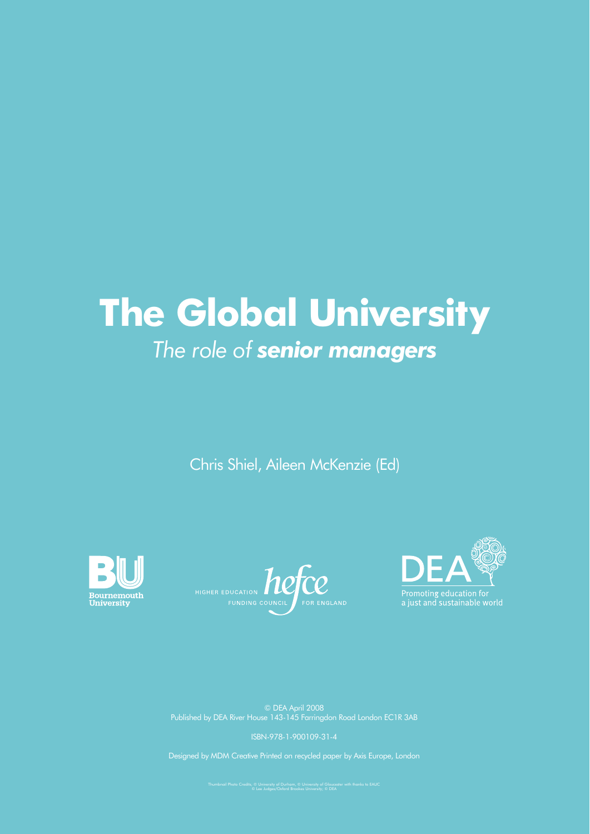# **The Global University** *The role of senior managers*

Chris Shiel, Aileen McKenzie (Ed)







ISBN-978-1-900109-31-4

Designed by MDM Creative Printed on recycled paper by Axis Europe, London

Thumbnail Photo Credits; © University of Durham, © University of Gloucester with thanks to EAUC © Lee Judges/Oxford Brookes University; © DEA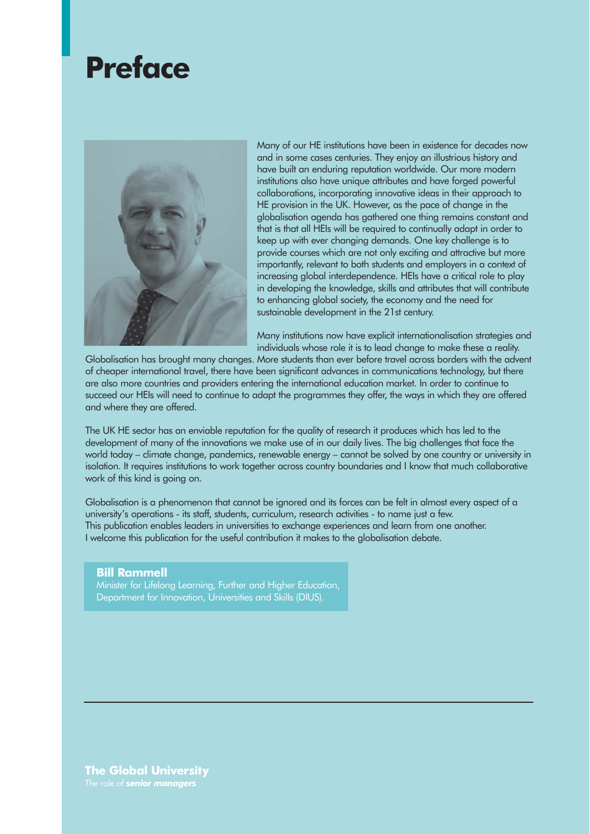# **Preface**



Many of our HE institutions have been in existence for decades now and in some cases centuries. They enjoy an illustrious history and have built an enduring reputation worldwide. Our more modern institutions also have unique attributes and have forged powerful collaborations, incorporating innovative ideas in their approach to HE provision in the UK. However, as the pace of change in the globalisation agenda has gathered one thing remains constant and that is that all HEIs will be required to continually adapt in order to keep up with ever changing demands. One key challenge is to provide courses which are not only exciting and attractive but more importantly, relevant to both students and employers in a context of increasing global interdependence. HEIs have a critical role to play in developing the knowledge, skills and attributes that will contribute to enhancing global society, the economy and the need for sustainable development in the 21st century.

Many institutions now have explicit internationalisation strategies and individuals whose role it is to lead change to make these a reality.

Globalisation has brought many changes. More students than ever before travel across borders with the advent of cheaper international travel, there have been significant advances in communications technology, but there are also more countries and providers entering the international education market. In order to continue to succeed our HEIs will need to continue to adapt the programmes they offer, the ways in which they are offered and where they are offered.

The UK HE sector has an enviable reputation for the quality of research it produces which has led to the development of many of the innovations we make use of in our daily lives. The big challenges that face the world today – climate change, pandemics, renewable energy – cannot be solved by one country or university in isolation. It requires institutions to work together across country boundaries and I know that much collaborative work of this kind is going on.

Globalisation is a phenomenon that cannot be ignored and its forces can be felt in almost every aspect of a university's operations - its staff, students, curriculum, research activities - to name just a few. This publication enables leaders in universities to exchange experiences and learn from one another. I welcome this publication for the useful contribution it makes to the globalisation debate.

#### **Bill Rammell** Minister for Lifelong Learning, Further and Higher Education, Department for Innovation, Universities and Skills (DIUS).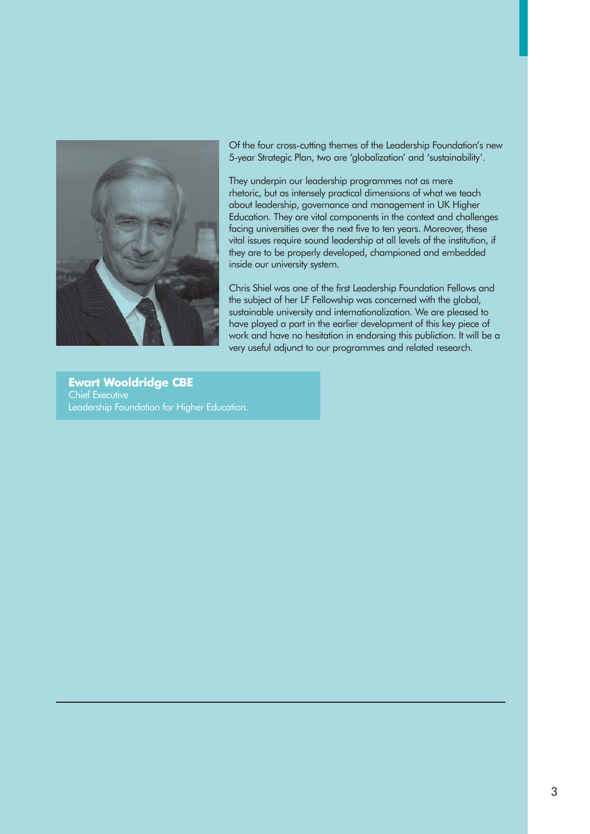

Of the four cross-cutting themes of the Leadership Foundation's new 5-year Strategic Plan, two are 'globalization' and 'sustainability'.

They underpin our leadership programmes not as mere rhetoric, but as intensely practical dimensions of what we teach about leadership, governance and management in UK Higher Education. They are vital components in the context and challenges facing universities over the next five to ten years. Moreover, these vital issues require sound leadership at all levels of the institution, if they are to be properly developed, championed and embedded inside our university system.

Chris Shiel was one of the first Leadership Foundation Fellows and the subject of her LF Fellowship was concerned with the global, sustainable university and internationalization. We are pleased to have played a part in the earlier development of this key piece of work and have no hesitation in endorsing this publiction. It will be a very useful adjunct to our programmes and related research.

**Ewart Wooldridge CBE** Chief Executive Leadership Foundation for Higher Education.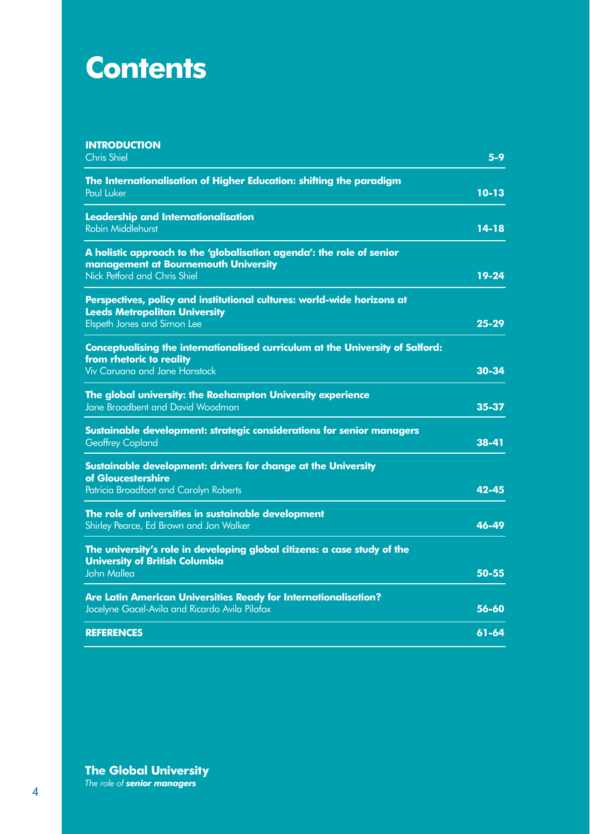# **Contents**

| <b>INTRODUCTION</b><br><b>Chris Shiel</b>                                                                                                          | $5 - 9$   |
|----------------------------------------------------------------------------------------------------------------------------------------------------|-----------|
| The Internationalisation of Higher Education: shifting the paradigm<br>Paul Luker                                                                  | $10 - 13$ |
| <b>Leadership and Internationalisation</b><br><b>Robin Middlehurst</b>                                                                             | 14-18     |
| A holistic approach to the 'globalisation agenda': the role of senior<br>management at Bournemouth University<br>Nick Petford and Chris Shiel      | 19-24     |
| Perspectives, policy and institutional cultures: world-wide horizons at<br><b>Leeds Metropolitan University</b><br>Elspeth Jones and Simon Lee     | $25 - 29$ |
| <b>Conceptualising the internationalised curriculum at the University of Salford:</b><br>from rhetoric to reality<br>Viv Caruana and Jane Hanstock | 30-34     |
| The global university: the Roehampton University experience<br>Jane Broadbent and David Woodman                                                    | 35-37     |
| Sustainable development: strategic considerations for senior managers<br><b>Geoffrey Copland</b>                                                   | 38-41     |
| Sustainable development: drivers for change at the University<br>of Gloucestershire<br>Patricia Broadfoot and Carolyn Roberts                      | $42 - 45$ |
| The role of universities in sustainable development<br>Shirley Pearce, Ed Brown and Jon Walker                                                     | 46-49     |
| The university's role in developing global citizens: a case study of the<br><b>University of British Columbia</b><br><b>John Mallea</b>            | 50-55     |
| Are Latin American Universities Ready for Internationalisation?<br>Jocelyne Gacel-Avila and Ricardo Avila Pilafox                                  | 56-60     |
| <b>REFERENCES</b>                                                                                                                                  | $61 - 64$ |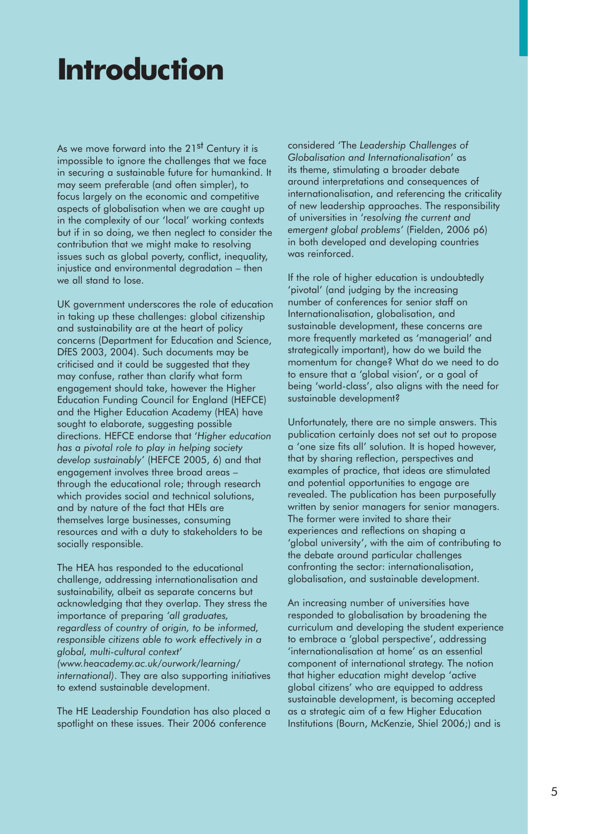# **Introduction**

As we move forward into the 21<sup>st</sup> Century it is impossible to ignore the challenges that we face in securing a sustainable future for humankind. It may seem preferable (and often simpler), to focus largely on the economic and competitive aspects of globalisation when we are caught up in the complexity of our 'local' working contexts but if in so doing, we then neglect to consider the contribution that we might make to resolving issues such as global poverty, conflict, inequality, injustice and environmental degradation – then we all stand to lose.

UK government underscores the role of education in taking up these challenges: global citizenship and sustainability are at the heart of policy concerns (Department for Education and Science, DfES 2003, 2004). Such documents may be criticised and it could be suggested that they may confuse, rather than clarify what form engagement should take, however the Higher Education Funding Council for England (HEFCE) and the Higher Education Academy (HEA) have sought to elaborate, suggesting possible directions. HEFCE endorse that '*Higher education has a pivotal role to play in helping society develop sustainably'* (HEFCE 2005, 6) and that engagement involves three broad areas – through the educational role; through research which provides social and technical solutions, and by nature of the fact that HEIs are themselves large businesses, consuming resources and with a duty to stakeholders to be socially responsible.

The HEA has responded to the educational challenge, addressing internationalisation and sustainability, albeit as separate concerns but acknowledging that they overlap. They stress the importance of preparing *'all graduates, regardless of country of origin, to be informed, responsible citizens able to work effectively in a global, multi-cultural context*' *(www.heacademy.ac.uk/ourwork/learning/ international)*. They are also supporting initiatives to extend sustainable development.

The HE Leadership Foundation has also placed a spotlight on these issues. Their 2006 conference

considered 'The *Leadership Challenges of Globalisation and Internationalisation*' as its theme, stimulating a broader debate around interpretations and consequences of internationalisation, and referencing the criticality of new leadership approaches. The responsibility of universities in '*resolving the current and emergent global problems'* (Fielden, 2006 p6) in both developed and developing countries was reinforced.

If the role of higher education is undoubtedly 'pivotal' (and judging by the increasing number of conferences for senior staff on Internationalisation, globalisation, and sustainable development, these concerns are more frequently marketed as 'managerial' and strategically important), how do we build the momentum for change? What do we need to do to ensure that a 'global vision', or a goal of being 'world-class', also aligns with the need for sustainable development?

Unfortunately, there are no simple answers. This publication certainly does not set out to propose a 'one size fits all' solution. It is hoped however, that by sharing reflection, perspectives and examples of practice, that ideas are stimulated and potential opportunities to engage are revealed. The publication has been purposefully written by senior managers for senior managers. The former were invited to share their experiences and reflections on shaping a 'global university', with the aim of contributing to the debate around particular challenges confronting the sector: internationalisation, globalisation, and sustainable development.

An increasing number of universities have responded to globalisation by broadening the curriculum and developing the student experience to embrace a 'global perspective', addressing 'internationalisation at home' as an essential component of international strategy. The notion that higher education might develop 'active global citizens' who are equipped to address sustainable development, is becoming accepted as a strategic aim of a few Higher Education Institutions (Bourn, McKenzie, Shiel 2006;) and is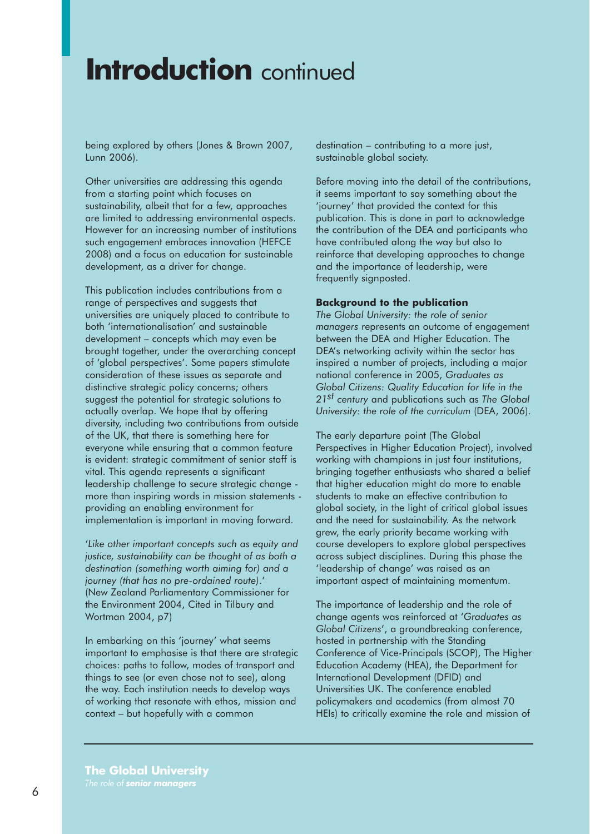## **Introduction** continued

being explored by others (Jones & Brown 2007, Lunn 2006).

Other universities are addressing this agenda from a starting point which focuses on sustainability, albeit that for a few, approaches are limited to addressing environmental aspects. However for an increasing number of institutions such engagement embraces innovation (HEFCE 2008) and a focus on education for sustainable development, as a driver for change.

This publication includes contributions from a range of perspectives and suggests that universities are uniquely placed to contribute to both 'internationalisation' and sustainable development – concepts which may even be brought together, under the overarching concept of 'global perspectives'. Some papers stimulate consideration of these issues as separate and distinctive strategic policy concerns; others suggest the potential for strategic solutions to actually overlap. We hope that by offering diversity, including two contributions from outside of the UK, that there is something here for everyone while ensuring that a common feature is evident: strategic commitment of senior staff is vital. This agenda represents a significant leadership challenge to secure strategic change more than inspiring words in mission statements providing an enabling environment for implementation is important in moving forward.

'*Like other important concepts such as equity and justice, sustainability can be thought of as both a destination (something worth aiming for) and a journey (that has no pre-ordained route)*.' (New Zealand Parliamentary Commissioner for the Environment 2004, Cited in Tilbury and Wortman 2004, p7)

In embarking on this 'journey' what seems important to emphasise is that there are strategic choices: paths to follow, modes of transport and things to see (or even chose not to see), along the way. Each institution needs to develop ways of working that resonate with ethos, mission and context – but hopefully with a common

destination – contributing to a more just, sustainable global society.

Before moving into the detail of the contributions, it seems important to say something about the 'journey' that provided the context for this publication. This is done in part to acknowledge the contribution of the DEA and participants who have contributed along the way but also to reinforce that developing approaches to change and the importance of leadership, were frequently signposted.

#### **Background to the publication**

*The Global University: the role of senior managers* represents an outcome of engagement between the DEA and Higher Education. The DEA's networking activity within the sector has inspired a number of projects, including a major national conference in 2005, *Graduates as Global Citizens: Quality Education for life in the 21st century* and publications such as *The Global University: the role of the curriculum* (DEA, 2006).

The early departure point (The Global Perspectives in Higher Education Project), involved working with champions in just four institutions, bringing together enthusiasts who shared a belief that higher education might do more to enable students to make an effective contribution to global society, in the light of critical global issues and the need for sustainability. As the network grew, the early priority became working with course developers to explore global perspectives across subject disciplines. During this phase the 'leadership of change' was raised as an important aspect of maintaining momentum.

The importance of leadership and the role of change agents was reinforced at '*Graduates as Global Citizens*', a groundbreaking conference, hosted in partnership with the Standing Conference of Vice-Principals (SCOP), The Higher Education Academy (HEA), the Department for International Development (DFID) and Universities UK. The conference enabled policymakers and academics (from almost 70 HEIs) to critically examine the role and mission of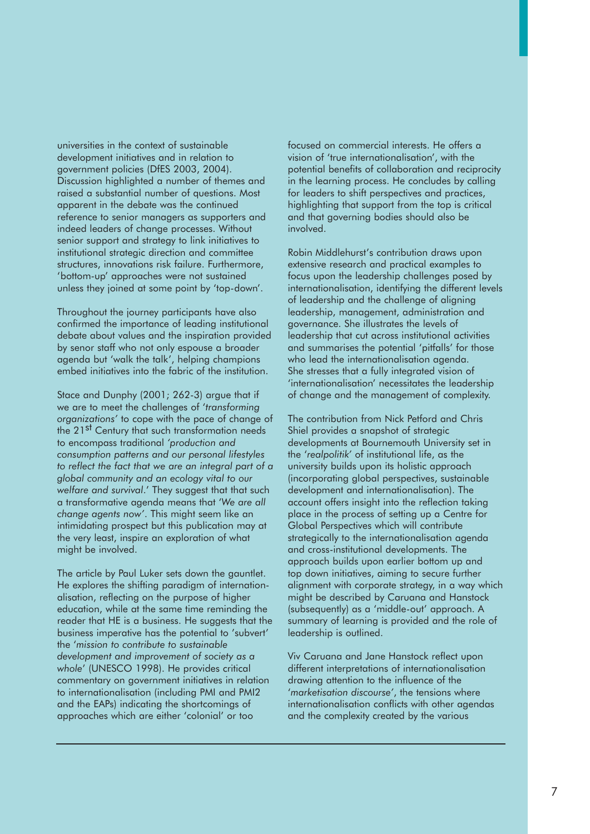universities in the context of sustainable development initiatives and in relation to government policies (DfES 2003, 2004). Discussion highlighted a number of themes and raised a substantial number of questions. Most apparent in the debate was the continued reference to senior managers as supporters and indeed leaders of change processes. Without senior support and strategy to link initiatives to institutional strategic direction and committee structures, innovations risk failure. Furthermore, 'bottom-up' approaches were not sustained unless they joined at some point by 'top-down'.

Throughout the journey participants have also confirmed the importance of leading institutional debate about values and the inspiration provided by senor staff who not only espouse a broader agenda but 'walk the talk', helping champions embed initiatives into the fabric of the institution.

Stace and Dunphy (2001; 262-3) argue that if we are to meet the challenges of '*transforming organizations'* to cope with the pace of change of the 21<sup>st</sup> Century that such transformation needs to encompass traditional *'production and consumption patterns and our personal lifestyles to reflect the fact that we are an integral part of a global community and an ecology vital to our welfare and survival*.' They suggest that that such a transformative agenda means that '*We are all change agents now'*. This might seem like an intimidating prospect but this publication may at the very least, inspire an exploration of what might be involved.

The article by Paul Luker sets down the gauntlet. He explores the shifting paradigm of internationalisation, reflecting on the purpose of higher education, while at the same time reminding the reader that HE is a business. He suggests that the business imperative has the potential to 'subvert' the '*mission to contribute to sustainable development and improvement of society as a whole*' (UNESCO 1998). He provides critical commentary on government initiatives in relation to internationalisation (including PMI and PMI2 and the EAPs) indicating the shortcomings of approaches which are either 'colonial' or too

focused on commercial interests. He offers a vision of 'true internationalisation', with the potential benefits of collaboration and reciprocity in the learning process. He concludes by calling for leaders to shift perspectives and practices, highlighting that support from the top is critical and that governing bodies should also be involved.

Robin Middlehurst's contribution draws upon extensive research and practical examples to focus upon the leadership challenges posed by internationalisation, identifying the different levels of leadership and the challenge of aligning leadership, management, administration and governance. She illustrates the levels of leadership that cut across institutional activities and summarises the potential 'pitfalls' for those who lead the internationalisation agenda. She stresses that a fully integrated vision of 'internationalisation' necessitates the leadership of change and the management of complexity.

The contribution from Nick Petford and Chris Shiel provides a snapshot of strategic developments at Bournemouth University set in the '*realpolitik'* of institutional life, as the university builds upon its holistic approach (incorporating global perspectives, sustainable development and internationalisation). The account offers insight into the reflection taking place in the process of setting up a Centre for Global Perspectives which will contribute strategically to the internationalisation agenda and cross-institutional developments. The approach builds upon earlier bottom up and top down initiatives, aiming to secure further alignment with corporate strategy, in a way which might be described by Caruana and Hanstock (subsequently) as a 'middle-out' approach. A summary of learning is provided and the role of leadership is outlined.

Viv Caruana and Jane Hanstock reflect upon different interpretations of internationalisation drawing attention to the influence of the '*marketisation discourse'*, the tensions where internationalisation conflicts with other agendas and the complexity created by the various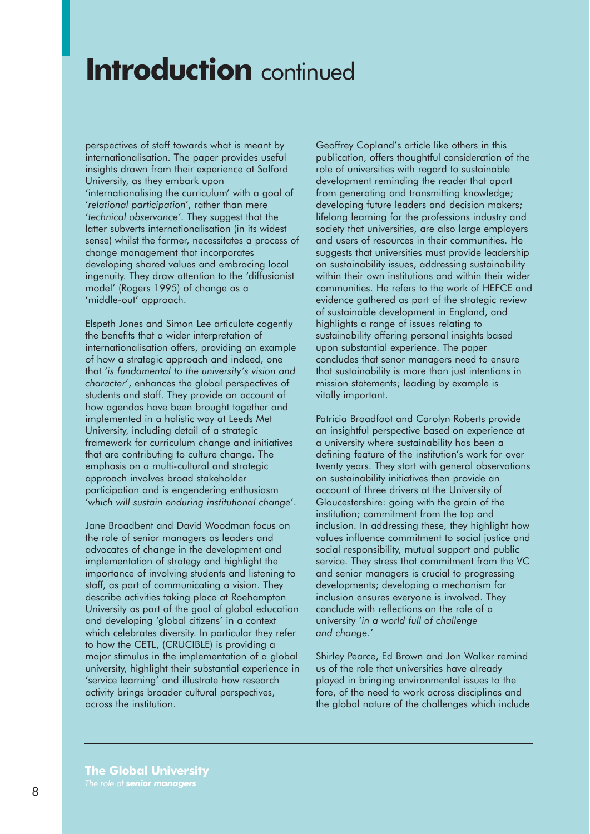## **Introduction** continued

perspectives of staff towards what is meant by internationalisation. The paper provides useful insights drawn from their experience at Salford University, as they embark upon 'internationalising the curriculum' with a goal of '*relational participation'*, rather than mere '*technical observance'*. They suggest that the latter subverts internationalisation (in its widest sense) whilst the former, necessitates a process of change management that incorporates developing shared values and embracing local ingenuity. They draw attention to the 'diffusionist model' (Rogers 1995) of change as a 'middle-out' approach.

Elspeth Jones and Simon Lee articulate cogently the benefits that a wider interpretation of internationalisation offers, providing an example of how a strategic approach and indeed, one that '*is fundamental to the university's vision and character*', enhances the global perspectives of students and staff. They provide an account of how agendas have been brought together and implemented in a holistic way at Leeds Met University, including detail of a strategic framework for curriculum change and initiatives that are contributing to culture change. The emphasis on a multi-cultural and strategic approach involves broad stakeholder participation and is engendering enthusiasm '*which will sustain enduring institutional change*'.

Jane Broadbent and David Woodman focus on the role of senior managers as leaders and advocates of change in the development and implementation of strategy and highlight the importance of involving students and listening to staff, as part of communicating a vision. They describe activities taking place at Roehampton University as part of the goal of global education and developing 'global citizens' in a context which celebrates diversity. In particular they refer to how the CETL, (CRUCIBLE) is providing a major stimulus in the implementation of a global university, highlight their substantial experience in 'service learning' and illustrate how research activity brings broader cultural perspectives, across the institution.

Geoffrey Copland's article like others in this publication, offers thoughtful consideration of the role of universities with regard to sustainable development reminding the reader that apart from generating and transmitting knowledge; developing future leaders and decision makers; lifelong learning for the professions industry and society that universities, are also large employers and users of resources in their communities. He suggests that universities must provide leadership on sustainability issues, addressing sustainability within their own institutions and within their wider communities. He refers to the work of HEFCE and evidence gathered as part of the strategic review of sustainable development in England, and highlights a range of issues relating to sustainability offering personal insights based upon substantial experience. The paper concludes that senor managers need to ensure that sustainability is more than just intentions in mission statements; leading by example is vitally important.

Patricia Broadfoot and Carolyn Roberts provide an insightful perspective based on experience at a university where sustainability has been a defining feature of the institution's work for over twenty years. They start with general observations on sustainability initiatives then provide an account of three drivers at the University of Gloucestershire: going with the grain of the institution; commitment from the top and inclusion. In addressing these, they highlight how values influence commitment to social justice and social responsibility, mutual support and public service. They stress that commitment from the VC and senior managers is crucial to progressing developments; developing a mechanism for inclusion ensures everyone is involved. They conclude with reflections on the role of a university '*in a world full of challenge and change.'*

Shirley Pearce, Ed Brown and Jon Walker remind us of the role that universities have already played in bringing environmental issues to the fore, of the need to work across disciplines and the global nature of the challenges which include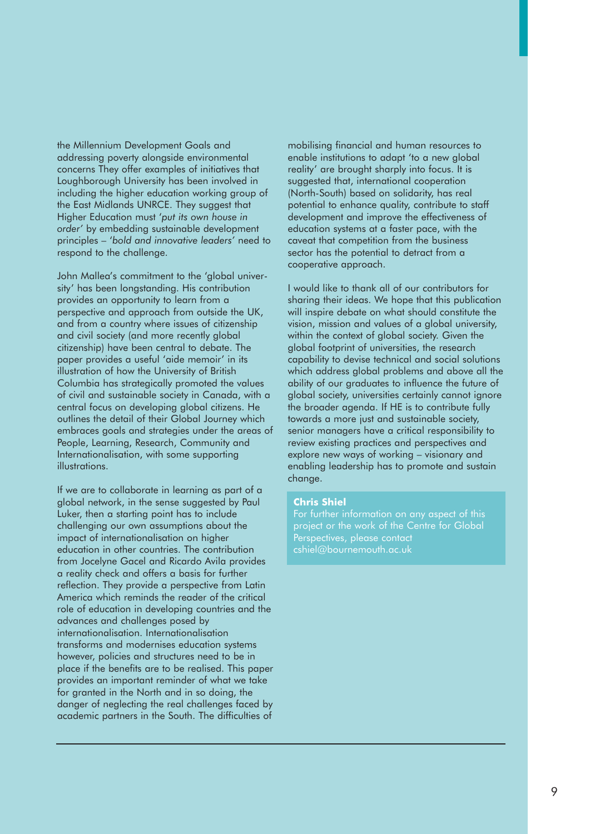the Millennium Development Goals and addressing poverty alongside environmental concerns They offer examples of initiatives that Loughborough University has been involved in including the higher education working group of the East Midlands UNRCE. They suggest that Higher Education must '*put its own house in order'* by embedding sustainable development principles – '*bold and innovative leaders'* need to respond to the challenge.

John Mallea's commitment to the 'global university' has been longstanding. His contribution provides an opportunity to learn from a perspective and approach from outside the UK, and from a country where issues of citizenship and civil society (and more recently global citizenship) have been central to debate. The paper provides a useful 'aide memoir' in its illustration of how the University of British Columbia has strategically promoted the values of civil and sustainable society in Canada, with a central focus on developing global citizens. He outlines the detail of their Global Journey which embraces goals and strategies under the areas of People, Learning, Research, Community and Internationalisation, with some supporting illustrations.

If we are to collaborate in learning as part of a global network, in the sense suggested by Paul Luker, then a starting point has to include challenging our own assumptions about the impact of internationalisation on higher education in other countries. The contribution from Jocelyne Gacel and Ricardo Avila provides a reality check and offers a basis for further reflection. They provide a perspective from Latin America which reminds the reader of the critical role of education in developing countries and the advances and challenges posed by internationalisation. Internationalisation transforms and modernises education systems however, policies and structures need to be in place if the benefits are to be realised. This paper provides an important reminder of what we take for granted in the North and in so doing, the danger of neglecting the real challenges faced by academic partners in the South. The difficulties of

mobilising financial and human resources to enable institutions to adapt 'to a new global reality' are brought sharply into focus. It is suggested that, international cooperation (North-South) based on solidarity, has real potential to enhance quality, contribute to staff development and improve the effectiveness of education systems at a faster pace, with the caveat that competition from the business sector has the potential to detract from a cooperative approach.

I would like to thank all of our contributors for sharing their ideas. We hope that this publication will inspire debate on what should constitute the vision, mission and values of a global university, within the context of global society. Given the global footprint of universities, the research capability to devise technical and social solutions which address global problems and above all the ability of our graduates to influence the future of global society, universities certainly cannot ignore the broader agenda. If HE is to contribute fully towards a more just and sustainable society, senior managers have a critical responsibility to review existing practices and perspectives and explore new ways of working – visionary and enabling leadership has to promote and sustain change.

#### **Chris Shiel**

For further information on any aspect of this Perspectives, please contact cshiel@bournemouth.ac.uk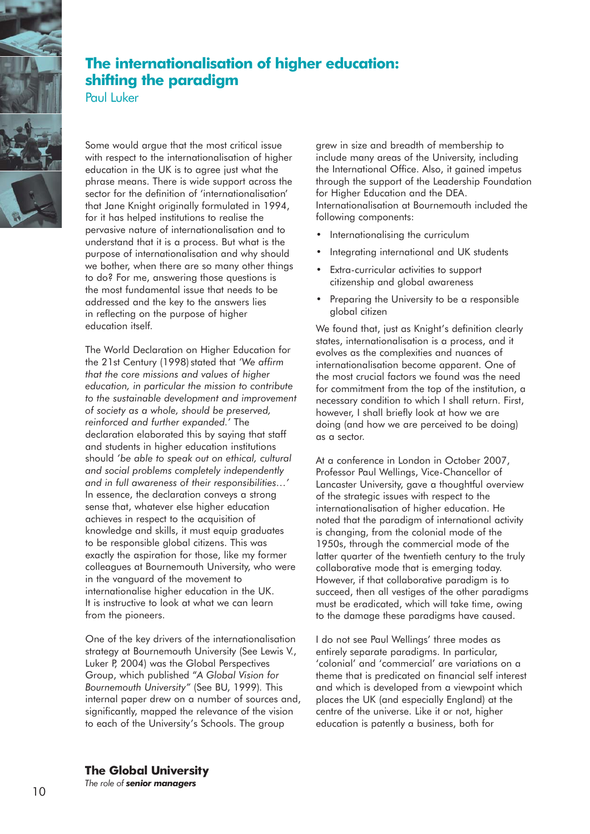

## **The internationalisation of higher education: shifting the paradigm**

Paul Luker

Some would argue that the most critical issue with respect to the internationalisation of higher education in the UK is to agree just what the phrase means. There is wide support across the sector for the definition of 'internationalisation' that Jane Knight originally formulated in 1994, for it has helped institutions to realise the pervasive nature of internationalisation and to understand that it is a process. But what is the purpose of internationalisation and why should we bother, when there are so many other things to do? For me, answering those questions is the most fundamental issue that needs to be addressed and the key to the answers lies in reflecting on the purpose of higher education itself.

The World Declaration on Higher Education for the 21st Century (1998) stated that *'We affirm that the core missions and values of higher education, in particular the mission to contribute to the sustainable development and improvement of society as a whole, should be preserved, reinforced and further expanded.'* The declaration elaborated this by saying that staff and students in higher education institutions should *'be able to speak out on ethical, cultural and social problems completely independently and in full awareness of their responsibilities…'*  In essence, the declaration conveys a strong sense that, whatever else higher education achieves in respect to the acquisition of knowledge and skills, it must equip graduates to be responsible global citizens. This was exactly the aspiration for those, like my former colleagues at Bournemouth University, who were in the vanguard of the movement to internationalise higher education in the UK. It is instructive to look at what we can learn from the pioneers.

One of the key drivers of the internationalisation strategy at Bournemouth University (See Lewis V., Luker P, 2004) was the Global Perspectives Group, which published "*A Global Vision for Bournemouth University"* (See BU, 1999)*.* This internal paper drew on a number of sources and, significantly, mapped the relevance of the vision to each of the University's Schools. The group

grew in size and breadth of membership to include many areas of the University, including the International Office. Also, it gained impetus through the support of the Leadership Foundation for Higher Education and the DEA. Internationalisation at Bournemouth included the following components:

- Internationalising the curriculum
- Integrating international and UK students
- Extra-curricular activities to support citizenship and global awareness
- Preparing the University to be a responsible global citizen

We found that, just as Knight's definition clearly states, internationalisation is a process, and it evolves as the complexities and nuances of internationalisation become apparent. One of the most crucial factors we found was the need for commitment from the top of the institution, a necessary condition to which I shall return. First, however, I shall briefly look at how we are doing (and how we are perceived to be doing) as a sector.

At a conference in London in October 2007, Professor Paul Wellings, Vice-Chancellor of Lancaster University, gave a thoughtful overview of the strategic issues with respect to the internationalisation of higher education. He noted that the paradigm of international activity is changing, from the colonial mode of the 1950s, through the commercial mode of the latter quarter of the twentieth century to the truly collaborative mode that is emerging today. However, if that collaborative paradigm is to succeed, then all vestiges of the other paradigms must be eradicated, which will take time, owing to the damage these paradigms have caused.

I do not see Paul Wellings' three modes as entirely separate paradigms. In particular, 'colonial' and 'commercial' are variations on a theme that is predicated on financial self interest and which is developed from a viewpoint which places the UK (and especially England) at the centre of the universe. Like it or not, higher education is patently a business, both for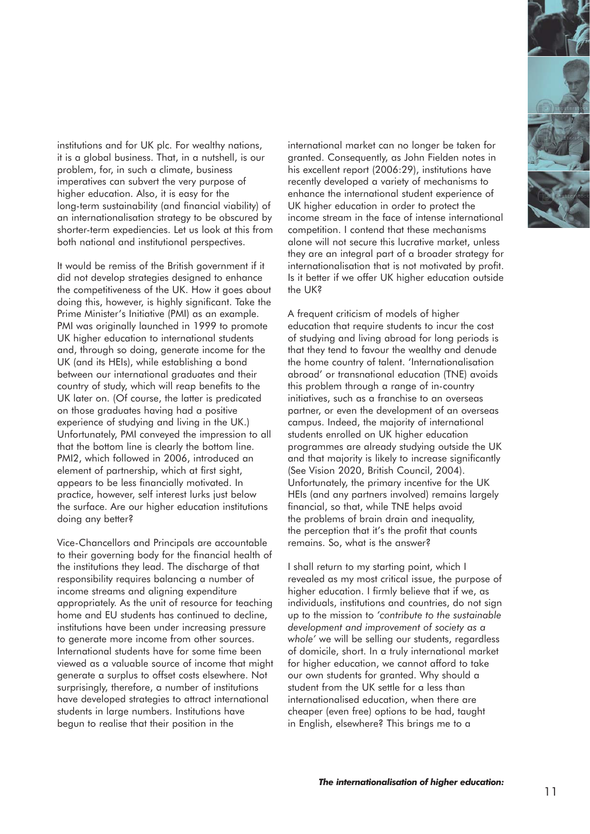

institutions and for UK plc. For wealthy nations, it is a global business. That, in a nutshell, is our problem, for, in such a climate, business imperatives can subvert the very purpose of higher education. Also, it is easy for the long-term sustainability (and financial viability) of an internationalisation strategy to be obscured by shorter-term expediencies. Let us look at this from both national and institutional perspectives.

It would be remiss of the British government if it did not develop strategies designed to enhance the competitiveness of the UK. How it goes about doing this, however, is highly significant. Take the Prime Minister's Initiative (PMI) as an example. PMI was originally launched in 1999 to promote UK higher education to international students and, through so doing, generate income for the UK (and its HEIs), while establishing a bond between our international graduates and their country of study, which will reap benefits to the UK later on. (Of course, the latter is predicated on those graduates having had a positive experience of studying and living in the UK.) Unfortunately, PMI conveyed the impression to all that the bottom line is clearly the bottom line. PMI2, which followed in 2006, introduced an element of partnership, which at first sight, appears to be less financially motivated. In practice, however, self interest lurks just below the surface. Are our higher education institutions doing any better?

Vice-Chancellors and Principals are accountable to their governing body for the financial health of the institutions they lead. The discharge of that responsibility requires balancing a number of income streams and aligning expenditure appropriately. As the unit of resource for teaching home and EU students has continued to decline, institutions have been under increasing pressure to generate more income from other sources. International students have for some time been viewed as a valuable source of income that might generate a surplus to offset costs elsewhere. Not surprisingly, therefore, a number of institutions have developed strategies to attract international students in large numbers. Institutions have begun to realise that their position in the

international market can no longer be taken for granted. Consequently, as John Fielden notes in his excellent report (2006:29), institutions have recently developed a variety of mechanisms to enhance the international student experience of UK higher education in order to protect the income stream in the face of intense international competition. I contend that these mechanisms alone will not secure this lucrative market, unless they are an integral part of a broader strategy for internationalisation that is not motivated by profit. Is it better if we offer UK higher education outside the UK?

A frequent criticism of models of higher education that require students to incur the cost of studying and living abroad for long periods is that they tend to favour the wealthy and denude the home country of talent. 'Internationalisation abroad' or transnational education (TNE) avoids this problem through a range of in-country initiatives, such as a franchise to an overseas partner, or even the development of an overseas campus. Indeed, the majority of international students enrolled on UK higher education programmes are already studying outside the UK and that majority is likely to increase significantly (See Vision 2020, British Council, 2004). Unfortunately, the primary incentive for the UK HEIs (and any partners involved) remains largely financial, so that, while TNE helps avoid the problems of brain drain and inequality, the perception that it's the profit that counts remains. So, what is the answer?

I shall return to my starting point, which I revealed as my most critical issue, the purpose of higher education. I firmly believe that if we, as individuals, institutions and countries, do not sign up to the mission to *'contribute to the sustainable development and improvement of society as a whole'* we will be selling our students, regardless of domicile, short. In a truly international market for higher education, we cannot afford to take our own students for granted. Why should a student from the UK settle for a less than internationalised education, when there are cheaper (even free) options to be had, taught in English, elsewhere? This brings me to a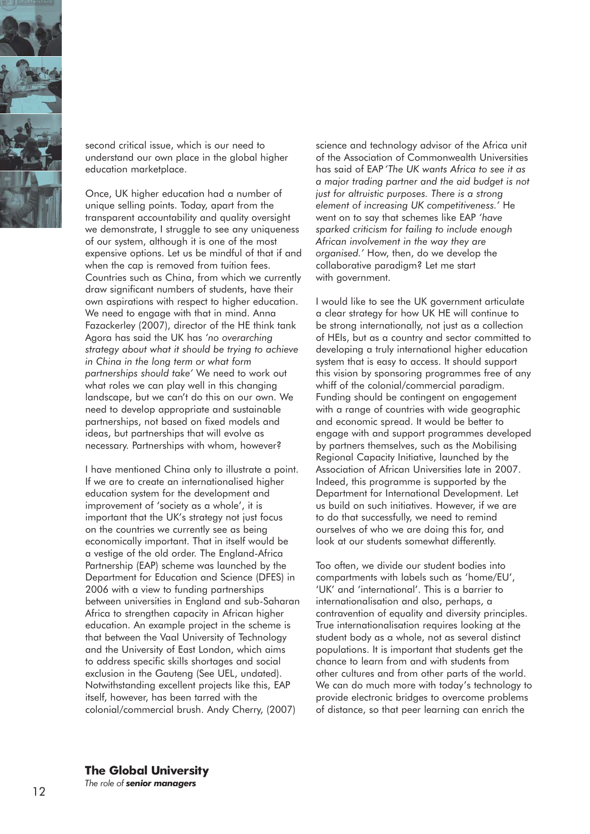

second critical issue, which is our need to understand our own place in the global higher education marketplace.

Once, UK higher education had a number of unique selling points. Today, apart from the transparent accountability and quality oversight we demonstrate, I struggle to see any uniqueness of our system, although it is one of the most expensive options. Let us be mindful of that if and when the cap is removed from tuition fees. Countries such as China, from which we currently draw significant numbers of students, have their own aspirations with respect to higher education. We need to engage with that in mind. Anna Fazackerley (2007), director of the HE think tank Agora has said the UK has *'no overarching strategy about what it should be trying to achieve in China in the long term or what form partnerships should take'* We need to work out what roles we can play well in this changing landscape, but we can't do this on our own. We need to develop appropriate and sustainable partnerships, not based on fixed models and ideas, but partnerships that will evolve as necessary. Partnerships with whom, however?

I have mentioned China only to illustrate a point. If we are to create an internationalised higher education system for the development and improvement of 'society as a whole', it is important that the UK's strategy not just focus on the countries we currently see as being economically important. That in itself would be a vestige of the old order. The England-Africa Partnership (EAP) scheme was launched by the Department for Education and Science (DFES) in 2006 with a view to funding partnerships between universities in England and sub-Saharan Africa to strengthen capacity in African higher education. An example project in the scheme is that between the Vaal University of Technology and the University of East London, which aims to address specific skills shortages and social exclusion in the Gauteng (See UEL, undated). Notwithstanding excellent projects like this, EAP itself, however, has been tarred with the colonial/commercial brush. Andy Cherry, (2007)

science and technology advisor of the Africa unit of the Association of Commonwealth Universities has said of EAP *'The UK wants Africa to see it as a major trading partner and the aid budget is not just for altruistic purposes. There is a strong element of increasing UK competitiveness.'* He went on to say that schemes like EAP *'have sparked criticism for failing to include enough African involvement in the way they are organised.'* How, then, do we develop the collaborative paradigm? Let me start with government.

I would like to see the UK government articulate a clear strategy for how UK HE will continue to be strong internationally, not just as a collection of HEIs, but as a country and sector committed to developing a truly international higher education system that is easy to access. It should support this vision by sponsoring programmes free of any whiff of the colonial/commercial paradigm. Funding should be contingent on engagement with a range of countries with wide geographic and economic spread. It would be better to engage with and support programmes developed by partners themselves, such as the Mobilising Regional Capacity Initiative, launched by the Association of African Universities late in 2007. Indeed, this programme is supported by the Department for International Development. Let us build on such initiatives. However, if we are to do that successfully, we need to remind ourselves of who we are doing this for, and look at our students somewhat differently.

Too often, we divide our student bodies into compartments with labels such as 'home/EU', 'UK' and 'international'. This is a barrier to internationalisation and also, perhaps, a contravention of equality and diversity principles. True internationalisation requires looking at the student body as a whole, not as several distinct populations. It is important that students get the chance to learn from and with students from other cultures and from other parts of the world. We can do much more with today's technology to provide electronic bridges to overcome problems of distance, so that peer learning can enrich the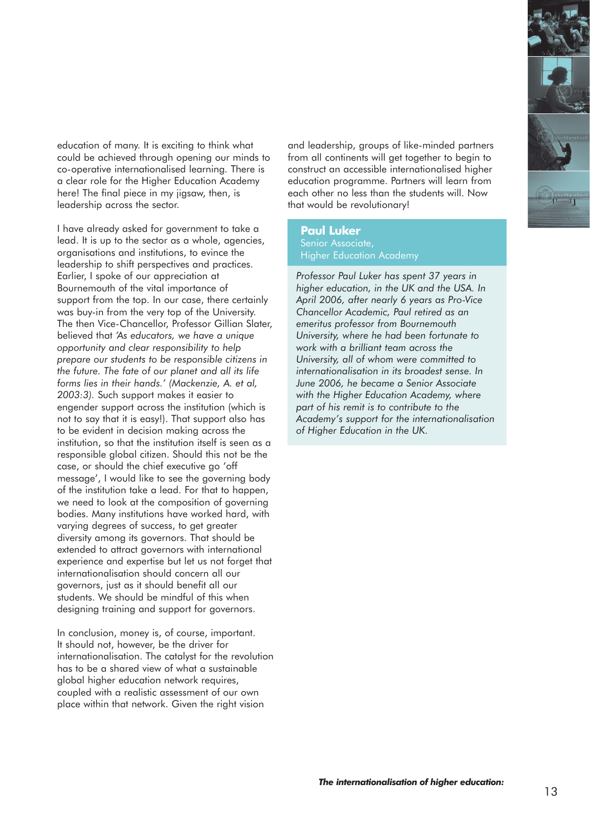

education of many. It is exciting to think what could be achieved through opening our minds to co-operative internationalised learning. There is a clear role for the Higher Education Academy here! The final piece in my jigsaw, then, is leadership across the sector.

I have already asked for government to take a lead. It is up to the sector as a whole, agencies, organisations and institutions, to evince the leadership to shift perspectives and practices. Earlier, I spoke of our appreciation at Bournemouth of the vital importance of support from the top. In our case, there certainly was buy-in from the very top of the University. The then Vice-Chancellor, Professor Gillian Slater, believed that *'As educators, we have a unique opportunity and clear responsibility to help prepare our students to be responsible citizens in the future. The fate of our planet and all its life forms lies in their hands.' (Mackenzie, A. et al, 2003:3).* Such support makes it easier to engender support across the institution (which is not to say that it is easy!). That support also has to be evident in decision making across the institution, so that the institution itself is seen as a responsible global citizen. Should this not be the case, or should the chief executive go 'off message', I would like to see the governing body of the institution take a lead. For that to happen, we need to look at the composition of governing bodies. Many institutions have worked hard, with varying degrees of success, to get greater diversity among its governors. That should be extended to attract governors with international experience and expertise but let us not forget that internationalisation should concern all our governors, just as it should benefit all our students. We should be mindful of this when designing training and support for governors.

In conclusion, money is, of course, important. It should not, however, be the driver for internationalisation. The catalyst for the revolution has to be a shared view of what a sustainable global higher education network requires, coupled with a realistic assessment of our own place within that network. Given the right vision

and leadership, groups of like-minded partners from all continents will get together to begin to construct an accessible internationalised higher education programme. Partners will learn from each other no less than the students will. Now that would be revolutionary!

#### **Paul Luker** Senior Associate, Higher Education Academy

*Professor Paul Luker has spent 37 years in higher education, in the UK and the USA. In April 2006, after nearly 6 years as Pro-Vice Chancellor Academic, Paul retired as an emeritus professor from Bournemouth University, where he had been fortunate to work with a brilliant team across the University, all of whom were committed to internationalisation in its broadest sense. In June 2006, he became a Senior Associate with the Higher Education Academy, where part of his remit is to contribute to the Academy's support for the internationalisation of Higher Education in the UK.*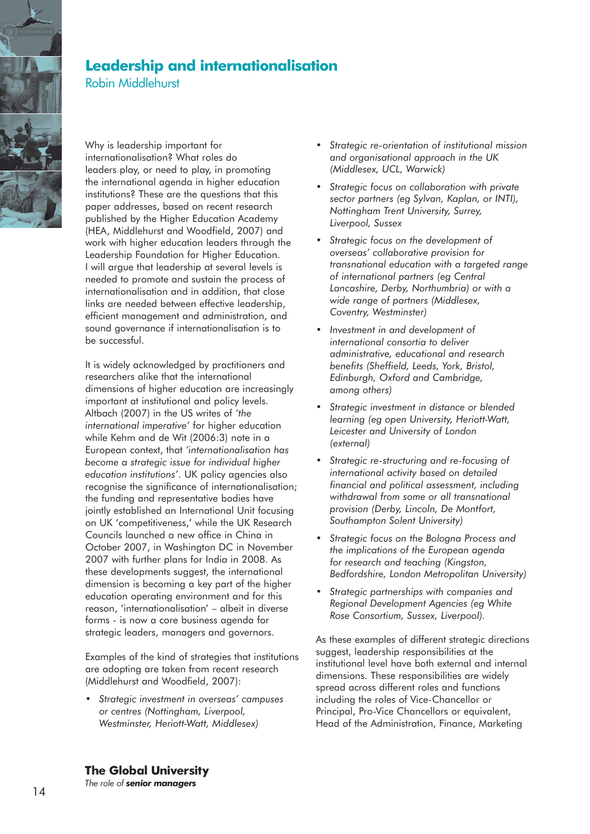

### **Leadership and internationalisation**

Robin Middlehurst

Why is leadership important for internationalisation? What roles do leaders play, or need to play, in promoting the international agenda in higher education institutions? These are the questions that this paper addresses, based on recent research published by the Higher Education Academy (HEA, Middlehurst and Woodfield, 2007) and work with higher education leaders through the Leadership Foundation for Higher Education. I will argue that leadership at several levels is needed to promote and sustain the process of internationalisation and in addition, that close links are needed between effective leadership, efficient management and administration, and sound governance if internationalisation is to be successful.

It is widely acknowledged by practitioners and researchers alike that the international dimensions of higher education are increasingly important at institutional and policy levels. Altbach (2007) in the US writes of *'the international imperative'* for higher education while Kehm and de Wit (2006:3) note in a European context, that *'internationalisation has become a strategic issue for individual higher education institutions'*. UK policy agencies also recognise the significance of internationalisation; the funding and representative bodies have jointly established an International Unit focusing on UK 'competitiveness,' while the UK Research Councils launched a new office in China in October 2007, in Washington DC in November 2007 with further plans for India in 2008. As these developments suggest, the international dimension is becoming a key part of the higher education operating environment and for this reason, 'internationalisation' – albeit in diverse forms - is now a core business agenda for strategic leaders, managers and governors.

Examples of the kind of strategies that institutions are adopting are taken from recent research (Middlehurst and Woodfield, 2007):

*• Strategic investment in overseas' campuses or centres (Nottingham, Liverpool, Westminster, Heriott-Watt, Middlesex)*

- *Strategic re-orientation of institutional mission and organisational approach in the UK (Middlesex, UCL, Warwick)*
- *Strategic focus on collaboration with private sector partners (eg Sylvan, Kaplan, or INTI), Nottingham Trent University, Surrey, Liverpool, Sussex*
- *Strategic focus on the development of overseas' collaborative provision for transnational education with a targeted range of international partners (eg Central Lancashire, Derby, Northumbria) or with a wide range of partners (Middlesex, Coventry, Westminster)*
- *Investment in and development of international consortia to deliver administrative, educational and research benefits (Sheffield, Leeds, York, Bristol, Edinburgh, Oxford and Cambridge, among others)*
- *Strategic investment in distance or blended learning (eg open University, Heriott-Watt, Leicester and University of London (external)*
- *Strategic re-structuring and re-focusing of international activity based on detailed financial and political assessment, including withdrawal from some or all transnational provision (Derby, Lincoln, De Montfort, Southampton Solent University)*
- *Strategic focus on the Bologna Process and the implications of the European agenda for research and teaching (Kingston, Bedfordshire, London Metropolitan University)*
- *Strategic partnerships with companies and Regional Development Agencies (eg White Rose Consortium, Sussex, Liverpool).*

As these examples of different strategic directions suggest, leadership responsibilities at the institutional level have both external and internal dimensions. These responsibilities are widely spread across different roles and functions including the roles of Vice-Chancellor or Principal, Pro-Vice Chancellors or equivalent, Head of the Administration, Finance, Marketing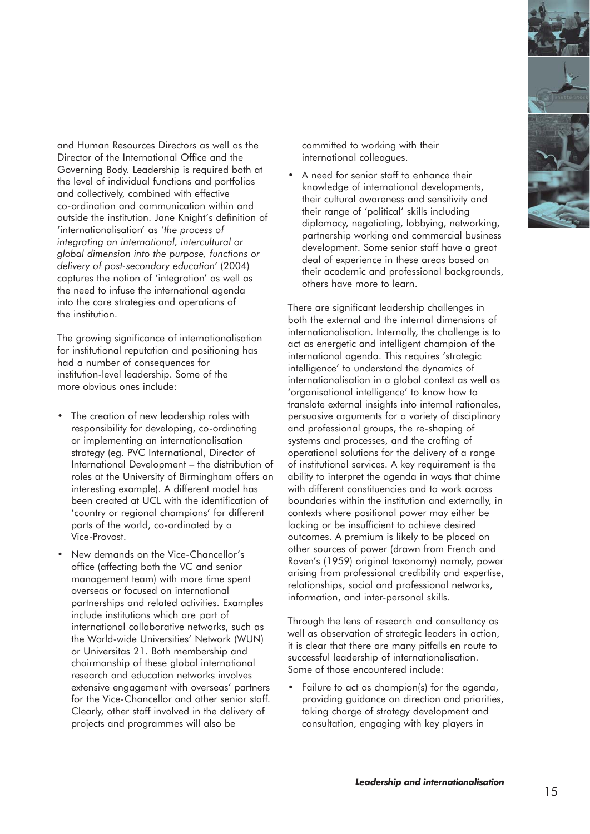

and Human Resources Directors as well as the Director of the International Office and the Governing Body. Leadership is required both at the level of individual functions and portfolios and collectively, combined with effective co-ordination and communication within and outside the institution. Jane Knight's definition of 'internationalisation' as *'the process of integrating an international, intercultural or global dimension into the purpose, functions or delivery of post-secondary education'* (2004) captures the notion of 'integration' as well as the need to infuse the international agenda into the core strategies and operations of the institution.

The growing significance of internationalisation for institutional reputation and positioning has had a number of consequences for institution-level leadership. Some of the more obvious ones include:

- The creation of new leadership roles with responsibility for developing, co-ordinating or implementing an internationalisation strategy (eg. PVC International, Director of International Development – the distribution of roles at the University of Birmingham offers an interesting example). A different model has been created at UCL with the identification of 'country or regional champions' for different parts of the world, co-ordinated by a Vice-Provost.
- New demands on the Vice-Chancellor's office (affecting both the VC and senior management team) with more time spent overseas or focused on international partnerships and related activities. Examples include institutions which are part of international collaborative networks, such as the World-wide Universities' Network (WUN) or Universitas 21. Both membership and chairmanship of these global international research and education networks involves extensive engagement with overseas' partners for the Vice-Chancellor and other senior staff. Clearly, other staff involved in the delivery of projects and programmes will also be

committed to working with their international colleagues.

• A need for senior staff to enhance their knowledge of international developments, their cultural awareness and sensitivity and their range of 'political' skills including diplomacy, negotiating, lobbying, networking, partnership working and commercial business development. Some senior staff have a great deal of experience in these areas based on their academic and professional backgrounds, others have more to learn.

There are significant leadership challenges in both the external and the internal dimensions of internationalisation. Internally, the challenge is to act as energetic and intelligent champion of the international agenda. This requires 'strategic intelligence' to understand the dynamics of internationalisation in a global context as well as 'organisational intelligence' to know how to translate external insights into internal rationales, persuasive arguments for a variety of disciplinary and professional groups, the re-shaping of systems and processes, and the crafting of operational solutions for the delivery of a range of institutional services. A key requirement is the ability to interpret the agenda in ways that chime with different constituencies and to work across boundaries within the institution and externally, in contexts where positional power may either be lacking or be insufficient to achieve desired outcomes. A premium is likely to be placed on other sources of power (drawn from French and Raven's (1959) original taxonomy) namely, power arising from professional credibility and expertise, relationships, social and professional networks, information, and inter-personal skills.

Through the lens of research and consultancy as well as observation of strategic leaders in action, it is clear that there are many pitfalls en route to successful leadership of internationalisation. Some of those encountered include:

Failure to act as champion(s) for the agenda, providing guidance on direction and priorities, taking charge of strategy development and consultation, engaging with key players in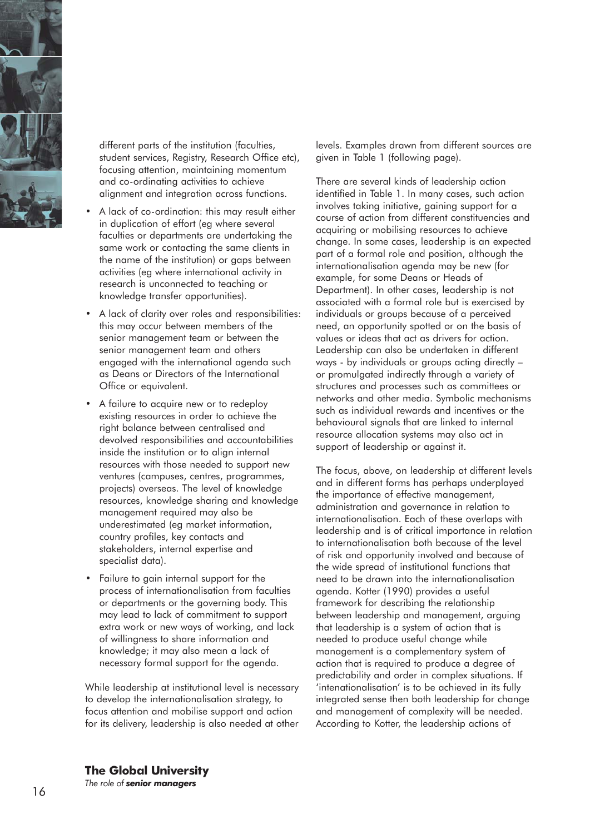

different parts of the institution (faculties, student services, Registry, Research Office etc), focusing attention, maintaining momentum and co-ordinating activities to achieve alignment and integration across functions.

- A lack of co-ordination: this may result either in duplication of effort (eg where several faculties or departments are undertaking the same work or contacting the same clients in the name of the institution) or gaps between activities (eg where international activity in research is unconnected to teaching or knowledge transfer opportunities).
- A lack of clarity over roles and responsibilities: this may occur between members of the senior management team or between the senior management team and others engaged with the international agenda such as Deans or Directors of the International Office or equivalent.
- A failure to acquire new or to redeploy existing resources in order to achieve the right balance between centralised and devolved responsibilities and accountabilities inside the institution or to align internal resources with those needed to support new ventures (campuses, centres, programmes, projects) overseas. The level of knowledge resources, knowledge sharing and knowledge management required may also be underestimated (eg market information, country profiles, key contacts and stakeholders, internal expertise and specialist data).
- Failure to gain internal support for the process of internationalisation from faculties or departments or the governing body. This may lead to lack of commitment to support extra work or new ways of working, and lack of willingness to share information and knowledge; it may also mean a lack of necessary formal support for the agenda.

While leadership at institutional level is necessary to develop the internationalisation strategy, to focus attention and mobilise support and action for its delivery, leadership is also needed at other

levels. Examples drawn from different sources are given in Table 1 (following page).

There are several kinds of leadership action identified in Table 1. In many cases, such action involves taking initiative, gaining support for a course of action from different constituencies and acquiring or mobilising resources to achieve change. In some cases, leadership is an expected part of a formal role and position, although the internationalisation agenda may be new (for example, for some Deans or Heads of Department). In other cases, leadership is not associated with a formal role but is exercised by individuals or groups because of a perceived need, an opportunity spotted or on the basis of values or ideas that act as drivers for action. Leadership can also be undertaken in different ways - by individuals or groups acting directly – or promulgated indirectly through a variety of structures and processes such as committees or networks and other media. Symbolic mechanisms such as individual rewards and incentives or the behavioural signals that are linked to internal resource allocation systems may also act in support of leadership or against it.

The focus, above, on leadership at different levels and in different forms has perhaps underplayed the importance of effective management, administration and governance in relation to internationalisation. Each of these overlaps with leadership and is of critical importance in relation to internationalisation both because of the level of risk and opportunity involved and because of the wide spread of institutional functions that need to be drawn into the internationalisation agenda. Kotter (1990) provides a useful framework for describing the relationship between leadership and management, arguing that leadership is a system of action that is needed to produce useful change while management is a complementary system of action that is required to produce a degree of predictability and order in complex situations. If 'intenationalisation' is to be achieved in its fully integrated sense then both leadership for change and management of complexity will be needed. According to Kotter, the leadership actions of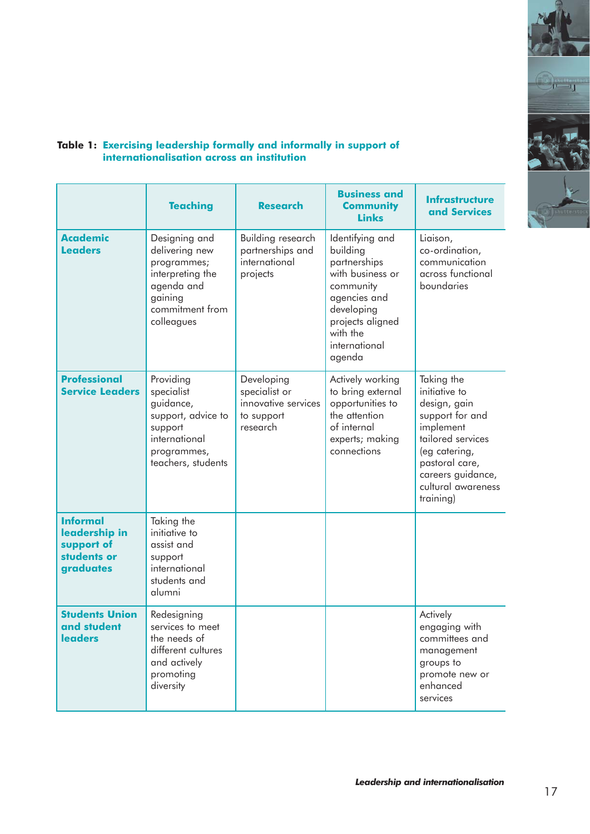

#### **Table 1: Exercising leadership formally and informally in support of internationalisation across an institution**

'n

|                                                                            | <b>Teaching</b>                                                                                                              | <b>Research</b>                                                              | <b>Business and</b><br><b>Community</b><br><b>Links</b>                                                                                                               | <b>Infrastructure</b><br>and Services                                                                                                                                                       |
|----------------------------------------------------------------------------|------------------------------------------------------------------------------------------------------------------------------|------------------------------------------------------------------------------|-----------------------------------------------------------------------------------------------------------------------------------------------------------------------|---------------------------------------------------------------------------------------------------------------------------------------------------------------------------------------------|
| <b>Academic</b><br><b>Leaders</b>                                          | Designing and<br>delivering new<br>programmes;<br>interpreting the<br>agenda and<br>gaining<br>commitment from<br>colleagues | Building research<br>partnerships and<br>international<br>projects           | Identifying and<br>building<br>partnerships<br>with business or<br>community<br>agencies and<br>developing<br>projects aligned<br>with the<br>international<br>agenda | Liaison,<br>co-ordination,<br>communication<br>across functional<br>boundaries                                                                                                              |
| <b>Professional</b><br><b>Service Leaders</b>                              | Providing<br>specialist<br>guidance,<br>support, advice to<br>support<br>international<br>programmes,<br>teachers, students  | Developing<br>specialist or<br>innovative services<br>to support<br>research | Actively working<br>to bring external<br>opportunities to<br>the attention<br>of internal<br>experts; making<br>connections                                           | Taking the<br>initiative to<br>design, gain<br>support for and<br>implement<br>tailored services<br>(eg catering,<br>pastoral care,<br>careers guidance,<br>cultural awareness<br>training) |
| <b>Informal</b><br>leadership in<br>support of<br>students or<br>graduates | Taking the<br>initiative to<br>assist and<br>support<br>international<br>students and<br>alumni                              |                                                                              |                                                                                                                                                                       |                                                                                                                                                                                             |
| <b>Students Union</b><br>and student<br><b>leaders</b>                     | Redesigning<br>services to meet<br>the needs of<br>different cultures<br>and actively<br>promoting<br>diversity              |                                                                              |                                                                                                                                                                       | Actively<br>engaging with<br>committees and<br>management<br>groups to<br>promote new or<br>enhanced<br>services                                                                            |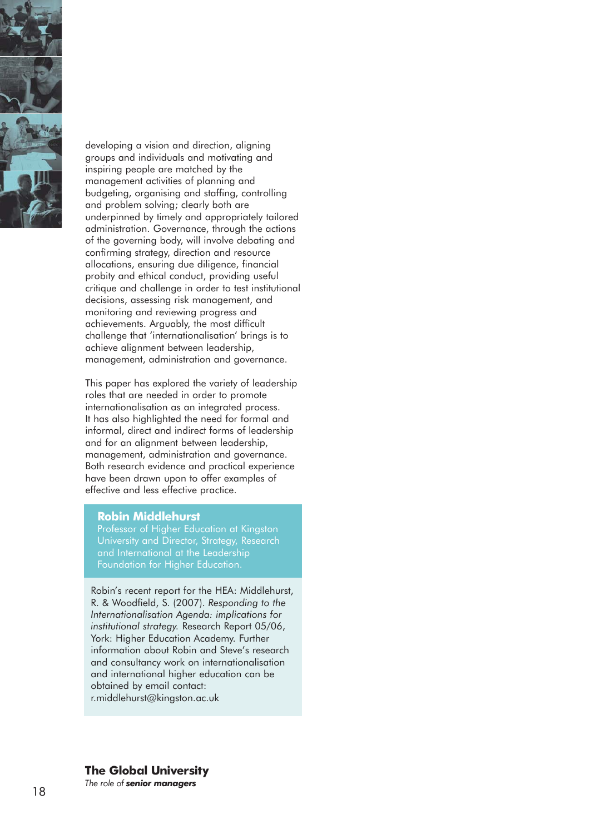

developing a vision and direction, aligning groups and individuals and motivating and inspiring people are matched by the management activities of planning and budgeting, organising and staffing, controlling and problem solving; clearly both are underpinned by timely and appropriately tailored administration. Governance, through the actions of the governing body, will involve debating and confirming strategy, direction and resource allocations, ensuring due diligence, financial probity and ethical conduct, providing useful critique and challenge in order to test institutional decisions, assessing risk management, and monitoring and reviewing progress and achievements. Arguably, the most difficult challenge that 'internationalisation' brings is to achieve alignment between leadership, management, administration and governance.

This paper has explored the variety of leadership roles that are needed in order to promote internationalisation as an integrated process. It has also highlighted the need for formal and informal, direct and indirect forms of leadership and for an alignment between leadership, management, administration and governance. Both research evidence and practical experience have been drawn upon to offer examples of effective and less effective practice.

#### **Robin Middlehurst**

Professor of Higher Education at Kingston University and Director, Strategy, Research and International at the Leadership Foundation for Higher Education.

Robin's recent report for the HEA: Middlehurst, R. & Woodfield, S. (2007). *Responding to the Internationalisation Agenda: implications for institutional strategy.* Research Report 05/06, York: Higher Education Academy. Further information about Robin and Steve's research and consultancy work on internationalisation and international higher education can be obtained by email contact: r.middlehurst@kingston.ac.uk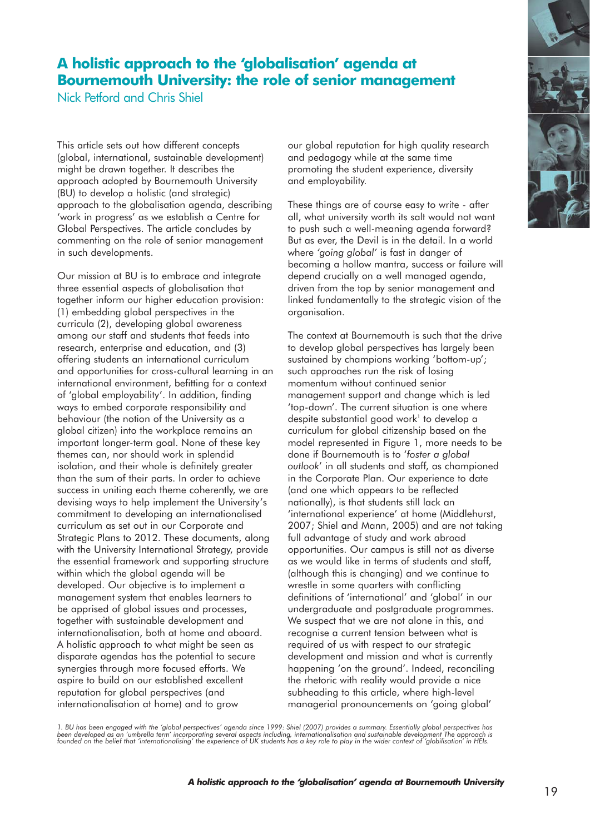## **A holistic approach to the 'globalisation' agenda at Bournemouth University: the role of senior management**

Nick Petford and Chris Shiel

This article sets out how different concepts (global, international, sustainable development) might be drawn together. It describes the approach adopted by Bournemouth University (BU) to develop a holistic (and strategic) approach to the globalisation agenda, describing 'work in progress' as we establish a Centre for Global Perspectives. The article concludes by commenting on the role of senior management in such developments.

Our mission at BU is to embrace and integrate three essential aspects of globalisation that together inform our higher education provision: (1) embedding global perspectives in the curricula (2), developing global awareness among our staff and students that feeds into research, enterprise and education, and (3) offering students an international curriculum and opportunities for cross-cultural learning in an international environment, befitting for a context of 'global employability'. In addition, finding ways to embed corporate responsibility and behaviour (the notion of the University as a global citizen) into the workplace remains an important longer-term goal. None of these key themes can, nor should work in splendid isolation, and their whole is definitely greater than the sum of their parts. In order to achieve success in uniting each theme coherently, we are devising ways to help implement the University's commitment to developing an internationalised curriculum as set out in our Corporate and Strategic Plans to 2012. These documents, along with the University International Strategy, provide the essential framework and supporting structure within which the global agenda will be developed. Our objective is to implement a management system that enables learners to be apprised of global issues and processes, together with sustainable development and internationalisation, both at home and aboard. A holistic approach to what might be seen as disparate agendas has the potential to secure synergies through more focused efforts. We aspire to build on our established excellent reputation for global perspectives (and internationalisation at home) and to grow

our global reputation for high quality research and pedagogy while at the same time promoting the student experience, diversity and employability.

These things are of course easy to write - after all, what university worth its salt would not want to push such a well-meaning agenda forward? But as ever, the Devil is in the detail. In a world where *'going global'* is fast in danger of becoming a hollow mantra, success or failure will depend crucially on a well managed agenda, driven from the top by senior management and linked fundamentally to the strategic vision of the organisation.

The context at Bournemouth is such that the drive to develop global perspectives has largely been sustained by champions working 'bottom-up'; such approaches run the risk of losing momentum without continued senior management support and change which is led 'top-down'. The current situation is one where despite substantial good work<sup>1</sup> to develop a curriculum for global citizenship based on the model represented in Figure 1, more needs to be done if Bournemouth is to '*foster a global outlook*' in all students and staff, as championed in the Corporate Plan. Our experience to date (and one which appears to be reflected nationally), is that students still lack an 'international experience' at home (Middlehurst, 2007; Shiel and Mann, 2005) and are not taking full advantage of study and work abroad opportunities. Our campus is still not as diverse as we would like in terms of students and staff, (although this is changing) and we continue to wrestle in some quarters with conflicting definitions of 'international' and 'global' in our undergraduate and postgraduate programmes. We suspect that we are not alone in this, and recognise a current tension between what is required of us with respect to our strategic development and mission and what is currently happening 'on the ground'. Indeed, reconciling the rhetoric with reality would provide a nice subheading to this article, where high-level managerial pronouncements on 'going global'

1. BU has been engaged with the 'global perspectives' agenda since 1999: Shiel (2007) provides a summary. Essentially global perspectives has<br>been developed as an 'umbrella term' incorporating several aspects including, in

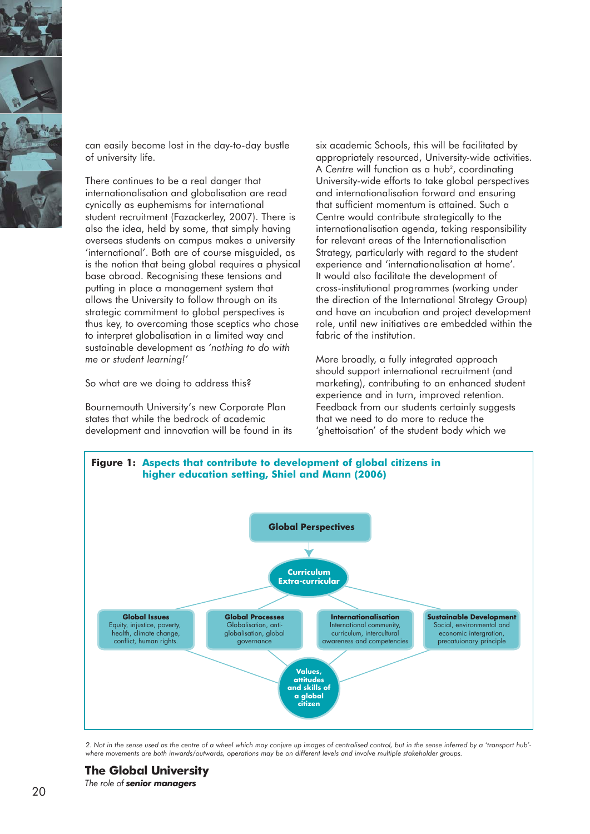

can easily become lost in the day-to-day bustle of university life.

There continues to be a real danger that internationalisation and globalisation are read cynically as euphemisms for international student recruitment (Fazackerley, 2007). There is also the idea, held by some, that simply having overseas students on campus makes a university 'international'. Both are of course misguided, as is the notion that being global requires a physical base abroad. Recognising these tensions and putting in place a management system that allows the University to follow through on its strategic commitment to global perspectives is thus key, to overcoming those sceptics who chose to interpret globalisation in a limited way and sustainable development as *'nothing to do with me or student learning!'* 

So what are we doing to address this?

Bournemouth University's new Corporate Plan states that while the bedrock of academic development and innovation will be found in its six academic Schools, this will be facilitated by appropriately resourced, University-wide activities. A Centre will function as a hub<sup>2</sup>, coordinating University-wide efforts to take global perspectives and internationalisation forward and ensuring that sufficient momentum is attained. Such a Centre would contribute strategically to the internationalisation agenda, taking responsibility for relevant areas of the Internationalisation Strategy, particularly with regard to the student experience and 'internationalisation at home'*.*  It would also facilitate the development of cross-institutional programmes (working under the direction of the International Strategy Group) and have an incubation and project development role, until new initiatives are embedded within the fabric of the institution.

More broadly, a fully integrated approach should support international recruitment (and marketing), contributing to an enhanced student experience and in turn, improved retention. Feedback from our students certainly suggests that we need to do more to reduce the 'ghettoisation' of the student body which we



*2. Not in the sense used as the centre of a wheel which may conjure up images of centralised control, but in the sense inferred by a 'transport hub' where movements are both inwards/outwards, operations may be on different levels and involve multiple stakeholder groups.*

20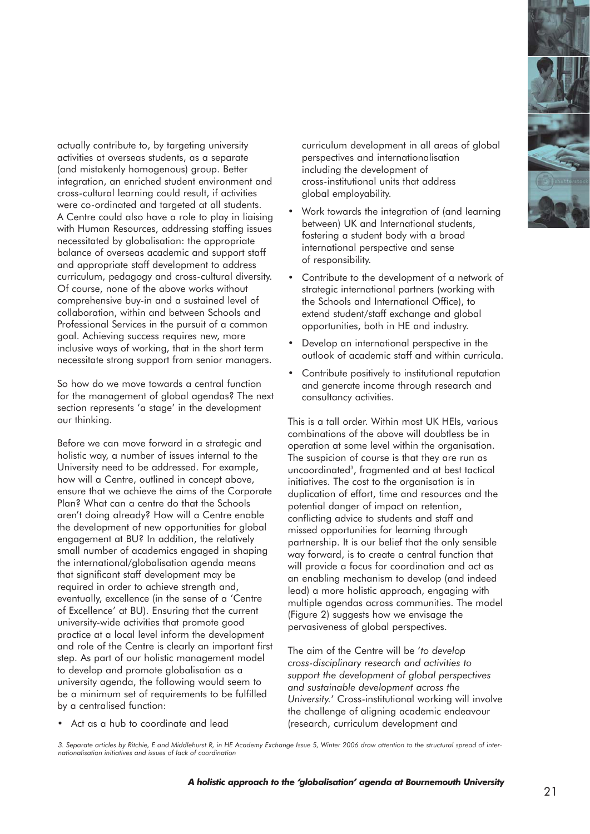

actually contribute to, by targeting university activities at overseas students, as a separate (and mistakenly homogenous) group. Better integration, an enriched student environment and cross-cultural learning could result, if activities were co-ordinated and targeted at all students. A Centre could also have a role to play in liaising with Human Resources, addressing staffing issues necessitated by globalisation: the appropriate balance of overseas academic and support staff and appropriate staff development to address curriculum, pedagogy and cross-cultural diversity. Of course, none of the above works without comprehensive buy-in and a sustained level of collaboration, within and between Schools and Professional Services in the pursuit of a common goal. Achieving success requires new, more inclusive ways of working, that in the short term necessitate strong support from senior managers.

So how do we move towards a central function for the management of global agendas? The next section represents 'a stage' in the development our thinking.

Before we can move forward in a strategic and holistic way, a number of issues internal to the University need to be addressed. For example, how will a Centre, outlined in concept above, ensure that we achieve the aims of the Corporate Plan? What can a centre do that the Schools aren't doing already? How will a Centre enable the development of new opportunities for global engagement at BU? In addition, the relatively small number of academics engaged in shaping the international/globalisation agenda means that significant staff development may be required in order to achieve strength and, eventually, excellence (in the sense of a 'Centre of Excellence' at BU). Ensuring that the current university-wide activities that promote good practice at a local level inform the development and role of the Centre is clearly an important first step. As part of our holistic management model to develop and promote globalisation as a university agenda, the following would seem to be a minimum set of requirements to be fulfilled by a centralised function:

• Act as a hub to coordinate and lead

curriculum development in all areas of global perspectives and internationalisation including the development of cross-institutional units that address global employability.

- Work towards the integration of (and learning between) UK and International students, fostering a student body with a broad international perspective and sense of responsibility.
- Contribute to the development of a network of strategic international partners (working with the Schools and International Office), to extend student/staff exchange and global opportunities, both in HE and industry.
- Develop an international perspective in the outlook of academic staff and within curricula.
- Contribute positively to institutional reputation and generate income through research and consultancy activities.

This is a tall order. Within most UK HEIs, various combinations of the above will doubtless be in operation at some level within the organisation. The suspicion of course is that they are run as uncoordinated<sup>3</sup>, fragmented and at best tactical initiatives. The cost to the organisation is in duplication of effort, time and resources and the potential danger of impact on retention, conflicting advice to students and staff and missed opportunities for learning through partnership. It is our belief that the only sensible way forward, is to create a central function that will provide a focus for coordination and act as an enabling mechanism to develop (and indeed lead) a more holistic approach, engaging with multiple agendas across communities. The model (Figure 2) suggests how we envisage the pervasiveness of global perspectives.

The aim of the Centre will be '*to develop cross-disciplinary research and activities to support the development of global perspectives and sustainable development across the University.*' Cross-institutional working will involve the challenge of aligning academic endeavour (research, curriculum development and

*3. Separate articles by Ritchie, E and Middlehurst R, in HE Academy Exchange Issue 5, Winter 2006 draw attention to the structural spread of internationalisation initiatives and issues of lack of coordination*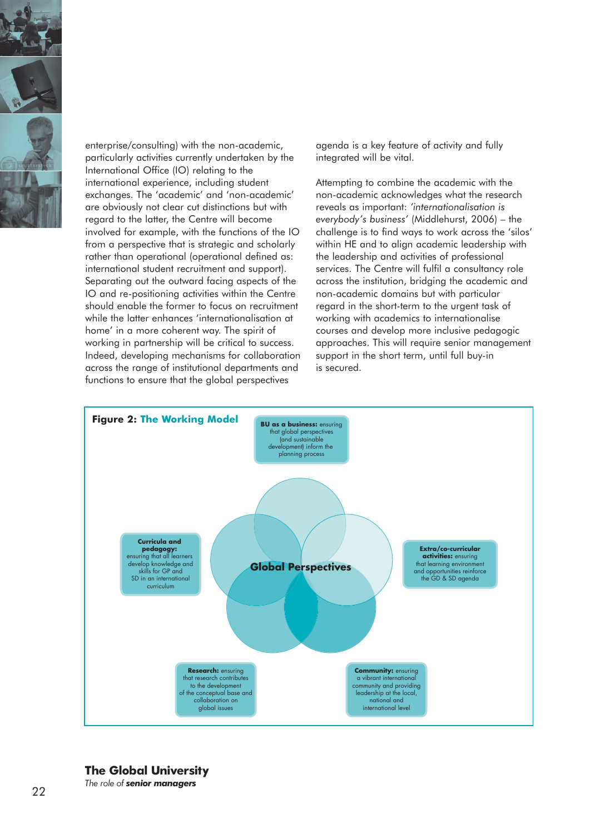

enterprise/consulting) with the non-academic, particularly activities currently undertaken by the International Office (IO) relating to the international experience, including student exchanges. The 'academic' and 'non-academic' are obviously not clear cut distinctions but with regard to the latter, the Centre will become involved for example, with the functions of the IO from a perspective that is strategic and scholarly rather than operational (operational defined as: international student recruitment and support). Separating out the outward facing aspects of the IO and re-positioning activities within the Centre should enable the former to focus on recruitment while the latter enhances 'internationalisation at home' in a more coherent way. The spirit of working in partnership will be critical to success. Indeed, developing mechanisms for collaboration across the range of institutional departments and functions to ensure that the global perspectives

agenda is a key feature of activity and fully integrated will be vital.

Attempting to combine the academic with the non-academic acknowledges what the research reveals as important: *'internationalisation is everybody's business'* (Middlehurst, 2006) – the challenge is to find ways to work across the 'silos' within HE and to align academic leadership with the leadership and activities of professional services. The Centre will fulfil a consultancy role across the institution, bridging the academic and non-academic domains but with particular regard in the short-term to the urgent task of working with academics to internationalise courses and develop more inclusive pedagogic approaches. This will require senior management support in the short term, until full buy-in is secured.



## **The Global University**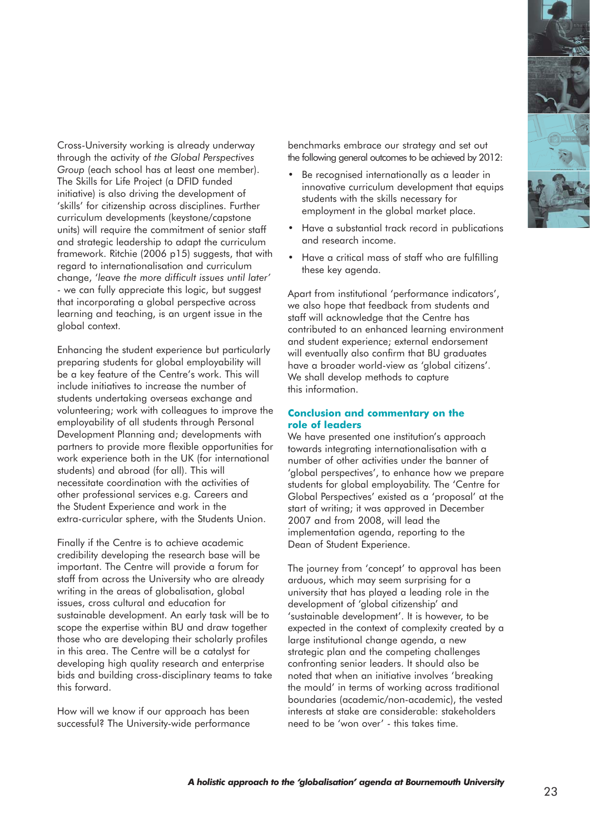

Cross-University working is already underway through the activity of *the Global Perspectives Group* (each school has at least one member). The Skills for Life Project (a DFID funded initiative) is also driving the development of 'skills' for citizenship across disciplines. Further curriculum developments (keystone/capstone units) will require the commitment of senior staff and strategic leadership to adapt the curriculum framework. Ritchie (2006 p15) suggests, that with regard to internationalisation and curriculum change, '*leave the more difficult issues until later'* - we can fully appreciate this logic, but suggest that incorporating a global perspective across learning and teaching, is an urgent issue in the global context.

Enhancing the student experience but particularly preparing students for global employability will be a key feature of the Centre's work. This will include initiatives to increase the number of students undertaking overseas exchange and volunteering; work with colleagues to improve the employability of all students through Personal Development Planning and; developments with partners to provide more flexible opportunities for work experience both in the UK (for international students) and abroad (for all). This will necessitate coordination with the activities of other professional services e.g. Careers and the Student Experience and work in the extra-curricular sphere, with the Students Union.

Finally if the Centre is to achieve academic credibility developing the research base will be important. The Centre will provide a forum for staff from across the University who are already writing in the areas of globalisation, global issues, cross cultural and education for sustainable development. An early task will be to scope the expertise within BU and draw together those who are developing their scholarly profiles in this area. The Centre will be a catalyst for developing high quality research and enterprise bids and building cross-disciplinary teams to take this forward.

How will we know if our approach has been successful? The University-wide performance

benchmarks embrace our strategy and set out the following general outcomes to be achieved by 2012:

- Be recognised internationally as a leader in innovative curriculum development that equips students with the skills necessary for employment in the global market place.
- Have a substantial track record in publications and research income.
- Have a critical mass of staff who are fulfilling these key agenda.

Apart from institutional 'performance indicators', we also hope that feedback from students and staff will acknowledge that the Centre has contributed to an enhanced learning environment and student experience; external endorsement will eventually also confirm that BU araduates have a broader world-view as 'global citizens'. We shall develop methods to capture this information.

#### **Conclusion and commentary on the role of leaders**

We have presented one institution's approach towards integrating internationalisation with a number of other activities under the banner of 'global perspectives', to enhance how we prepare students for global employability. The 'Centre for Global Perspectives' existed as a 'proposal' at the start of writing; it was approved in December 2007 and from 2008, will lead the implementation agenda, reporting to the Dean of Student Experience.

The journey from 'concept' to approval has been arduous, which may seem surprising for a university that has played a leading role in the development of 'global citizenship' and 'sustainable development'. It is however, to be expected in the context of complexity created by a large institutional change agenda, a new strategic plan and the competing challenges confronting senior leaders. It should also be noted that when an initiative involves 'breaking the mould' in terms of working across traditional boundaries (academic/non-academic), the vested interests at stake are considerable: stakeholders need to be 'won over' - this takes time.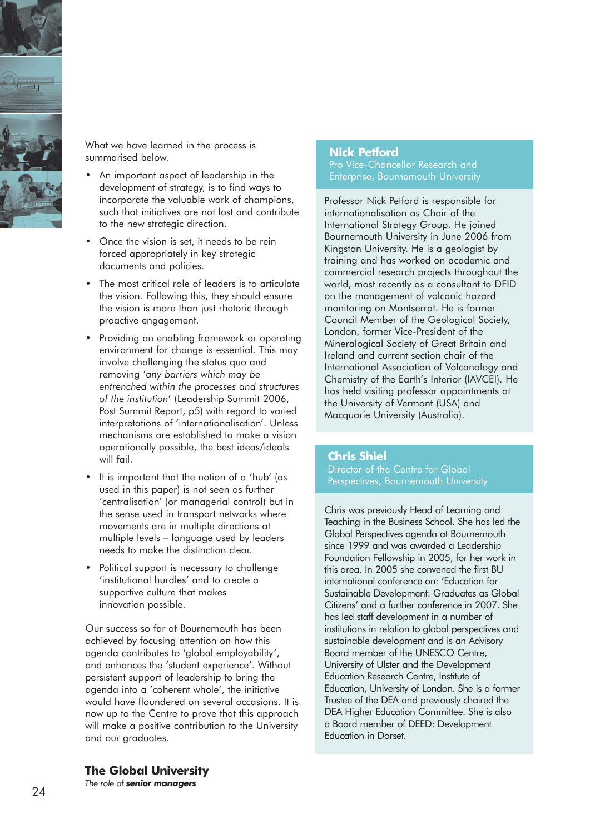

What we have learned in the process is summarised below.

- An important aspect of leadership in the development of strategy, is to find ways to incorporate the valuable work of champions, such that initiatives are not lost and contribute to the new strategic direction.
- Once the vision is set, it needs to be rein forced appropriately in key strategic documents and policies.
- The most critical role of leaders is to articulate the vision. Following this, they should ensure the vision is more than just rhetoric through proactive engagement.
- Providing an enabling framework or operating environment for change is essential. This may involve challenging the status quo and removing '*any barriers which may be entrenched within the processes and structures of the institution*' (Leadership Summit 2006, Post Summit Report, p5) with regard to varied interpretations of 'internationalisation'. Unless mechanisms are established to make a vision operationally possible, the best ideas/ideals will fail.
- It is important that the notion of a 'hub' (as used in this paper) is not seen as further 'centralisation' (or managerial control) but in the sense used in transport networks where movements are in multiple directions at multiple levels – language used by leaders needs to make the distinction clear.
- Political support is necessary to challenge 'institutional hurdles' and to create a supportive culture that makes innovation possible.

Our success so far at Bournemouth has been achieved by focusing attention on how this agenda contributes to 'global employability', and enhances the 'student experience'. Without persistent support of leadership to bring the agenda into a 'coherent whole', the initiative would have floundered on several occasions. It is now up to the Centre to prove that this approach will make a positive contribution to the University and our graduates.

#### **Nick Petford**

Pro Vice-Chancellor Research and Enterprise, Bournemouth University

Professor Nick Petford is responsible for internationalisation as Chair of the International Strategy Group. He joined Bournemouth University in June 2006 from Kingston University. He is a geologist by training and has worked on academic and commercial research projects throughout the world, most recently as a consultant to DFID on the management of volcanic hazard monitoring on Montserrat. He is former Council Member of the Geological Society, London, former Vice-President of the Mineralogical Society of Great Britain and Ireland and current section chair of the International Association of Volcanology and Chemistry of the Earth's Interior (IAVCEI). He has held visiting professor appointments at the University of Vermont (USA) and Macquarie University (Australia).

#### **Chris Shiel**

Director of the Centre for Global Perspectives, Bournemouth University

Chris was previously Head of Learning and Teaching in the Business School. She has led the Global Perspectives agenda at Bournemouth since 1999 and was awarded a Leadership Foundation Fellowship in 2005, for her work in this area. In 2005 she convened the first BU international conference on: 'Education for Sustainable Development: Graduates as Global Citizens' and a further conference in 2007. She has led staff development in a number of institutions in relation to global perspectives and sustainable development and is an Advisory Board member of the UNESCO Centre, University of Ulster and the Development Education Research Centre, Institute of Education, University of London. She is a former Trustee of the DEA and previously chaired the DEA Higher Education Committee. She is also a Board member of DEED: Development Education in Dorset.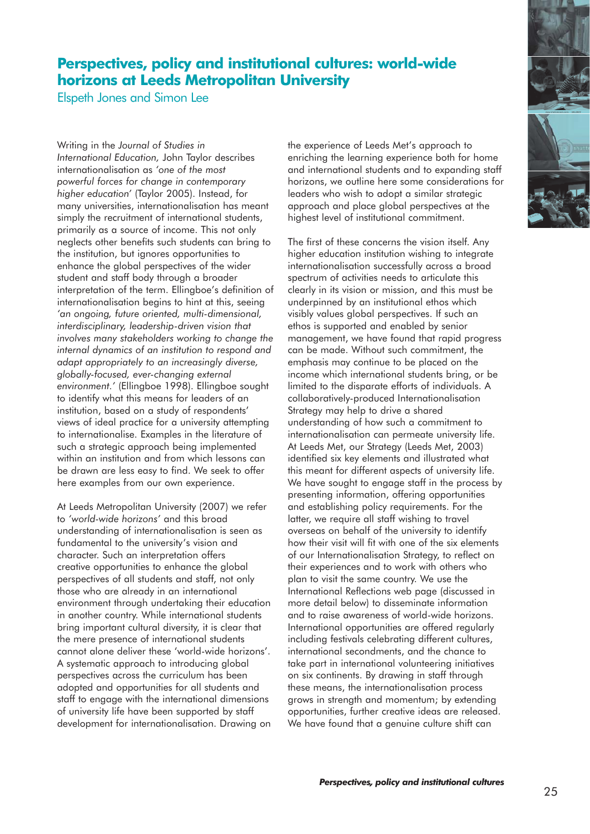## **Perspectives, policy and institutional cultures: world-wide horizons at Leeds Metropolitan University**

Elspeth Jones and Simon Lee

Writing in the *Journal of Studies in International Education,* John Taylor describes internationalisation as *'one of the most powerful forces for change in contemporary higher education'* (Taylor 2005). Instead, for many universities, internationalisation has meant simply the recruitment of international students, primarily as a source of income. This not only neglects other benefits such students can bring to the institution, but ignores opportunities to enhance the global perspectives of the wider student and staff body through a broader interpretation of the term. Ellingboe's definition of internationalisation begins to hint at this, seeing *'an ongoing, future oriented, multi-dimensional, interdisciplinary, leadership-driven vision that involves many stakeholders working to change the internal dynamics of an institution to respond and adapt appropriately to an increasingly diverse, globally-focused, ever-changing external environment.'* (Ellingboe 1998). Ellingboe sought to identify what this means for leaders of an institution, based on a study of respondents' views of ideal practice for a university attempting to internationalise. Examples in the literature of such a strategic approach being implemented within an institution and from which lessons can be drawn are less easy to find. We seek to offer here examples from our own experience.

At Leeds Metropolitan University (2007) we refer to *'world-wide horizons'* and this broad understanding of internationalisation is seen as fundamental to the university's vision and character. Such an interpretation offers creative opportunities to enhance the global perspectives of all students and staff, not only those who are already in an international environment through undertaking their education in another country. While international students bring important cultural diversity, it is clear that the mere presence of international students cannot alone deliver these 'world-wide horizons'. A systematic approach to introducing global perspectives across the curriculum has been adopted and opportunities for all students and staff to engage with the international dimensions of university life have been supported by staff development for internationalisation. Drawing on the experience of Leeds Met's approach to enriching the learning experience both for home and international students and to expanding staff horizons, we outline here some considerations for leaders who wish to adopt a similar strategic approach and place global perspectives at the highest level of institutional commitment.

The first of these concerns the vision itself. Any higher education institution wishing to integrate internationalisation successfully across a broad spectrum of activities needs to articulate this clearly in its vision or mission, and this must be underpinned by an institutional ethos which visibly values global perspectives. If such an ethos is supported and enabled by senior management, we have found that rapid progress can be made. Without such commitment, the emphasis may continue to be placed on the income which international students bring, or be limited to the disparate efforts of individuals. A collaboratively-produced Internationalisation Strategy may help to drive a shared understanding of how such a commitment to internationalisation can permeate university life. At Leeds Met, our Strategy (Leeds Met, 2003) identified six key elements and illustrated what this meant for different aspects of university life. We have sought to engage staff in the process by presenting information, offering opportunities and establishing policy requirements. For the latter, we require all staff wishing to travel overseas on behalf of the university to identify how their visit will fit with one of the six elements of our Internationalisation Strategy, to reflect on their experiences and to work with others who plan to visit the same country. We use the International Reflections web page (discussed in more detail below) to disseminate information and to raise awareness of world-wide horizons. International opportunities are offered regularly including festivals celebrating different cultures, international secondments, and the chance to take part in international volunteering initiatives on six continents. By drawing in staff through these means, the internationalisation process grows in strength and momentum; by extending opportunities, further creative ideas are released. We have found that a genuine culture shift can

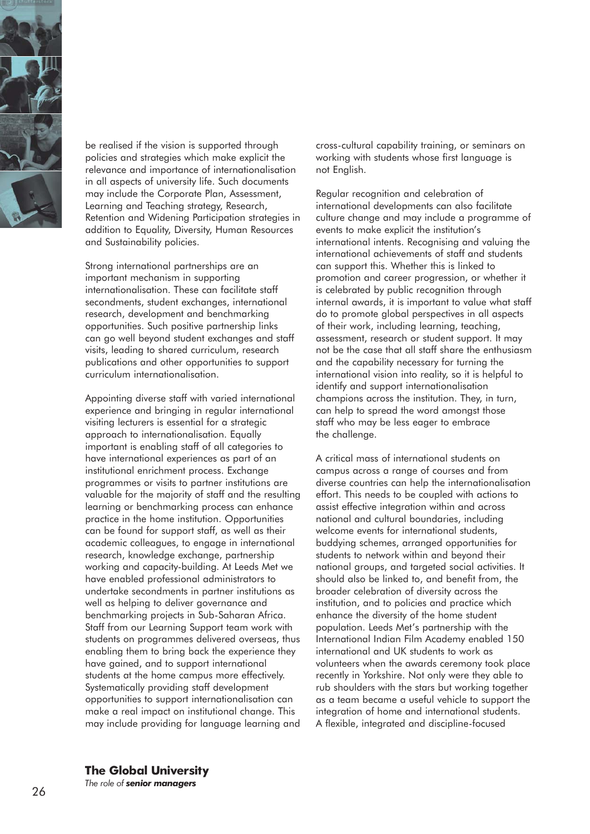

be realised if the vision is supported through policies and strategies which make explicit the relevance and importance of internationalisation in all aspects of university life. Such documents may include the Corporate Plan, Assessment, Learning and Teaching strategy, Research, Retention and Widening Participation strategies in addition to Equality, Diversity, Human Resources and Sustainability policies.

Strong international partnerships are an important mechanism in supporting internationalisation. These can facilitate staff secondments, student exchanges, international research, development and benchmarking opportunities. Such positive partnership links can go well beyond student exchanges and staff visits, leading to shared curriculum, research publications and other opportunities to support curriculum internationalisation.

Appointing diverse staff with varied international experience and bringing in regular international visiting lecturers is essential for a strategic approach to internationalisation. Equally important is enabling staff of all categories to have international experiences as part of an institutional enrichment process. Exchange programmes or visits to partner institutions are valuable for the majority of staff and the resulting learning or benchmarking process can enhance practice in the home institution. Opportunities can be found for support staff, as well as their academic colleagues, to engage in international research, knowledge exchange, partnership working and capacity-building. At Leeds Met we have enabled professional administrators to undertake secondments in partner institutions as well as helping to deliver governance and benchmarking projects in Sub-Saharan Africa. Staff from our Learning Support team work with students on programmes delivered overseas, thus enabling them to bring back the experience they have gained, and to support international students at the home campus more effectively. Systematically providing staff development opportunities to support internationalisation can make a real impact on institutional change. This may include providing for language learning and

cross-cultural capability training, or seminars on working with students whose first language is not English.

Regular recognition and celebration of international developments can also facilitate culture change and may include a programme of events to make explicit the institution's international intents. Recognising and valuing the international achievements of staff and students can support this. Whether this is linked to promotion and career progression, or whether it is celebrated by public recognition through internal awards, it is important to value what staff do to promote global perspectives in all aspects of their work, including learning, teaching, assessment, research or student support. It may not be the case that all staff share the enthusiasm and the capability necessary for turning the international vision into reality, so it is helpful to identify and support internationalisation champions across the institution. They, in turn, can help to spread the word amongst those staff who may be less eager to embrace the challenge.

A critical mass of international students on campus across a range of courses and from diverse countries can help the internationalisation effort. This needs to be coupled with actions to assist effective integration within and across national and cultural boundaries, including welcome events for international students, buddying schemes, arranged opportunities for students to network within and beyond their national groups, and targeted social activities. It should also be linked to, and benefit from, the broader celebration of diversity across the institution, and to policies and practice which enhance the diversity of the home student population. Leeds Met's partnership with the International Indian Film Academy enabled 150 international and UK students to work as volunteers when the awards ceremony took place recently in Yorkshire. Not only were they able to rub shoulders with the stars but working together as a team became a useful vehicle to support the integration of home and international students. A flexible, integrated and discipline-focused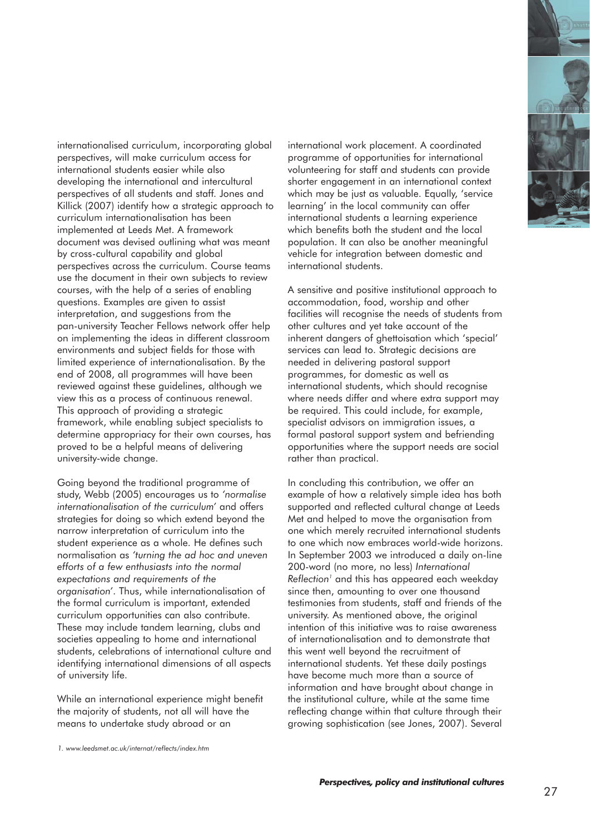

internationalised curriculum, incorporating global perspectives, will make curriculum access for international students easier while also developing the international and intercultural perspectives of all students and staff. Jones and Killick (2007) identify how a strategic approach to curriculum internationalisation has been implemented at Leeds Met. A framework document was devised outlining what was meant by cross-cultural capability and global perspectives across the curriculum. Course teams use the document in their own subjects to review courses, with the help of a series of enabling questions. Examples are given to assist interpretation, and suggestions from the pan-university Teacher Fellows network offer help on implementing the ideas in different classroom environments and subject fields for those with limited experience of internationalisation. By the end of 2008, all programmes will have been reviewed against these guidelines, although we view this as a process of continuous renewal. This approach of providing a strategic framework, while enabling subject specialists to determine appropriacy for their own courses, has proved to be a helpful means of delivering university-wide change.

Going beyond the traditional programme of study, Webb (2005) encourages us to *'normalise internationalisation of the curriculum'* and offers strategies for doing so which extend beyond the narrow interpretation of curriculum into the student experience as a whole. He defines such normalisation as *'turning the ad hoc and uneven efforts of a few enthusiasts into the normal expectations and requirements of the organisation'*. Thus, while internationalisation of the formal curriculum is important, extended curriculum opportunities can also contribute. These may include tandem learning, clubs and societies appealing to home and international students, celebrations of international culture and identifying international dimensions of all aspects of university life.

While an international experience might benefit the majority of students, not all will have the means to undertake study abroad or an

international work placement. A coordinated programme of opportunities for international volunteering for staff and students can provide shorter engagement in an international context which may be just as valuable. Equally, 'service learning' in the local community can offer international students a learning experience which benefits both the student and the local population. It can also be another meaningful vehicle for integration between domestic and international students.

A sensitive and positive institutional approach to accommodation, food, worship and other facilities will recognise the needs of students from other cultures and yet take account of the inherent dangers of ghettoisation which 'special' services can lead to. Strategic decisions are needed in delivering pastoral support programmes, for domestic as well as international students, which should recognise where needs differ and where extra support may be required. This could include, for example, specialist advisors on immigration issues, a formal pastoral support system and befriending opportunities where the support needs are social rather than practical.

In concluding this contribution, we offer an example of how a relatively simple idea has both supported and reflected cultural change at Leeds Met and helped to move the organisation from one which merely recruited international students to one which now embraces world-wide horizons. In September 2003 we introduced a daily on-line 200-word (no more, no less) *International Reflection1* and this has appeared each weekday since then, amounting to over one thousand testimonies from students, staff and friends of the university. As mentioned above, the original intention of this initiative was to raise awareness of internationalisation and to demonstrate that this went well beyond the recruitment of international students. Yet these daily postings have become much more than a source of information and have brought about change in the institutional culture, while at the same time reflecting change within that culture through their growing sophistication (see Jones, 2007). Several

*<sup>1.</sup> www.leedsmet.ac.uk/internat/reflects/index.htm*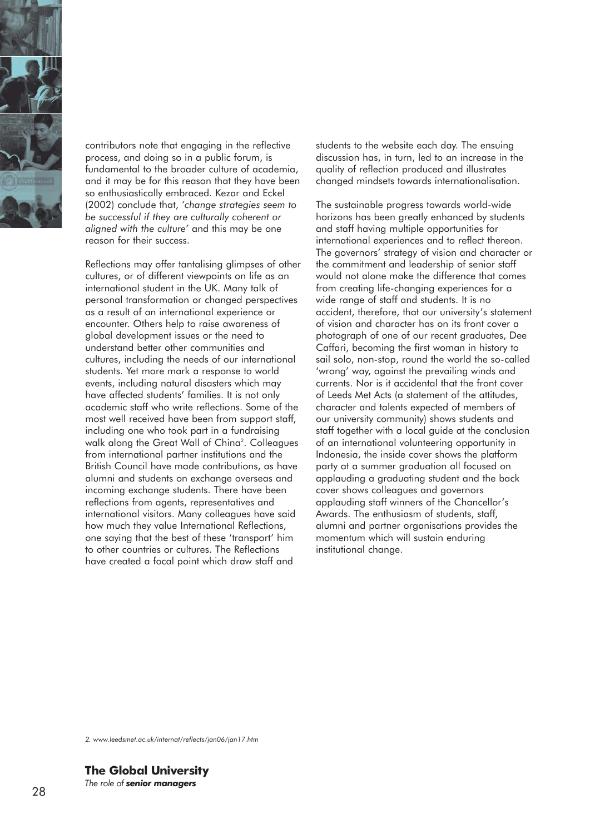

contributors note that engaging in the reflective process, and doing so in a public forum, is fundamental to the broader culture of academia, and it may be for this reason that they have been so enthusiastically embraced. Kezar and Eckel (2002) conclude that, *'change strategies seem to be successful if they are culturally coherent or aligned with the culture'* and this may be one reason for their success.

Reflections may offer tantalising glimpses of other cultures, or of different viewpoints on life as an international student in the UK. Many talk of personal transformation or changed perspectives as a result of an international experience or encounter. Others help to raise awareness of global development issues or the need to understand better other communities and cultures, including the needs of our international students. Yet more mark a response to world events, including natural disasters which may have affected students' families. It is not only academic staff who write reflections. Some of the most well received have been from support staff, including one who took part in a fundraising walk along the Great Wall of China<sup>2</sup>. Colleagues from international partner institutions and the British Council have made contributions, as have alumni and students on exchange overseas and incoming exchange students. There have been reflections from agents, representatives and international visitors. Many colleagues have said how much they value International Reflections, one saying that the best of these 'transport' him to other countries or cultures. The Reflections have created a focal point which draw staff and

students to the website each day. The ensuing discussion has, in turn, led to an increase in the quality of reflection produced and illustrates changed mindsets towards internationalisation.

The sustainable progress towards world-wide horizons has been greatly enhanced by students and staff having multiple opportunities for international experiences and to reflect thereon. The governors' strategy of vision and character or the commitment and leadership of senior staff would not alone make the difference that comes from creating life-changing experiences for a wide range of staff and students. It is no accident, therefore, that our university's statement of vision and character has on its front cover a photograph of one of our recent graduates, Dee Caffari, becoming the first woman in history to sail solo, non-stop, round the world the so-called 'wrong' way, against the prevailing winds and currents. Nor is it accidental that the front cover of Leeds Met Acts (a statement of the attitudes, character and talents expected of members of our university community) shows students and staff together with a local guide at the conclusion of an international volunteering opportunity in Indonesia, the inside cover shows the platform party at a summer graduation all focused on applauding a graduating student and the back cover shows colleagues and governors applauding staff winners of the Chancellor's Awards. The enthusiasm of students, staff, alumni and partner organisations provides the momentum which will sustain enduring institutional change.

*2. www.leedsmet.ac.uk/internat/reflects/jan06/jan17.htm*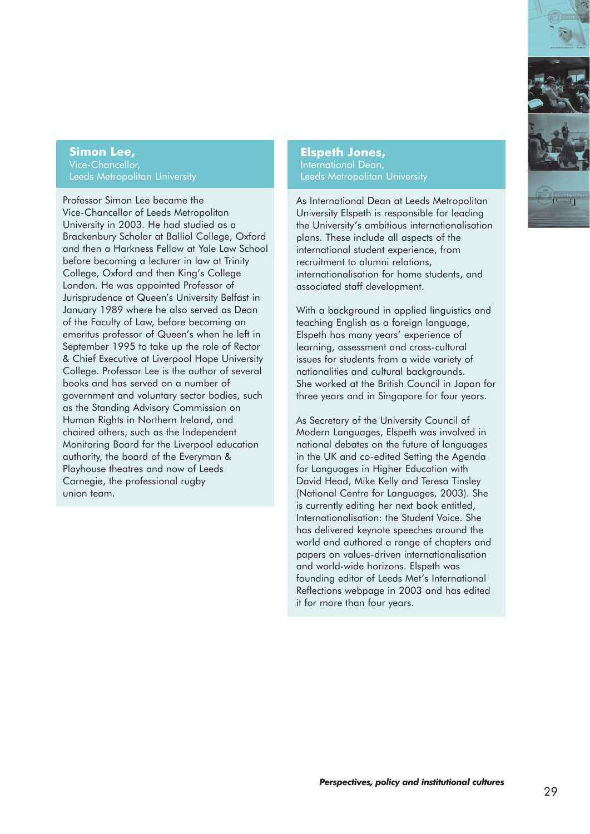

#### **Simon Lee,**  Vice-Chancellor, Leeds Metropolitan University

Professor Simon Lee became the Vice-Chancellor of Leeds Metropolitan University in 2003. He had studied as a Brackenbury Scholar at Balliol College, Oxford and then a Harkness Fellow at Yale Law School before becoming a lecturer in law at Trinity College, Oxford and then King's College London. He was appointed Professor of Jurisprudence at Queen's University Belfast in January 1989 where he also served as Dean of the Faculty of Law, before becoming an emeritus professor of Queen's when he left in September 1995 to take up the role of Rector & Chief Executive at Liverpool Hope University College. Professor Lee is the author of several books and has served on a number of government and voluntary sector bodies, such as the Standing Advisory Commission on Human Rights in Northern Ireland, and chaired others, such as the Independent Monitoring Board for the Liverpool education authority, the board of the Everyman & Playhouse theatres and now of Leeds Carnegie, the professional rugby union team.

**Elspeth Jones,** International Dean, Leeds Metropolitan University

As International Dean at Leeds Metropolitan University Elspeth is responsible for leading the University's ambitious internationalisation plans. These include all aspects of the international student experience, from recruitment to alumni relations, internationalisation for home students, and associated staff development.

With a background in applied linguistics and teaching English as a foreign language, Elspeth has many years' experience of learning, assessment and cross-cultural issues for students from a wide variety of nationalities and cultural backgrounds. She worked at the British Council in Japan for three years and in Singapore for four years.

As Secretary of the University Council of Modern Languages, Elspeth was involved in national debates on the future of languages in the UK and co-edited Setting the Agenda for Languages in Higher Education with David Head, Mike Kelly and Teresa Tinsley (National Centre for Languages, 2003). She is currently editing her next book entitled, Internationalisation: the Student Voice. She has delivered keynote speeches around the world and authored a range of chapters and papers on values-driven internationalisation and world-wide horizons. Elspeth was founding editor of Leeds Met's International Reflections webpage in 2003 and has edited it for more than four years.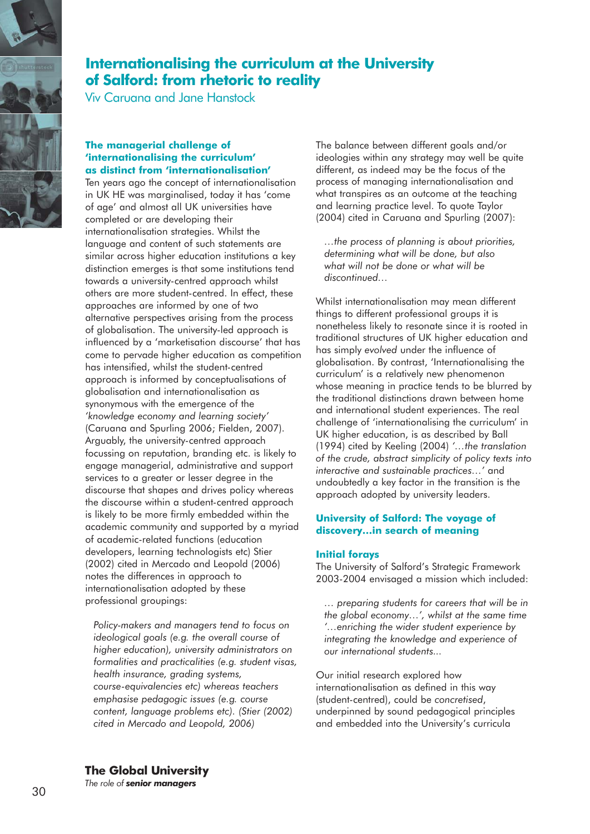

## **Internationalising the curriculum at the University of Salford: from rhetoric to reality**

Viv Caruana and Jane Hanstock

#### **The managerial challenge of 'internationalising the curriculum' as distinct from 'internationalisation'**

Ten years ago the concept of internationalisation in UK HE was marginalised, today it has 'come of age' and almost all UK universities have completed or are developing their internationalisation strategies. Whilst the language and content of such statements are similar across higher education institutions a key distinction emerges is that some institutions tend towards a university-centred approach whilst others are more student-centred. In effect, these approaches are informed by one of two alternative perspectives arising from the process of globalisation. The university-led approach is influenced by a 'marketisation discourse' that has come to pervade higher education as competition has intensified, whilst the student-centred approach is informed by conceptualisations of globalisation and internationalisation as synonymous with the emergence of the *'knowledge economy and learning society'* (Caruana and Spurling 2006; Fielden, 2007). Arguably, the university-centred approach focussing on reputation, branding etc. is likely to engage managerial, administrative and support services to a greater or lesser degree in the discourse that shapes and drives policy whereas the discourse within a student-centred approach is likely to be more firmly embedded within the academic community and supported by a myriad of academic-related functions (education developers, learning technologists etc) Stier (2002) cited in Mercado and Leopold (2006) notes the differences in approach to internationalisation adopted by these professional groupings:

*Policy-makers and managers tend to focus on ideological goals (e.g. the overall course of higher education), university administrators on formalities and practicalities (e.g. student visas, health insurance, grading systems, course-equivalencies etc) whereas teachers emphasise pedagogic issues (e.g. course content, language problems etc). (Stier (2002) cited in Mercado and Leopold, 2006)*

The balance between different goals and/or ideologies within any strategy may well be quite different, as indeed may be the focus of the process of managing internationalisation and what transpires as an outcome at the teaching and learning practice level. To quote Taylor (2004) cited in Caruana and Spurling (2007):

*…the process of planning is about priorities, determining what will be done, but also what will not be done or what will be discontinued…*

Whilst internationalisation may mean different things to different professional groups it is nonetheless likely to resonate since it is rooted in traditional structures of UK higher education and has simply *evolved* under the influence of globalisation. By contrast, 'Internationalising the curriculum' is a relatively new phenomenon whose meaning in practice tends to be blurred by the traditional distinctions drawn between home and international student experiences. The real challenge of 'internationalising the curriculum' in UK higher education, is as described by Ball (1994) cited by Keeling (2004) *'…the translation of the crude, abstract simplicity of policy texts into interactive and sustainable practices…'* and undoubtedly a key factor in the transition is the approach adopted by university leaders.

#### **University of Salford: The voyage of discovery…in search of meaning**

#### **Initial forays**

The University of Salford's Strategic Framework 2003-2004 envisaged a mission which included:

*… preparing students for careers that will be in the global economy…', whilst at the same time '…enriching the wider student experience by integrating the knowledge and experience of our international students...*

Our initial research explored how internationalisation as defined in this way (student-centred), could be *concretised*, underpinned by sound pedagogical principles and embedded into the University's curricula

### **The Global University**

*The role of senior managers*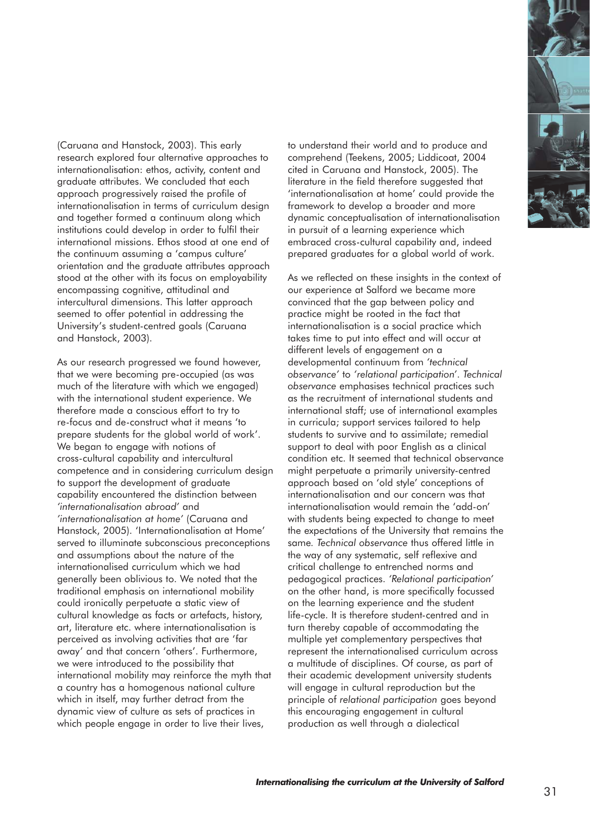

(Caruana and Hanstock, 2003). This early research explored four alternative approaches to internationalisation: ethos, activity, content and graduate attributes. We concluded that each approach progressively raised the profile of internationalisation in terms of curriculum design and together formed a continuum along which institutions could develop in order to fulfil their international missions. Ethos stood at one end of the continuum assuming a 'campus culture' orientation and the graduate attributes approach stood at the other with its focus on employability encompassing cognitive, attitudinal and intercultural dimensions. This latter approach seemed to offer potential in addressing the University's student-centred goals (Caruana and Hanstock, 2003).

As our research progressed we found however, that we were becoming pre-occupied (as was much of the literature with which we engaged) with the international student experience. We therefore made a conscious effort to try to re-focus and de-construct what it means 'to prepare students for the global world of work'. We began to engage with notions of cross-cultural capability and intercultural competence and in considering curriculum design to support the development of graduate capability encountered the distinction between *'internationalisation abroad'* and *'internationalisation at home'* (Caruana and Hanstock, 2005). 'Internationalisation at Home' served to illuminate subconscious preconceptions and assumptions about the nature of the internationalised curriculum which we had generally been oblivious to. We noted that the traditional emphasis on international mobility could ironically perpetuate a static view of cultural knowledge as facts or artefacts, history, art, literature etc. where internationalisation is perceived as involving activities that are 'far away' and that concern 'others'. Furthermore, we were introduced to the possibility that international mobility may reinforce the myth that a country has a homogenous national culture which in itself, may further detract from the dynamic view of culture as sets of practices in which people engage in order to live their lives,

to understand their world and to produce and comprehend (Teekens, 2005; Liddicoat, 2004 cited in Caruana and Hanstock, 2005). The literature in the field therefore suggested that 'internationalisation at home' could provide the framework to develop a broader and more dynamic conceptualisation of internationalisation in pursuit of a learning experience which embraced cross-cultural capability and, indeed prepared graduates for a global world of work.

As we reflected on these insights in the context of our experience at Salford we became more convinced that the gap between policy and practice might be rooted in the fact that internationalisation is a social practice which takes time to put into effect and will occur at different levels of engagement on a developmental continuum from *'technical observance'* to *'relational participation'*. *Technical observance* emphasises technical practices such as the recruitment of international students and international staff; use of international examples in curricula; support services tailored to help students to survive and to assimilate; remedial support to deal with poor English as a clinical condition etc. It seemed that technical observance might perpetuate a primarily university-centred approach based on 'old style' conceptions of internationalisation and our concern was that internationalisation would remain the 'add-on' with students being expected to change to meet the expectations of the University that remains the same*. Technical observance* thus offered little in the way of any systematic, self reflexive and critical challenge to entrenched norms and pedagogical practices. *'Relational participation'* on the other hand, is more specifically focussed on the learning experience and the student life-cycle. It is therefore student-centred and in turn thereby capable of accommodating the multiple yet complementary perspectives that represent the internationalised curriculum across a multitude of disciplines. Of course, as part of their academic development university students will engage in cultural reproduction but the principle of *relational participation* goes beyond this encouraging engagement in cultural production as well through a dialectical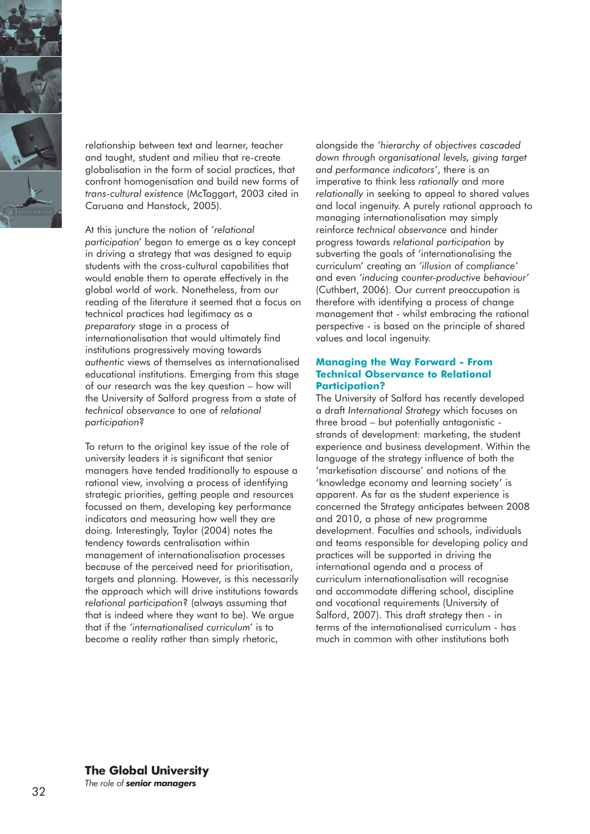

relationship between text and learner, teacher and taught, student and milieu that re-create globalisation in the form of social practices, that confront homogenisation and build new forms of *trans-cultural existence* (McTaggart, 2003 cited in Caruana and Hanstock, 2005).

At this juncture the notion of *'relational participation'* began to emerge as a key concept in driving a strategy that was designed to equip students with the cross-cultural capabilities that would enable them to operate effectively in the global world of work. Nonetheless, from our reading of the literature it seemed that a focus on technical practices had legitimacy as a *preparatory* stage in a process of internationalisation that would ultimately find institutions progressively moving towards *authentic* views of themselves as internationalised educational institutions. Emerging from this stage of our research was the key question – how will the University of Salford progress from a state of *technical observance* to one of *relational participation*?

To return to the original key issue of the role of university leaders it is significant that senior managers have tended traditionally to espouse a rational view, involving a process of identifying strategic priorities, getting people and resources focussed on them, developing key performance indicators and measuring how well they are doing. Interestingly, Taylor (2004) notes the tendency towards centralisation within management of internationalisation processes because of the perceived need for prioritisation, targets and planning. However, is this necessarily the approach which will drive institutions towards *relational participation*? (always assuming that that is indeed where they want to be). We argue that if the *'internationalised curriculum'* is to become a reality rather than simply rhetoric,

alongside the *'hierarchy of objectives cascaded down through organisational levels, giving target and performance indicators'*, there is an imperative to think less *rationally* and more *relationally* in seeking to appeal to shared values and local ingenuity. A purely rational approach to managing internationalisation may simply reinforce *technical observance* and hinder progress towards *relational participation* by subverting the goals of 'internationalising the curriculum' creating an *'illusion of compliance'* and even *'inducing counter-productive behaviour'* (Cuthbert, 2006). Our current preoccupation is therefore with identifying a process of change management that - whilst embracing the rational perspective - is based on the principle of shared values and local ingenuity.

#### **Managing the Way Forward - From Technical Observance to Relational Participation?**

The University of Salford has recently developed a draft *International Strategy* which focuses on three broad – but potentially antagonistic strands of development: marketing, the student experience and business development. Within the language of the strategy influence of both the 'marketisation discourse' and notions of the 'knowledge economy and learning society' is apparent. As far as the student experience is concerned the Strategy anticipates between 2008 and 2010, a phase of new programme development. Faculties and schools, individuals and teams responsible for developing policy and practices will be supported in driving the international agenda and a process of curriculum internationalisation will recognise and accommodate differing school, discipline and vocational requirements (University of Salford, 2007). This draft strategy then - in terms of the internationalised curriculum - has much in common with other institutions both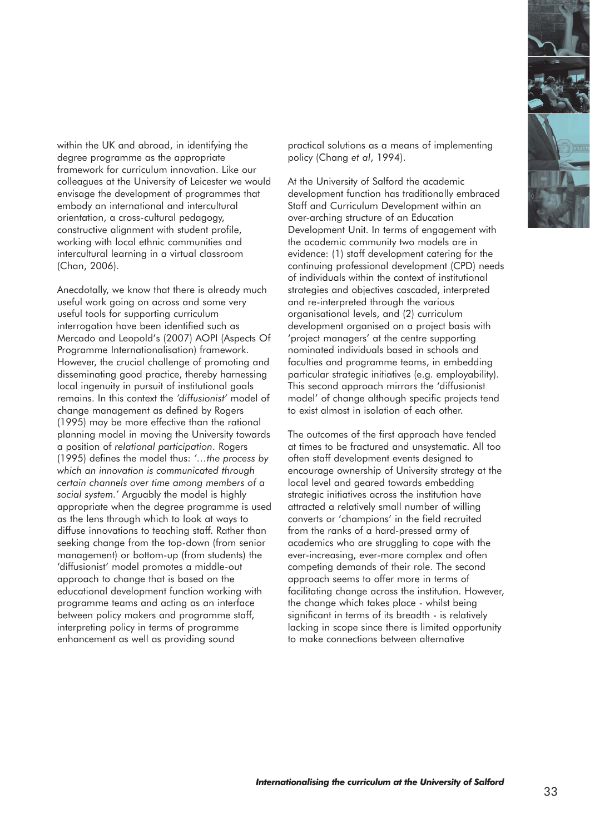

within the UK and abroad, in identifying the degree programme as the appropriate framework for curriculum innovation. Like our colleagues at the University of Leicester we would envisage the development of programmes that embody an international and intercultural orientation, a cross-cultural pedagogy, constructive alignment with student profile, working with local ethnic communities and intercultural learning in a virtual classroom (Chan, 2006).

Anecdotally, we know that there is already much useful work going on across and some very useful tools for supporting curriculum interrogation have been identified such as Mercado and Leopold's (2007) AOPI (Aspects Of Programme Internationalisation) framework. However, the crucial challenge of promoting and disseminating good practice, thereby harnessing local ingenuity in pursuit of institutional goals remains. In this context the *'diffusionist'* model of change management as defined by Rogers (1995) may be more effective than the rational planning model in moving the University towards a position of *relational participation*. Rogers (1995) defines the model thus: *'…the process by which an innovation is communicated through certain channels over time among members of a social system.'* Arguably the model is highly appropriate when the degree programme is used as the lens through which to look at ways to diffuse innovations to teaching staff. Rather than seeking change from the top-down (from senior management) or bottom-up (from students) the 'diffusionist' model promotes a middle-out approach to change that is based on the educational development function working with programme teams and acting as an interface between policy makers and programme staff, interpreting policy in terms of programme enhancement as well as providing sound

practical solutions as a means of implementing policy (Chang *et al*, 1994).

At the University of Salford the academic development function has traditionally embraced Staff and Curriculum Development within an over-arching structure of an Education Development Unit. In terms of engagement with the academic community two models are in evidence: (1) staff development catering for the continuing professional development (CPD) needs of individuals within the context of institutional strategies and objectives cascaded, interpreted and re-interpreted through the various organisational levels, and (2) curriculum development organised on a project basis with 'project managers' at the centre supporting nominated individuals based in schools and faculties and programme teams, in embedding particular strategic initiatives (e.g. employability). This second approach mirrors the 'diffusionist model' of change although specific projects tend to exist almost in isolation of each other.

The outcomes of the first approach have tended at times to be fractured and unsystematic. All too often staff development events designed to encourage ownership of University strategy at the local level and geared towards embedding strategic initiatives across the institution have attracted a relatively small number of willing converts or 'champions' in the field recruited from the ranks of a hard-pressed army of academics who are struggling to cope with the ever-increasing, ever-more complex and often competing demands of their role. The second approach seems to offer more in terms of facilitating change across the institution. However, the change which takes place - whilst being significant in terms of its breadth - is relatively lacking in scope since there is limited opportunity to make connections between alternative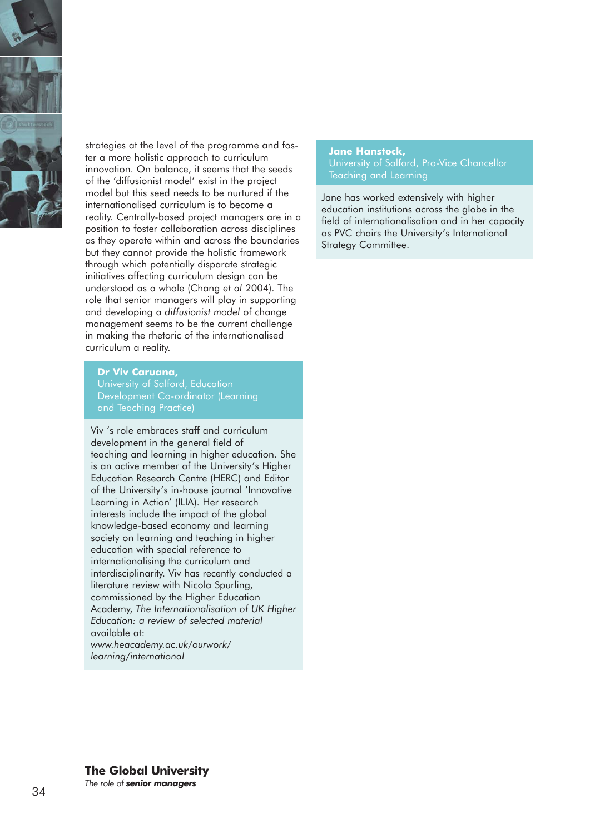

strategies at the level of the programme and foster a more holistic approach to curriculum innovation. On balance, it seems that the seeds of the 'diffusionist model' exist in the project model but this seed needs to be nurtured if the internationalised curriculum is to become a reality. Centrally-based project managers are in a position to foster collaboration across disciplines as they operate within and across the boundaries but they cannot provide the holistic framework through which potentially disparate strategic initiatives affecting curriculum design can be understood as a whole (Chang *et al* 2004). The role that senior managers will play in supporting and developing a *diffusionist model* of change management seems to be the current challenge in making the rhetoric of the internationalised curriculum a reality.

#### **Dr Viv Caruana,**

Development Co-ordinator (Learning and Teaching Practice)

Viv 's role embraces staff and curriculum development in the general field of teaching and learning in higher education. She is an active member of the University's Higher Education Research Centre (HERC) and Editor of the University's in-house journal 'Innovative Learning in Action' (ILIA). Her research interests include the impact of the global knowledge-based economy and learning society on learning and teaching in higher education with special reference to internationalising the curriculum and interdisciplinarity. Viv has recently conducted a literature review with Nicola Spurling, commissioned by the Higher Education Academy, *The Internationalisation of UK Higher Education: a review of selected material*  available at: *www.heacademy.ac.uk/ourwork/*

*learning/international*

#### **Jane Hanstock,**

Jane has worked extensively with higher education institutions across the globe in the field of internationalisation and in her capacity as PVC chairs the University's International Strategy Committee.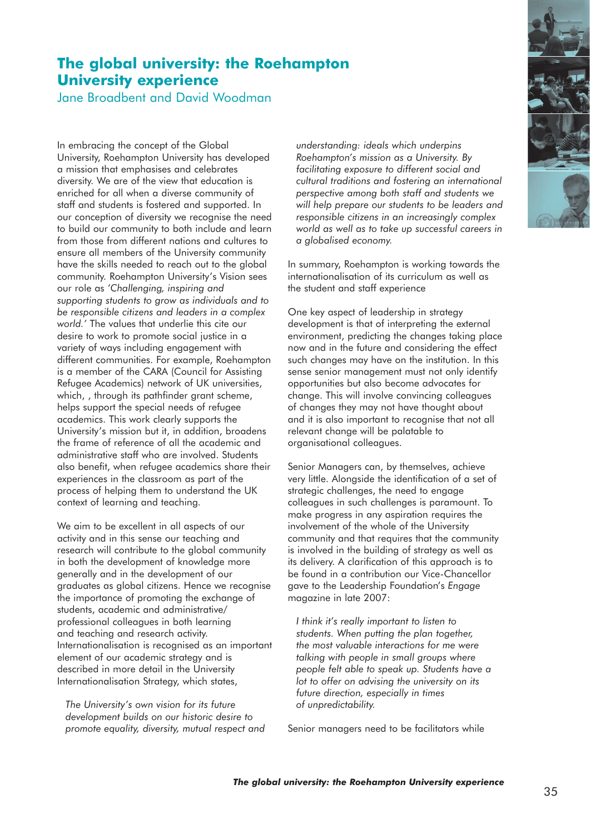## **The global university: the Roehampton University experience**

Jane Broadbent and David Woodman

In embracing the concept of the Global University, Roehampton University has developed a mission that emphasises and celebrates diversity. We are of the view that education is enriched for all when a diverse community of staff and students is fostered and supported. In our conception of diversity we recognise the need to build our community to both include and learn from those from different nations and cultures to ensure all members of the University community have the skills needed to reach out to the global community. Roehampton University's Vision sees our role as *'Challenging, inspiring and supporting students to grow as individuals and to be responsible citizens and leaders in a complex world.'* The values that underlie this cite our desire to work to promote social justice in a variety of ways including engagement with different communities. For example, Roehampton is a member of the CARA (Council for Assisting Refugee Academics) network of UK universities, which, , through its pathfinder grant scheme, helps support the special needs of refugee academics. This work clearly supports the University's mission but it, in addition, broadens the frame of reference of all the academic and administrative staff who are involved. Students also benefit, when refugee academics share their experiences in the classroom as part of the process of helping them to understand the UK context of learning and teaching.

We aim to be excellent in all aspects of our activity and in this sense our teaching and research will contribute to the global community in both the development of knowledge more generally and in the development of our graduates as global citizens. Hence we recognise the importance of promoting the exchange of students, academic and administrative/ professional colleagues in both learning and teaching and research activity. Internationalisation is recognised as an important element of our academic strategy and is described in more detail in the University Internationalisation Strategy, which states,

*The University's own vision for its future development builds on our historic desire to promote equality, diversity, mutual respect and* *understanding: ideals which underpins Roehampton's mission as a University. By facilitating exposure to different social and cultural traditions and fostering an international perspective among both staff and students we will help prepare our students to be leaders and responsible citizens in an increasingly complex world as well as to take up successful careers in a globalised economy.*

In summary, Roehampton is working towards the internationalisation of its curriculum as well as the student and staff experience

One key aspect of leadership in strategy development is that of interpreting the external environment, predicting the changes taking place now and in the future and considering the effect such changes may have on the institution. In this sense senior management must not only identify opportunities but also become advocates for change. This will involve convincing colleagues of changes they may not have thought about and it is also important to recognise that not all relevant change will be palatable to organisational colleagues.

Senior Managers can, by themselves, achieve very little. Alongside the identification of a set of strategic challenges, the need to engage colleagues in such challenges is paramount. To make progress in any aspiration requires the involvement of the whole of the University community and that requires that the community is involved in the building of strategy as well as its delivery. A clarification of this approach is to be found in a contribution our Vice-Chancellor gave to the Leadership Foundation's *Engage* magazine in late 2007:

*I think it's really important to listen to students. When putting the plan together, the most valuable interactions for me were talking with people in small groups where people felt able to speak up. Students have a lot to offer on advising the university on its future direction, especially in times of unpredictability.*

Senior managers need to be facilitators while

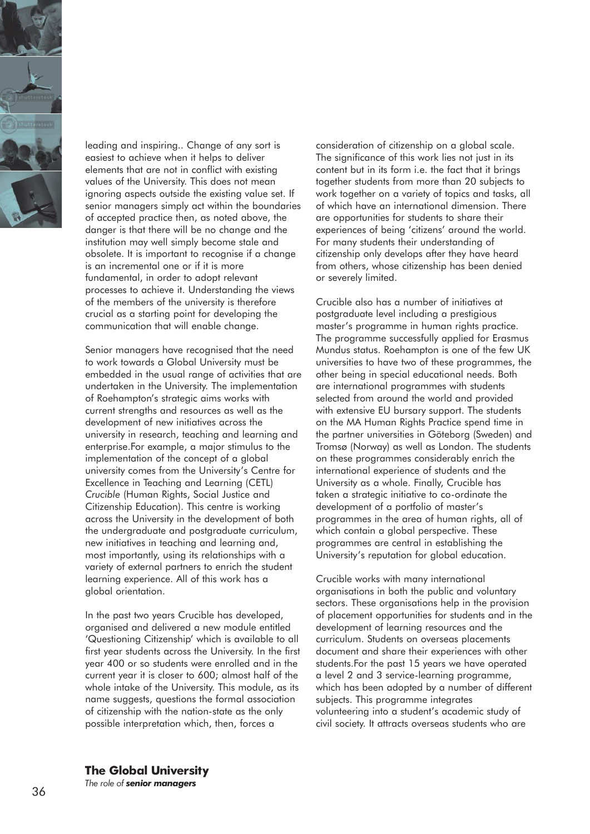

leading and inspiring.. Change of any sort is easiest to achieve when it helps to deliver elements that are not in conflict with existing values of the University. This does not mean ignoring aspects outside the existing value set. If senior managers simply act within the boundaries of accepted practice then, as noted above, the danger is that there will be no change and the institution may well simply become stale and obsolete. It is important to recognise if a change is an incremental one or if it is more fundamental, in order to adopt relevant processes to achieve it. Understanding the views of the members of the university is therefore crucial as a starting point for developing the communication that will enable change.

Senior managers have recognised that the need to work towards a Global University must be embedded in the usual range of activities that are undertaken in the University. The implementation of Roehampton's strategic aims works with current strengths and resources as well as the development of new initiatives across the university in research, teaching and learning and enterprise.For example, a major stimulus to the implementation of the concept of a global university comes from the University's Centre for Excellence in Teaching and Learning (CETL) *Crucible* (Human Rights, Social Justice and Citizenship Education). This centre is working across the University in the development of both the undergraduate and postgraduate curriculum, new initiatives in teaching and learning and, most importantly, using its relationships with a variety of external partners to enrich the student learning experience. All of this work has a global orientation.

In the past two years Crucible has developed, organised and delivered a new module entitled 'Questioning Citizenship' which is available to all first year students across the University. In the first year 400 or so students were enrolled and in the current year it is closer to 600; almost half of the whole intake of the University. This module, as its name suggests, questions the formal association of citizenship with the nation-state as the only possible interpretation which, then, forces a

consideration of citizenship on a global scale. The significance of this work lies not just in its content but in its form i.e. the fact that it brings together students from more than 20 subjects to work together on a variety of topics and tasks, all of which have an international dimension. There are opportunities for students to share their experiences of being 'citizens' around the world. For many students their understanding of citizenship only develops after they have heard from others, whose citizenship has been denied or severely limited.

Crucible also has a number of initiatives at postgraduate level including a prestigious master's programme in human rights practice. The programme successfully applied for Erasmus Mundus status. Roehampton is one of the few UK universities to have two of these programmes, the other being in special educational needs. Both are international programmes with students selected from around the world and provided with extensive EU bursary support. The students on the MA Human Rights Practice spend time in the partner universities in Göteborg (Sweden) and Tromsø (Norway) as well as London. The students on these programmes considerably enrich the international experience of students and the University as a whole. Finally, Crucible has taken a strategic initiative to co-ordinate the development of a portfolio of master's programmes in the area of human rights, all of which contain a global perspective. These programmes are central in establishing the University's reputation for global education.

Crucible works with many international organisations in both the public and voluntary sectors. These organisations help in the provision of placement opportunities for students and in the development of learning resources and the curriculum. Students on overseas placements document and share their experiences with other students.For the past 15 years we have operated a level 2 and 3 service-learning programme, which has been adopted by a number of different subjects. This programme integrates volunteering into a student's academic study of civil society. It attracts overseas students who are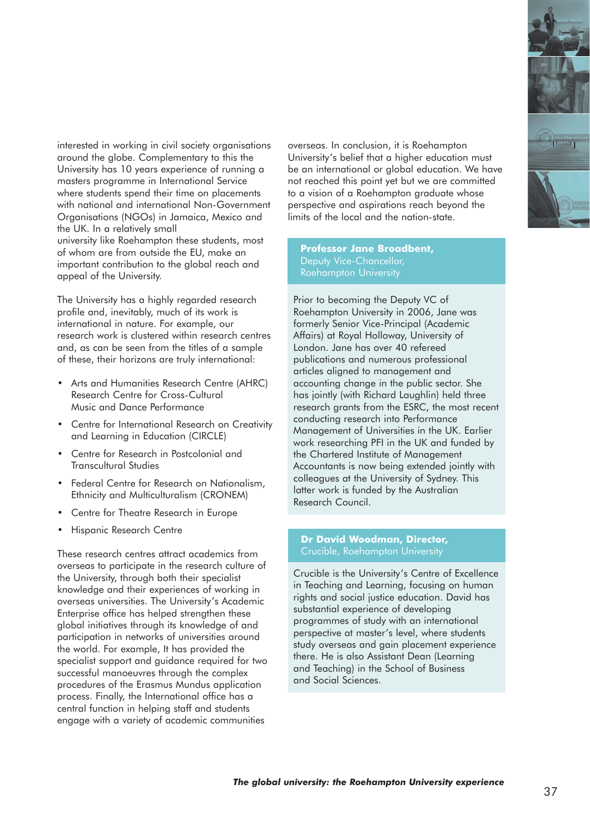interested in working in civil society organisations around the globe. Complementary to this the University has 10 years experience of running a masters programme in International Service where students spend their time on placements with national and international Non-Government Organisations (NGOs) in Jamaica, Mexico and the UK. In a relatively small university like Roehampton these students, most of whom are from outside the EU, make an important contribution to the global reach and appeal of the University.

The University has a highly regarded research profile and, inevitably, much of its work is international in nature. For example, our research work is clustered within research centres and, as can be seen from the titles of a sample of these, their horizons are truly international:

- Arts and Humanities Research Centre (AHRC) Research Centre for Cross-Cultural Music and Dance Performance
- Centre for International Research on Creativity and Learning in Education (CIRCLE)
- Centre for Research in Postcolonial and Transcultural Studies
- Federal Centre for Research on Nationalism, Ethnicity and Multiculturalism (CRONEM)
- Centre for Theatre Research in Europe
- Hispanic Research Centre

These research centres attract academics from overseas to participate in the research culture of the University, through both their specialist knowledge and their experiences of working in overseas universities. The University's Academic Enterprise office has helped strengthen these global initiatives through its knowledge of and participation in networks of universities around the world. For example, It has provided the specialist support and guidance required for two successful manoeuvres through the complex procedures of the Erasmus Mundus application process. Finally, the International office has a central function in helping staff and students engage with a variety of academic communities

overseas. In conclusion, it is Roehampton University's belief that a higher education must be an international or alobal education. We have not reached this point yet but we are committed to a vision of a Roehampton graduate whose perspective and aspirations reach beyond the limits of the local and the nation-state.

**Professor Jane Broadbent,** Deputy Vice-Chancellor, Roehampton University

Prior to becoming the Deputy VC of Roehampton University in 2006, Jane was formerly Senior Vice-Principal (Academic Affairs) at Royal Holloway, University of London. Jane has over 40 refereed publications and numerous professional articles aligned to management and accounting change in the public sector. She has jointly (with Richard Laughlin) held three research grants from the ESRC, the most recent conducting research into Performance Management of Universities in the UK. Earlier work researching PFI in the UK and funded by the Chartered Institute of Management Accountants is now being extended jointly with colleagues at the University of Sydney. This latter work is funded by the Australian Research Council.

## **Dr David Woodman, Director,**

Crucible is the University's Centre of Excellence in Teaching and Learning, focusing on human rights and social justice education. David has substantial experience of developing programmes of study with an international perspective at master's level, where students study overseas and gain placement experience there. He is also Assistant Dean (Learning and Teaching) in the School of Business and Social Sciences.



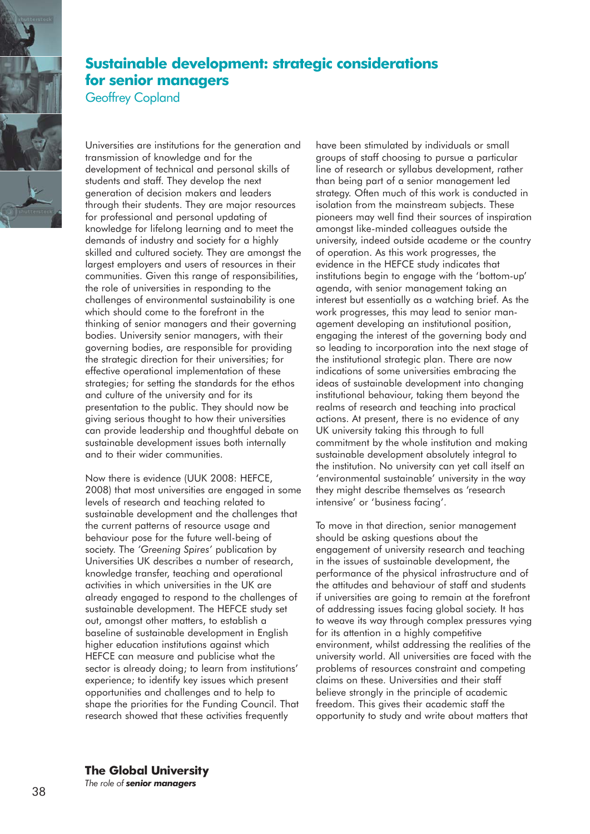

## **Sustainable development: strategic considerations for senior managers**

Geoffrey Copland

Universities are institutions for the generation and transmission of knowledge and for the development of technical and personal skills of students and staff. They develop the next generation of decision makers and leaders through their students. They are major resources for professional and personal updating of knowledge for lifelong learning and to meet the demands of industry and society for a highly skilled and cultured society. They are amongst the largest employers and users of resources in their communities. Given this range of responsibilities, the role of universities in responding to the challenges of environmental sustainability is one which should come to the forefront in the thinking of senior managers and their governing bodies. University senior managers, with their governing bodies, are responsible for providing the strategic direction for their universities; for effective operational implementation of these strategies; for setting the standards for the ethos and culture of the university and for its presentation to the public. They should now be giving serious thought to how their universities can provide leadership and thoughtful debate on sustainable development issues both internally and to their wider communities.

Now there is evidence (UUK 2008: HEFCE, 2008) that most universities are engaged in some levels of research and teaching related to sustainable development and the challenges that the current patterns of resource usage and behaviour pose for the future well-being of society. The *'Greening Spires'* publication by Universities UK describes a number of research, knowledge transfer, teaching and operational activities in which universities in the UK are already engaged to respond to the challenges of sustainable development. The HEFCE study set out, amongst other matters, to establish a baseline of sustainable development in English higher education institutions against which HEFCE can measure and publicise what the sector is already doing; to learn from institutions' experience; to identify key issues which present opportunities and challenges and to help to shape the priorities for the Funding Council. That research showed that these activities frequently

have been stimulated by individuals or small groups of staff choosing to pursue a particular line of research or syllabus development, rather than being part of a senior management led strategy. Often much of this work is conducted in isolation from the mainstream subjects. These pioneers may well find their sources of inspiration amongst like-minded colleagues outside the university, indeed outside academe or the country of operation. As this work progresses, the evidence in the HEFCE study indicates that institutions begin to engage with the 'bottom-up' agenda, with senior management taking an interest but essentially as a watching brief. As the work progresses, this may lead to senior management developing an institutional position, engaging the interest of the governing body and so leading to incorporation into the next stage of the institutional strategic plan. There are now indications of some universities embracing the ideas of sustainable development into changing institutional behaviour, taking them beyond the realms of research and teaching into practical actions. At present, there is no evidence of any UK university taking this through to full commitment by the whole institution and making sustainable development absolutely integral to the institution. No university can yet call itself an 'environmental sustainable' university in the way they might describe themselves as 'research intensive' or 'business facing'.

To move in that direction, senior management should be asking questions about the engagement of university research and teaching in the issues of sustainable development, the performance of the physical infrastructure and of the attitudes and behaviour of staff and students if universities are going to remain at the forefront of addressing issues facing global society. It has to weave its way through complex pressures vying for its attention in a highly competitive environment, whilst addressing the realities of the university world. All universities are faced with the problems of resources constraint and competing claims on these. Universities and their staff believe strongly in the principle of academic freedom. This gives their academic staff the opportunity to study and write about matters that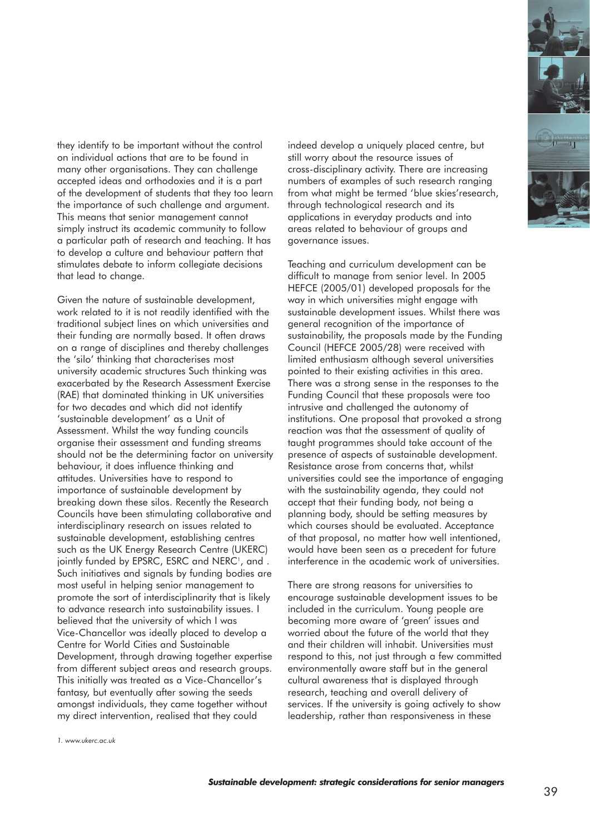

they identify to be important without the control on individual actions that are to be found in many other organisations. They can challenge accepted ideas and orthodoxies and it is a part of the development of students that they too learn the importance of such challenge and argument. This means that senior management cannot simply instruct its academic community to follow a particular path of research and teaching. It has to develop a culture and behaviour pattern that stimulates debate to inform collegiate decisions that lead to change.

Given the nature of sustainable development, work related to it is not readily identified with the traditional subject lines on which universities and their funding are normally based. It often draws on a range of disciplines and thereby challenges the 'silo' thinking that characterises most university academic structures Such thinking was exacerbated by the Research Assessment Exercise (RAE) that dominated thinking in UK universities for two decades and which did not identify 'sustainable development' as a Unit of Assessment. Whilst the way funding councils organise their assessment and funding streams should not be the determining factor on university behaviour, it does influence thinking and attitudes. Universities have to respond to importance of sustainable development by breaking down these silos. Recently the Research Councils have been stimulating collaborative and interdisciplinary research on issues related to sustainable development, establishing centres such as the UK Energy Research Centre (UKERC) jointly funded by EPSRC, ESRC and NERC<sup>1</sup>, and . Such initiatives and signals by funding bodies are most useful in helping senior management to promote the sort of interdisciplinarity that is likely to advance research into sustainability issues. I believed that the university of which I was Vice-Chancellor was ideally placed to develop a Centre for World Cities and Sustainable Development, through drawing together expertise from different subject areas and research groups. This initially was treated as a Vice-Chancellor's fantasy, but eventually after sowing the seeds amongst individuals, they came together without my direct intervention, realised that they could

indeed develop a uniquely placed centre, but still worry about the resource issues of cross-disciplinary activity. There are increasing numbers of examples of such research ranging from what might be termed 'blue skies'research, through technological research and its applications in everyday products and into areas related to behaviour of groups and governance issues.

Teaching and curriculum development can be difficult to manage from senior level. In 2005 HEFCE (2005/01) developed proposals for the way in which universities might engage with sustainable development issues. Whilst there was general recognition of the importance of sustainability, the proposals made by the Funding Council (HEFCE 2005/28) were received with limited enthusiasm although several universities pointed to their existing activities in this area. There was a strong sense in the responses to the Funding Council that these proposals were too intrusive and challenged the autonomy of institutions. One proposal that provoked a strong reaction was that the assessment of quality of taught programmes should take account of the presence of aspects of sustainable development. Resistance arose from concerns that, whilst universities could see the importance of engaging with the sustainability agenda, they could not accept that their funding body, not being a planning body, should be setting measures by which courses should be evaluated. Acceptance of that proposal, no matter how well intentioned, would have been seen as a precedent for future interference in the academic work of universities.

There are strong reasons for universities to encourage sustainable development issues to be included in the curriculum. Young people are becoming more aware of 'green' issues and worried about the future of the world that they and their children will inhabit. Universities must respond to this, not just through a few committed environmentally aware staff but in the general cultural awareness that is displayed through research, teaching and overall delivery of services. If the university is going actively to show leadership, rather than responsiveness in these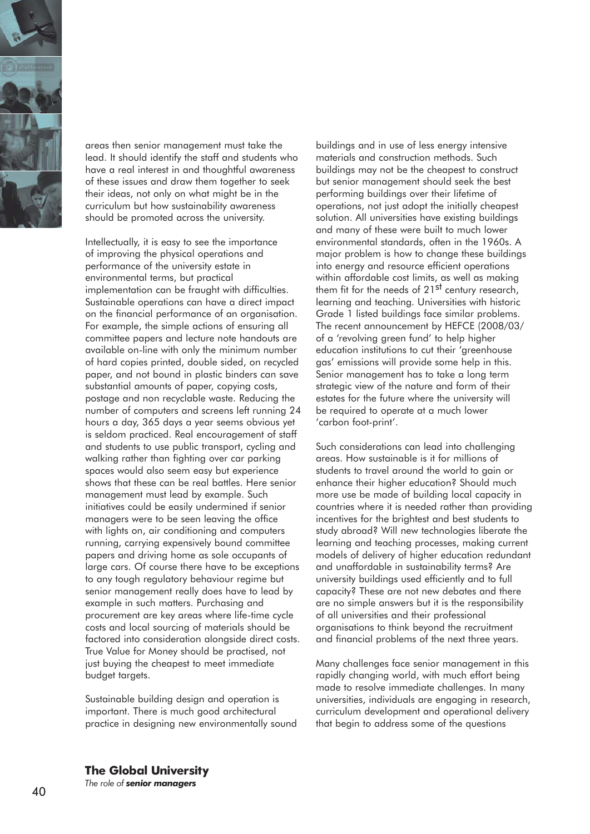

areas then senior management must take the lead. It should identify the staff and students who have a real interest in and thoughtful awareness of these issues and draw them together to seek their ideas, not only on what might be in the curriculum but how sustainability awareness should be promoted across the university.

Intellectually, it is easy to see the importance of improving the physical operations and performance of the university estate in environmental terms, but practical implementation can be fraught with difficulties. Sustainable operations can have a direct impact on the financial performance of an organisation. For example, the simple actions of ensuring all committee papers and lecture note handouts are available on-line with only the minimum number of hard copies printed, double sided, on recycled paper, and not bound in plastic binders can save substantial amounts of paper, copying costs, postage and non recyclable waste. Reducing the number of computers and screens left running 24 hours a day, 365 days a year seems obvious yet is seldom practiced. Real encouragement of staff and students to use public transport, cycling and walking rather than fighting over car parking spaces would also seem easy but experience shows that these can be real battles. Here senior management must lead by example. Such initiatives could be easily undermined if senior managers were to be seen leaving the office with lights on, air conditioning and computers running, carrying expensively bound committee papers and driving home as sole occupants of large cars. Of course there have to be exceptions to any tough regulatory behaviour regime but senior management really does have to lead by example in such matters. Purchasing and procurement are key areas where life-time cycle costs and local sourcing of materials should be factored into consideration alongside direct costs. True Value for Money should be practised, not just buying the cheapest to meet immediate budget targets.

Sustainable building design and operation is important. There is much good architectural practice in designing new environmentally sound

buildings and in use of less energy intensive materials and construction methods. Such buildings may not be the cheapest to construct but senior management should seek the best performing buildings over their lifetime of operations, not just adopt the initially cheapest solution. All universities have existing buildings and many of these were built to much lower environmental standards, often in the 1960s. A major problem is how to change these buildings into energy and resource efficient operations within affordable cost limits, as well as making them fit for the needs of 21<sup>st</sup> century research, learning and teaching. Universities with historic Grade 1 listed buildings face similar problems. The recent announcement by HEFCE (2008/03/ of a 'revolving green fund' to help higher education institutions to cut their 'greenhouse gas' emissions will provide some help in this. Senior management has to take a long term strategic view of the nature and form of their estates for the future where the university will be required to operate at a much lower 'carbon foot-print'.

Such considerations can lead into challenging areas. How sustainable is it for millions of students to travel around the world to gain or enhance their higher education? Should much more use be made of building local capacity in countries where it is needed rather than providing incentives for the brightest and best students to study abroad? Will new technologies liberate the learning and teaching processes, making current models of delivery of higher education redundant and unaffordable in sustainability terms? Are university buildings used efficiently and to full capacity? These are not new debates and there are no simple answers but it is the responsibility of all universities and their professional organisations to think beyond the recruitment and financial problems of the next three years.

Many challenges face senior management in this rapidly changing world, with much effort being made to resolve immediate challenges. In many universities, individuals are engaging in research, curriculum development and operational delivery that begin to address some of the questions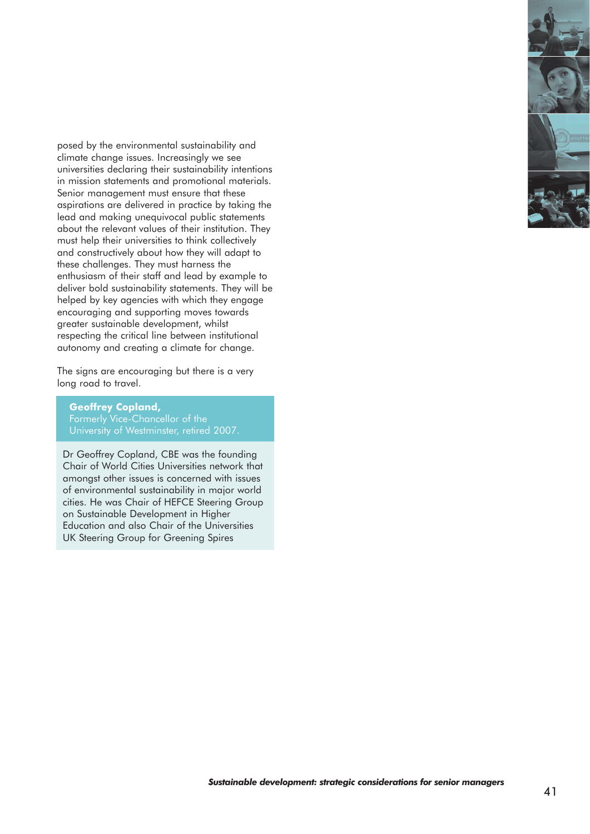posed by the environmental sustainability and climate change issues. Increasingly we see universities declaring their sustainability intentions in mission statements and promotional materials. Senior management must ensure that these aspirations are delivered in practice by taking the lead and making unequivocal public statements about the relevant values of their institution. They must help their universities to think collectively and constructively about how they will adapt to these challenges. They must harness the enthusiasm of their staff and lead by example to deliver bold sustainability statements. They will be helped by key agencies with which they engage encouraging and supporting moves towards greater sustainable development, whilst respecting the critical line between institutional autonomy and creating a climate for change.

The signs are encouraging but there is a very long road to travel.

**Geoffrey Copland,** Formerly Vice-Chancellor of the University of Westminster, retired 2007.

Dr Geoffrey Copland, CBE was the founding Chair of World Cities Universities network that amongst other issues is concerned with issues of environmental sustainability in major world cities. He was Chair of HEFCE Steering Group on Sustainable Development in Higher Education and also Chair of the Universities UK Steering Group for Greening Spires

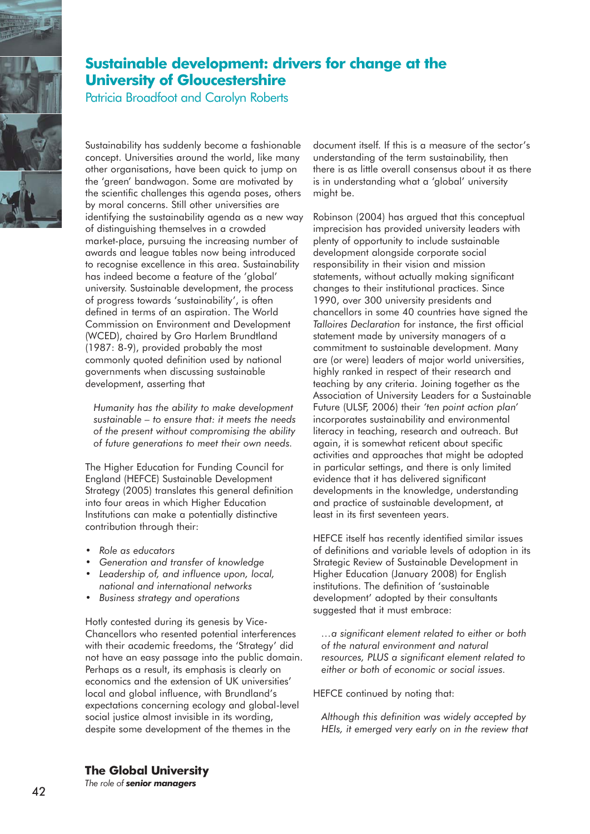

## **Sustainable development: drivers for change at the University of Gloucestershire**

Patricia Broadfoot and Carolyn Roberts

Sustainability has suddenly become a fashionable concept. Universities around the world, like many other organisations, have been quick to jump on the 'green' bandwagon. Some are motivated by the scientific challenges this agenda poses, others by moral concerns. Still other universities are identifying the sustainability agenda as a new way of distinguishing themselves in a crowded market-place, pursuing the increasing number of awards and league tables now being introduced to recognise excellence in this area. Sustainability has indeed become a feature of the 'global' university. Sustainable development, the process of progress towards 'sustainability', is often defined in terms of an aspiration. The World Commission on Environment and Development (WCED), chaired by Gro Harlem Brundtland (1987: 8-9), provided probably the most commonly quoted definition used by national governments when discussing sustainable development, asserting that

*Humanity has the ability to make development sustainable – to ensure that: it meets the needs of the present without compromising the ability of future generations to meet their own needs.*

The Higher Education for Funding Council for England (HEFCE) Sustainable Development Strategy (2005) translates this general definition into four areas in which Higher Education Institutions can make a potentially distinctive contribution through their:

- *Role as educators*
- *Generation and transfer of knowledge*
- *Leadership of, and influence upon, local, national and international networks*
- *Business strategy and operations*

Hotly contested during its genesis by Vice-Chancellors who resented potential interferences with their academic freedoms, the 'Strategy' did not have an easy passage into the public domain. Perhaps as a result, its emphasis is clearly on economics and the extension of UK universities' local and global influence, with Brundland's expectations concerning ecology and global-level social justice almost invisible in its wording, despite some development of the themes in the

document itself. If this is a measure of the sector's understanding of the term sustainability, then there is as little overall consensus about it as there is in understanding what a 'global' university might be.

Robinson (2004) has argued that this conceptual imprecision has provided university leaders with plenty of opportunity to include sustainable development alongside corporate social responsibility in their vision and mission statements, without actually making significant changes to their institutional practices. Since 1990, over 300 university presidents and chancellors in some 40 countries have signed the *Talloires Declaration* for instance, the first official statement made by university managers of a commitment to sustainable development. Many are (or were) leaders of major world universities, highly ranked in respect of their research and teaching by any criteria. Joining together as the Association of University Leaders for a Sustainable Future (ULSF, 2006) their *'ten point action plan'* incorporates sustainability and environmental literacy in teaching, research and outreach. But again, it is somewhat reticent about specific activities and approaches that might be adopted in particular settings, and there is only limited evidence that it has delivered significant developments in the knowledge, understanding and practice of sustainable development, at least in its first seventeen years.

HEFCE itself has recently identified similar issues of definitions and variable levels of adoption in its Strategic Review of Sustainable Development in Higher Education (January 2008) for English institutions. The definition of 'sustainable development' adopted by their consultants suggested that it must embrace:

*…a significant element related to either or both of the natural environment and natural resources, PLUS a significant element related to either or both of economic or social issues.* 

HEFCE continued by noting that:

*Although this definition was widely accepted by HEIs, it emerged very early on in the review that*

**The Global University**

*The role of senior managers*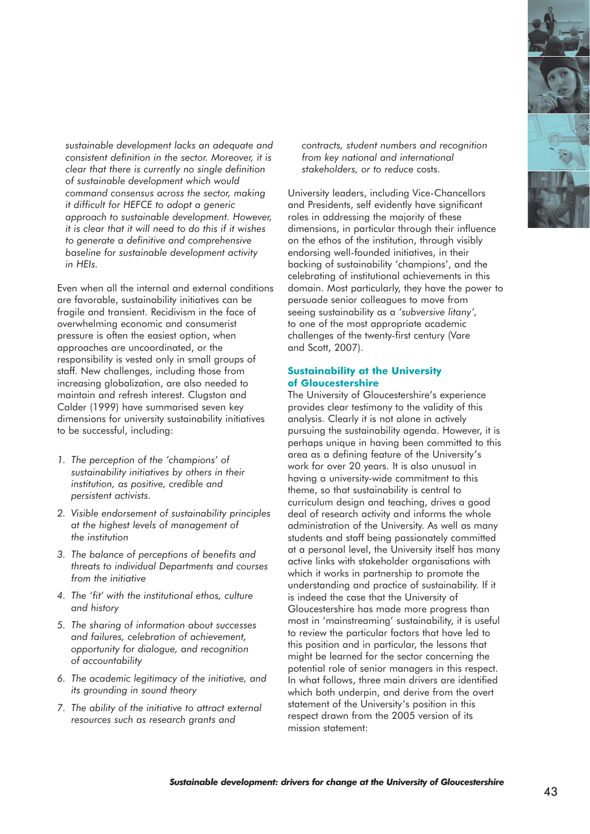

*sustainable development lacks an adequate and consistent definition in the sector. Moreover, it is clear that there is currently no single definition of sustainable development which would command consensus across the sector, making it difficult for HEFCE to adopt a generic approach to sustainable development. However, it is clear that it will need to do this if it wishes to generate a definitive and comprehensive baseline for sustainable development activity in HEIs.* 

Even when all the internal and external conditions are favorable, sustainability initiatives can be fragile and transient. Recidivism in the face of overwhelming economic and consumerist pressure is often the easiest option, when approaches are uncoordinated, or the responsibility is vested only in small groups of staff. New challenges, including those from increasing globalization, are also needed to maintain and refresh interest. Clugston and Calder (1999) have summarised seven key dimensions for university sustainability initiatives to be successful, including:

- *1. The perception of the 'champions' of sustainability initiatives by others in their institution, as positive, credible and persistent activists.*
- *2. Visible endorsement of sustainability principles at the highest levels of management of the institution*
- *3. The balance of perceptions of benefits and threats to individual Departments and courses from the initiative*
- *4. The 'fit' with the institutional ethos, culture and history*
- *5. The sharing of information about successes and failures, celebration of achievement, opportunity for dialogue, and recognition of accountability*
- *6. The academic legitimacy of the initiative, and its grounding in sound theory*
- *7. The ability of the initiative to attract external resources such as research grants and*

*contracts, student numbers and recognition from key national and international stakeholders, or to reduc*e costs.

University leaders, including Vice-Chancellors and Presidents, self evidently have significant roles in addressing the majority of these dimensions, in particular through their influence on the ethos of the institution, through visibly endorsing well-founded initiatives, in their backing of sustainability 'champions', and the celebrating of institutional achievements in this domain. Most particularly, they have the power to persuade senior colleagues to move from seeing sustainability as a *'subversive litany',* to one of the most appropriate academic challenges of the twenty-first century (Vare and Scott, 2007).

#### **Sustainability at the University of Gloucestershire**

The University of Gloucestershire's experience provides clear testimony to the validity of this analysis. Clearly it is not alone in actively pursuing the sustainability agenda. However, it is perhaps unique in having been committed to this area as a defining feature of the University's work for over 20 years. It is also unusual in having a university-wide commitment to this theme, so that sustainability is central to curriculum design and teaching, drives a good deal of research activity and informs the whole administration of the University. As well as many students and staff being passionately committed at a personal level, the University itself has many active links with stakeholder organisations with which it works in partnership to promote the understanding and practice of sustainability. If it is indeed the case that the University of Gloucestershire has made more progress than most in 'mainstreaming' sustainability, it is useful to review the particular factors that have led to this position and in particular, the lessons that might be learned for the sector concerning the potential role of senior managers in this respect. In what follows, three main drivers are identified which both underpin, and derive from the overt statement of the University's position in this respect drawn from the 2005 version of its mission statement: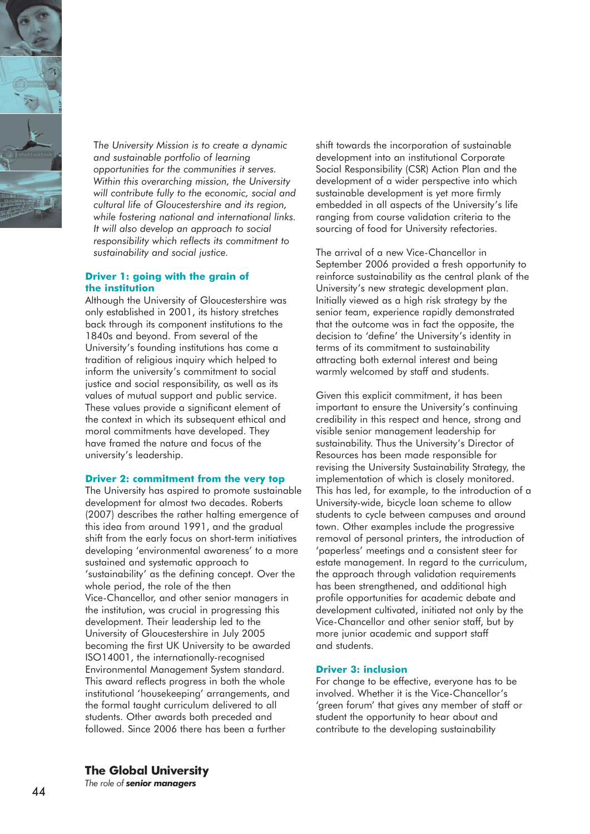

T*he University Mission is to create a dynamic and sustainable portfolio of learning opportunities for the communities it serves. Within this overarching mission, the University will contribute fully to the economic, social and cultural life of Gloucestershire and its region, while fostering national and international links. It will also develop an approach to social responsibility which reflects its commitment to sustainability and social justice.*

#### **Driver 1: going with the grain of the institution**

Although the University of Gloucestershire was only established in 2001, its history stretches back through its component institutions to the 1840s and beyond. From several of the University's founding institutions has come a tradition of religious inquiry which helped to inform the university's commitment to social justice and social responsibility, as well as its values of mutual support and public service. These values provide a significant element of the context in which its subsequent ethical and moral commitments have developed. They have framed the nature and focus of the university's leadership.

#### **Driver 2: commitment from the very top**

The University has aspired to promote sustainable development for almost two decades. Roberts (2007) describes the rather halting emergence of this idea from around 1991, and the gradual shift from the early focus on short-term initiatives developing 'environmental awareness' to a more sustained and systematic approach to 'sustainability' as the defining concept. Over the whole period, the role of the then Vice-Chancellor, and other senior managers in the institution, was crucial in progressing this development. Their leadership led to the University of Gloucestershire in July 2005 becoming the first UK University to be awarded ISO14001, the internationally-recognised Environmental Management System standard. This award reflects progress in both the whole institutional 'housekeeping' arrangements, and the formal taught curriculum delivered to all students. Other awards both preceded and followed. Since 2006 there has been a further

shift towards the incorporation of sustainable development into an institutional Corporate Social Responsibility (CSR) Action Plan and the development of a wider perspective into which sustainable development is yet more firmly embedded in all aspects of the University's life ranging from course validation criteria to the sourcing of food for University refectories.

The arrival of a new Vice-Chancellor in September 2006 provided a fresh opportunity to reinforce sustainability as the central plank of the University's new strategic development plan. Initially viewed as a high risk strategy by the senior team, experience rapidly demonstrated that the outcome was in fact the opposite, the decision to 'define' the University's identity in terms of its commitment to sustainability attracting both external interest and being warmly welcomed by staff and students.

Given this explicit commitment, it has been important to ensure the University's continuing credibility in this respect and hence, strong and visible senior management leadership for sustainability. Thus the University's Director of Resources has been made responsible for revising the University Sustainability Strategy, the implementation of which is closely monitored. This has led, for example, to the introduction of a University-wide, bicycle loan scheme to allow students to cycle between campuses and around town. Other examples include the progressive removal of personal printers, the introduction of 'paperless' meetings and a consistent steer for estate management. In regard to the curriculum, the approach through validation requirements has been strengthened, and additional high profile opportunities for academic debate and development cultivated, initiated not only by the Vice-Chancellor and other senior staff, but by more junior academic and support staff and students.

#### **Driver 3: inclusion**

For change to be effective, everyone has to be involved. Whether it is the Vice-Chancellor's 'green forum' that gives any member of staff or student the opportunity to hear about and contribute to the developing sustainability

**The Global University**

*The role of senior managers*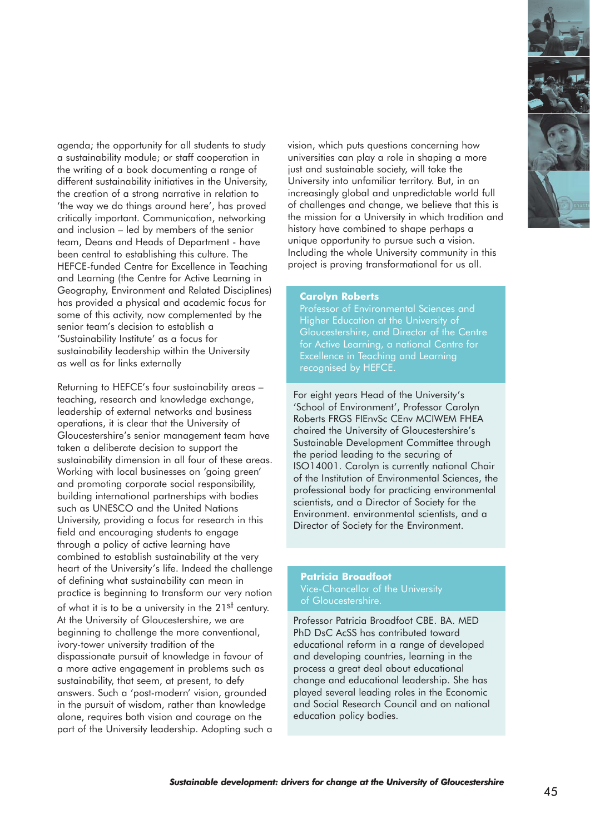agenda; the opportunity for all students to study a sustainability module; or staff cooperation in the writing of a book documenting a range of different sustainability initiatives in the University, the creation of a strong narrative in relation to 'the way we do things around here', has proved critically important. Communication, networking and inclusion – led by members of the senior team, Deans and Heads of Department - have been central to establishing this culture. The HEFCE-funded Centre for Excellence in Teaching and Learning (the Centre for Active Learning in Geography, Environment and Related Disciplines) has provided a physical and academic focus for some of this activity, now complemented by the senior team's decision to establish a 'Sustainability Institute' as a focus for sustainability leadership within the University as well as for links externally

Returning to HEFCE's four sustainability areas – teaching, research and knowledge exchange, leadership of external networks and business operations, it is clear that the University of Gloucestershire's senior management team have taken a deliberate decision to support the sustainability dimension in all four of these areas. Working with local businesses on 'going green' and promoting corporate social responsibility, building international partnerships with bodies such as UNESCO and the United Nations University, providing a focus for research in this field and encouraging students to engage through a policy of active learning have combined to establish sustainability at the very heart of the University's life. Indeed the challenge of defining what sustainability can mean in practice is beginning to transform our very notion of what it is to be a university in the 21<sup>st</sup> century. At the University of Gloucestershire, we are beginning to challenge the more conventional, ivory-tower university tradition of the dispassionate pursuit of knowledge in favour of a more active engagement in problems such as sustainability, that seem, at present, to defy answers. Such a 'post-modern' vision, grounded in the pursuit of wisdom, rather than knowledge alone, requires both vision and courage on the part of the University leadership. Adopting such a vision, which puts questions concerning how universities can play a role in shaping a more just and sustainable society, will take the University into unfamiliar territory. But, in an increasingly global and unpredictable world full of challenges and change, we believe that this is the mission for a University in which tradition and history have combined to shape perhaps a unique opportunity to pursue such a vision. Including the whole University community in this project is proving transformational for us all.

#### **Carolyn Roberts**

Professor of Environmental Sciences and Higher Education at the University of Gloucestershire, and Director of the Centre Excellence in Teaching and Learning recognised by HEFCE.

For eight years Head of the University's 'School of Environment', Professor Carolyn Roberts FRGS FIEnvSc CEnv MCIWEM FHEA chaired the University of Gloucestershire's Sustainable Development Committee through the period leading to the securing of ISO14001. Carolyn is currently national Chair of the Institution of Environmental Sciences, the professional body for practicing environmental scientists, and a Director of Society for the Environment. environmental scientists, and a Director of Society for the Environment.

# **Patricia Broadfoot**

Professor Patricia Broadfoot CBE. BA. MED PhD DsC AcSS has contributed toward educational reform in a range of developed and developing countries, learning in the process a great deal about educational change and educational leadership. She has played several leading roles in the Economic and Social Research Council and on national education policy bodies.

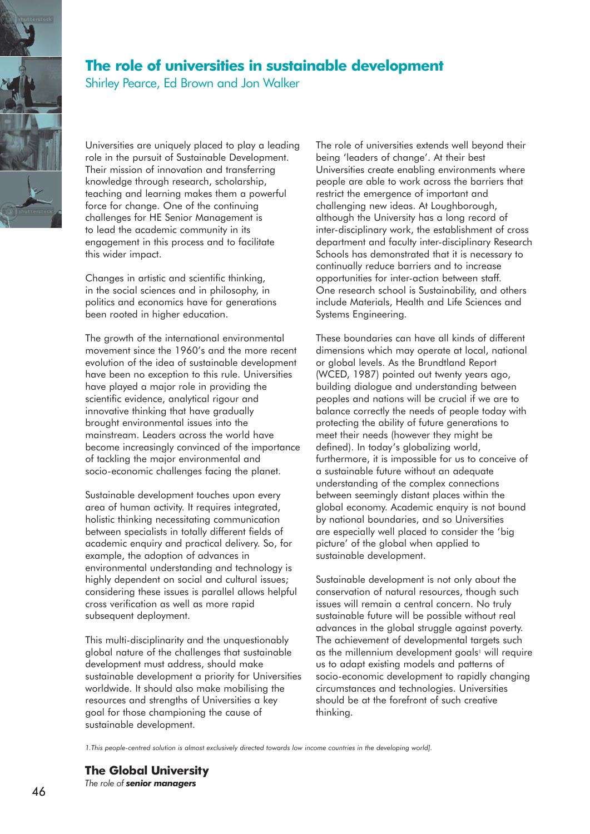

### **The role of universities in sustainable development**

Shirley Pearce, Ed Brown and Jon Walker

Universities are uniquely placed to play a leading role in the pursuit of Sustainable Development. Their mission of innovation and transferring knowledge through research, scholarship, teaching and learning makes them a powerful force for change. One of the continuing challenges for HE Senior Management is to lead the academic community in its engagement in this process and to facilitate this wider impact.

Changes in artistic and scientific thinking, in the social sciences and in philosophy, in politics and economics have for generations been rooted in higher education.

The growth of the international environmental movement since the 1960's and the more recent evolution of the idea of sustainable development have been no exception to this rule. Universities have played a major role in providing the scientific evidence, analytical rigour and innovative thinking that have gradually brought environmental issues into the mainstream. Leaders across the world have become increasingly convinced of the importance of tackling the major environmental and socio-economic challenges facing the planet.

Sustainable development touches upon every area of human activity. It requires integrated, holistic thinking necessitating communication between specialists in totally different fields of academic enquiry and practical delivery. So, for example, the adoption of advances in environmental understanding and technology is highly dependent on social and cultural issues; considering these issues is parallel allows helpful cross verification as well as more rapid subsequent deployment.

This multi-disciplinarity and the unquestionably global nature of the challenges that sustainable development must address, should make sustainable development a priority for Universities worldwide. It should also make mobilising the resources and strengths of Universities a key goal for those championing the cause of sustainable development.

The role of universities extends well beyond their being 'leaders of change'. At their best Universities create enabling environments where people are able to work across the barriers that restrict the emergence of important and challenging new ideas. At Loughborough, although the University has a long record of inter-disciplinary work, the establishment of cross department and faculty inter-disciplinary Research Schools has demonstrated that it is necessary to continually reduce barriers and to increase opportunities for inter-action between staff. One research school is Sustainability, and others include Materials, Health and Life Sciences and Systems Engineering.

These boundaries can have all kinds of different dimensions which may operate at local, national or global levels. As the Brundtland Report (WCED, 1987) pointed out twenty years ago, building dialogue and understanding between peoples and nations will be crucial if we are to balance correctly the needs of people today with protecting the ability of future generations to meet their needs (however they might be defined). In today's globalizing world, furthermore, it is impossible for us to conceive of a sustainable future without an adequate understanding of the complex connections between seemingly distant places within the global economy. Academic enquiry is not bound by national boundaries, and so Universities are especially well placed to consider the 'big picture' of the global when applied to sustainable development.

Sustainable development is not only about the conservation of natural resources, though such issues will remain a central concern. No truly sustainable future will be possible without real advances in the global struggle against poverty. The achievement of developmental targets such as the millennium development goals<sup>1</sup> will require us to adapt existing models and patterns of socio-economic development to rapidly changing circumstances and technologies. Universities should be at the forefront of such creative thinking.

*1.This people-centred solution is almost exclusively directed towards low income countries in the developing world].*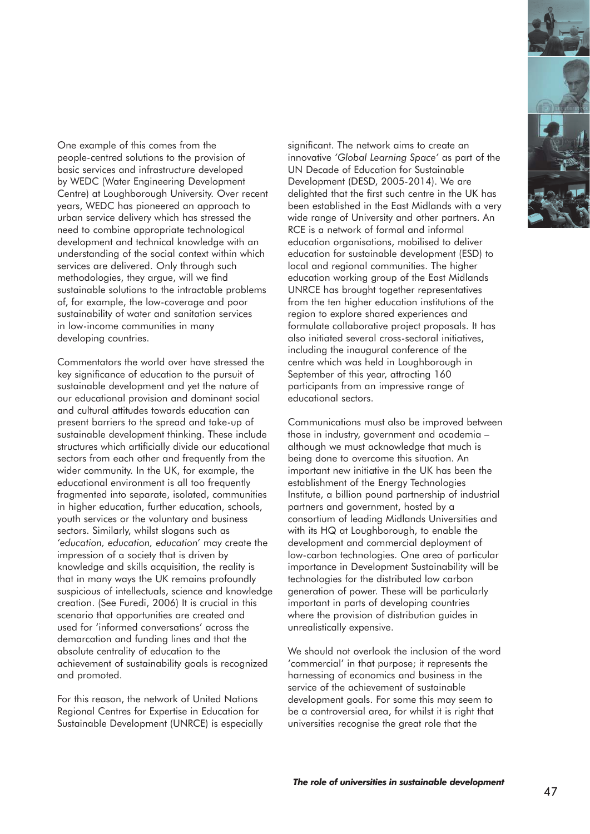

Commentators the world over have stressed the key significance of education to the pursuit of sustainable development and yet the nature of our educational provision and dominant social and cultural attitudes towards education can present barriers to the spread and take-up of sustainable development thinking. These include structures which artificially divide our educational sectors from each other and frequently from the wider community. In the UK, for example, the educational environment is all too frequently fragmented into separate, isolated, communities in higher education, further education, schools, youth services or the voluntary and business sectors. Similarly, whilst slogans such as *'education, education, education'* may create the impression of a society that is driven by knowledge and skills acquisition, the reality is that in many ways the UK remains profoundly suspicious of intellectuals, science and knowledge creation. (See Furedi, 2006) It is crucial in this scenario that opportunities are created and used for 'informed conversations' across the demarcation and funding lines and that the absolute centrality of education to the achievement of sustainability goals is recognized and promoted.

For this reason, the network of United Nations Regional Centres for Expertise in Education for Sustainable Development (UNRCE) is especially significant. The network aims to create an innovative *'Global Learning Space'* as part of the UN Decade of Education for Sustainable Development (DESD, 2005-2014). We are delighted that the first such centre in the UK has been established in the East Midlands with a very wide range of University and other partners. An RCE is a network of formal and informal education organisations, mobilised to deliver education for sustainable development (ESD) to local and regional communities. The higher education working group of the East Midlands UNRCE has brought together representatives from the ten higher education institutions of the region to explore shared experiences and formulate collaborative project proposals. It has also initiated several cross-sectoral initiatives, including the inaugural conference of the centre which was held in Loughborough in September of this year, attracting 160 participants from an impressive range of educational sectors.

Communications must also be improved between those in industry, government and academia – although we must acknowledge that much is being done to overcome this situation. An important new initiative in the UK has been the establishment of the Energy Technologies Institute, a billion pound partnership of industrial partners and government, hosted by a consortium of leading Midlands Universities and with its HQ at Loughborough, to enable the development and commercial deployment of low-carbon technologies. One area of particular importance in Development Sustainability will be technologies for the distributed low carbon generation of power. These will be particularly important in parts of developing countries where the provision of distribution guides in unrealistically expensive.

We should not overlook the inclusion of the word 'commercial' in that purpose; it represents the harnessing of economics and business in the service of the achievement of sustainable development goals. For some this may seem to be a controversial area, for whilst it is right that universities recognise the great role that the

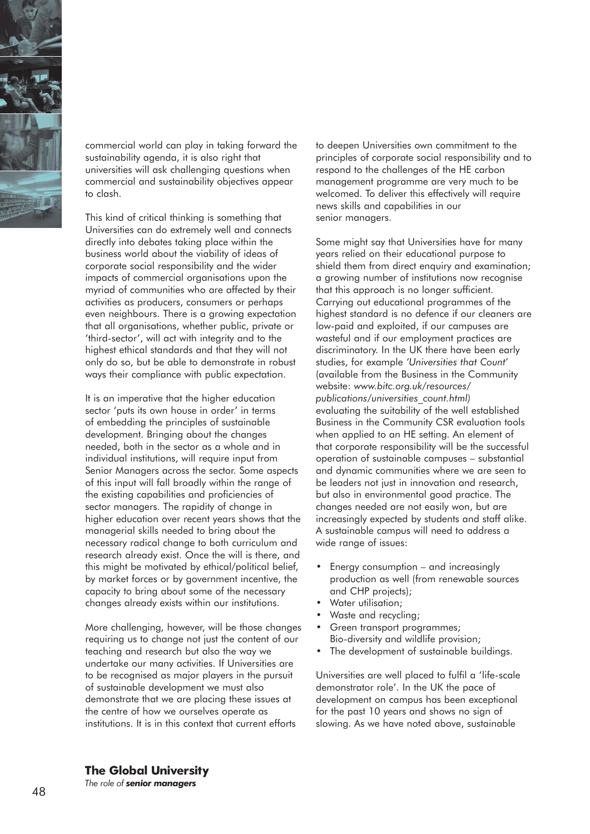

commercial world can play in taking forward the sustainability agenda, it is also right that universities will ask challenging questions when commercial and sustainability objectives appear to clash.

This kind of critical thinking is something that Universities can do extremely well and connects directly into debates taking place within the business world about the viability of ideas of corporate social responsibility and the wider impacts of commercial organisations upon the myriad of communities who are affected by their activities as producers, consumers or perhaps even neighbours. There is a growing expectation that all organisations, whether public, private or 'third-sector', will act with integrity and to the highest ethical standards and that they will not only do so, but be able to demonstrate in robust ways their compliance with public expectation.

It is an imperative that the higher education sector 'puts its own house in order' in terms of embedding the principles of sustainable development. Bringing about the changes needed, both in the sector as a whole and in individual institutions, will require input from Senior Managers across the sector. Some aspects of this input will fall broadly within the range of the existing capabilities and proficiencies of sector managers. The rapidity of change in higher education over recent years shows that the managerial skills needed to bring about the necessary radical change to both curriculum and research already exist. Once the will is there, and this might be motivated by ethical/political belief, by market forces or by government incentive, the capacity to bring about some of the necessary changes already exists within our institutions.

More challenging, however, will be those changes requiring us to change not just the content of our teaching and research but also the way we undertake our many activities. If Universities are to be recognised as major players in the pursuit of sustainable development we must also demonstrate that we are placing these issues at the centre of how we ourselves operate as institutions. It is in this context that current efforts

to deepen Universities own commitment to the principles of corporate social responsibility and to respond to the challenges of the HE carbon management programme are very much to be welcomed. To deliver this effectively will require news skills and capabilities in our senior managers.

Some might say that Universities have for many years relied on their educational purpose to shield them from direct enquiry and examination; a growing number of institutions now recognise that this approach is no longer sufficient. Carrying out educational programmes of the highest standard is no defence if our cleaners are low-paid and exploited, if our campuses are wasteful and if our employment practices are discriminatory. In the UK there have been early studies, for example *'Universities that Count'* (available from the Business in the Community website: *www.bitc.org.uk/resources/ publications/universities\_count.html)*  evaluating the suitability of the well established Business in the Community CSR evaluation tools when applied to an HE setting. An element of that corporate responsibility will be the successful operation of sustainable campuses – substantial and dynamic communities where we are seen to be leaders not just in innovation and research, but also in environmental good practice. The changes needed are not easily won, but are increasingly expected by students and staff alike. A sustainable campus will need to address a wide range of issues:

- Energy consumption and increasingly production as well (from renewable sources and CHP projects);
- Water utilisation;
- Waste and recycling;
- Green transport programmes; Bio-diversity and wildlife provision;
- The development of sustainable buildings.

Universities are well placed to fulfil a 'life-scale demonstrator role'. In the UK the pace of development on campus has been exceptional for the past 10 years and shows no sign of slowing. As we have noted above, sustainable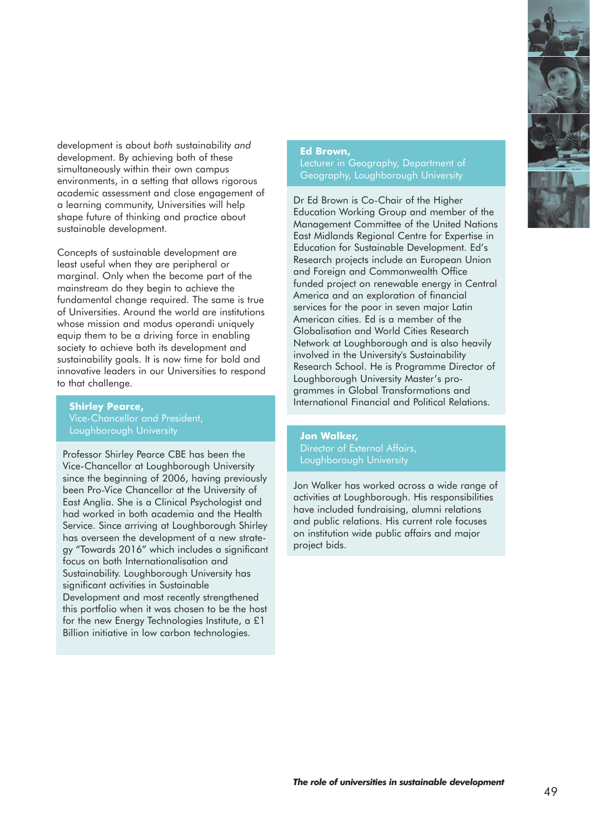

development is about *both* sustainability *and* development. By achieving both of these simultaneously within their own campus environments, in a setting that allows rigorous academic assessment and close engagement of a learning community, Universities will help shape future of thinking and practice about sustainable development.

Concepts of sustainable development are least useful when they are peripheral or marginal. Only when the become part of the mainstream do they begin to achieve the fundamental change required. The same is true of Universities. Around the world are institutions whose mission and modus operandi uniquely equip them to be a driving force in enabling society to achieve both its development and sustainability goals. It is now time for bold and innovative leaders in our Universities to respond to that challenge.

**Shirley Pearce,**  Loughborough University

Professor Shirley Pearce CBE has been the Vice-Chancellor at Loughborough University since the beginning of 2006, having previously been Pro-Vice Chancellor at the University of East Anglia. She is a Clinical Psychologist and had worked in both academia and the Health Service. Since arriving at Loughborough Shirley has overseen the development of a new strategy "Towards 2016" which includes a significant focus on both Internationalisation and Sustainability. Loughborough University has significant activities in Sustainable Development and most recently strengthened this portfolio when it was chosen to be the host for the new Energy Technologies Institute, a £1 Billion initiative in low carbon technologies.

#### **Ed Brown,**

Lecturer in Geography, Department of Geography, Loughborough University

Dr Ed Brown is Co-Chair of the Higher Education Working Group and member of the Management Committee of the United Nations East Midlands Regional Centre for Expertise in Education for Sustainable Development. Ed's Research projects include an European Union and Foreign and Commonwealth Office funded project on renewable energy in Central America and an exploration of financial services for the poor in seven major Latin American cities. Ed is a member of the Globalisation and World Cities Research Network at Loughborough and is also heavily involved in the University's Sustainability Research School. He is Programme Director of Loughborough University Master's programmes in Global Transformations and International Financial and Political Relations.

**Jon Walker,**  Director of External Affairs, Loughborough University

Jon Walker has worked across a wide range of activities at Loughborough. His responsibilities have included fundraising, alumni relations and public relations. His current role focuses on institution wide public affairs and major project bids.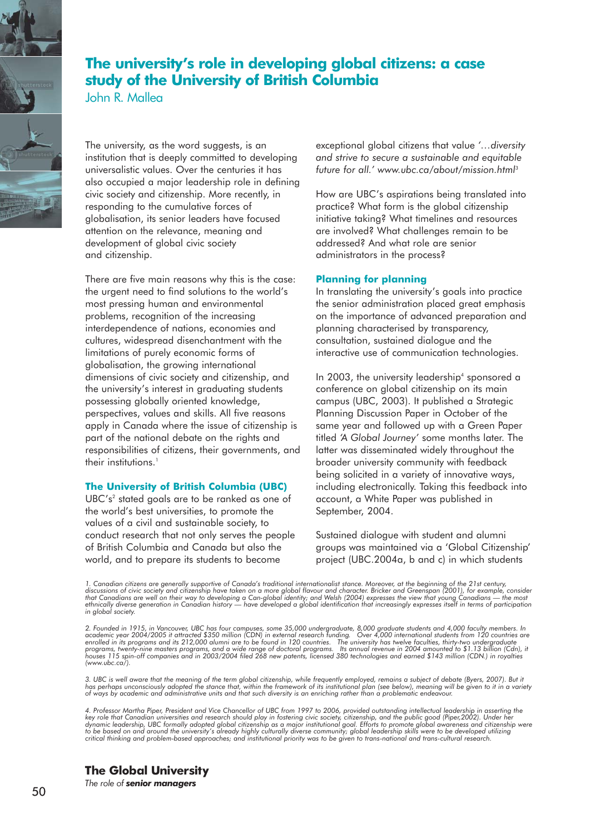## **The university's role in developing global citizens: a case study of the University of British Columbia**

John R. Mallea

The university, as the word suggests, is an institution that is deeply committed to developing universalistic values. Over the centuries it has also occupied a major leadership role in defining civic society and citizenship. More recently, in responding to the cumulative forces of globalisation, its senior leaders have focused attention on the relevance, meaning and development of global civic society and citizenship.

There are five main reasons why this is the case: the urgent need to find solutions to the world's most pressing human and environmental problems, recognition of the increasing interdependence of nations, economies and cultures, widespread disenchantment with the limitations of purely economic forms of globalisation, the growing international dimensions of civic society and citizenship, and the university's interest in graduating students possessing globally oriented knowledge, perspectives, values and skills. All five reasons apply in Canada where the issue of citizenship is part of the national debate on the rights and responsibilities of citizens, their governments, and their institutions.<sup>1</sup>

#### **The University of British Columbia (UBC)**

UBC's<sup>2</sup> stated goals are to be ranked as one of the world's best universities, to promote the values of a civil and sustainable society, to conduct research that not only serves the people of British Columbia and Canada but also the world, and to prepare its students to become

exceptional global citizens that value *'…diversity and strive to secure a sustainable and equitable future for all.' www.ubc.ca/about/mission.html*<sup>3</sup>

How are UBC's aspirations being translated into practice? What form is the global citizenship initiative taking? What timelines and resources are involved? What challenges remain to be addressed? And what role are senior administrators in the process?

#### **Planning for planning**

In translating the university's goals into practice the senior administration placed great emphasis on the importance of advanced preparation and planning characterised by transparency, consultation, sustained dialogue and the interactive use of communication technologies.

In 2003, the university leadership<sup>4</sup> sponsored a conference on global citizenship on its main campus (UBC, 2003). It published a Strategic Planning Discussion Paper in October of the same year and followed up with a Green Paper titled *'A Global Journey'* some months later. The latter was disseminated widely throughout the broader university community with feedback being solicited in a variety of innovative ways, including electronically. Taking this feedback into account, a White Paper was published in September, 2004.

Sustained dialogue with student and alumni groups was maintained via a 'Global Citizenship' project (UBC.2004a, b and c) in which students

*1. Canadian citizens are generally supportive of Canada's traditional internationalist stance. Moreover, at the beginning of the 21st century,*  discussions of civic society and citizenship have taken on a more global flavour and character. Bricker and Greenspan (2001), for example, consider<br>that Canadians are well on their way to developing a Can-global identity; *in global society.*

*2. Founded in 1915, in Vancouver, UBC has four campuses, some 35,000 undergraduate, 8,000 graduate students and 4,000 faculty members. In* academic year 2004/2005 it attracted \$350 million (CDN) in external research funding. Over 4,000 international students from 120 countries are<br>enrolled in its programs and its 212,000 alumni are to be found in 120 countri *(www.ubc.ca/).*

3. UBC is well aware that the meaning of the term global citizenship, while frequently employed, remains a subject of debate (Byers, 2007). But it<br>has perhaps unconsciously adopted the stance that, within the framework of

4. Professor Martha Piper, President and Vice Chancellor of UBC from 1997 to 2006, provided outstanding intellectual leadership in asserting the<br>key role that Canadian universities and research should play in fostering civ dynamic leadership, UBC formally adopted global citizenship as a major institutional goal. Efforts to promote global awareness and citizenship were<br>to be based on and around the university's already highly culturally diver *critical thinking and problem-based approaches; and institutional priority was to be given to trans-national and trans-cultural research.*

**The Global University**

*The role of senior managers*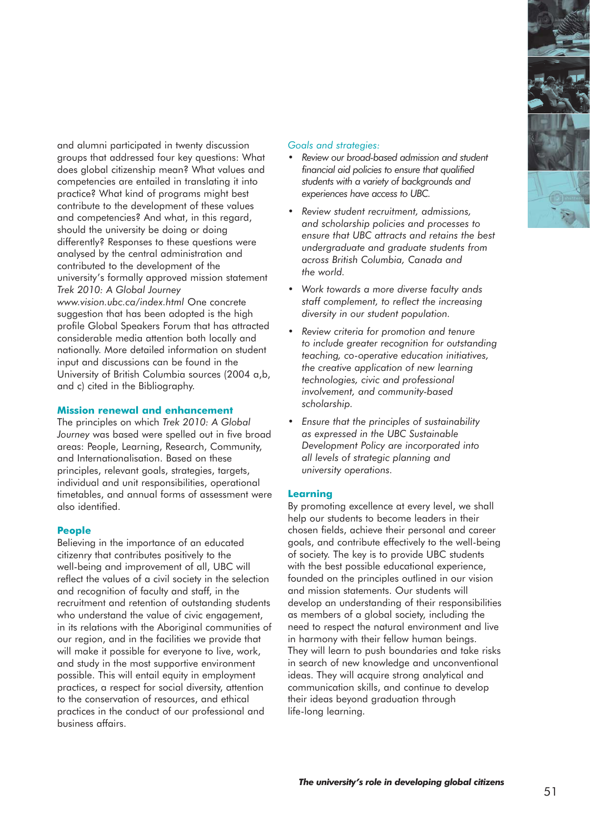

and alumni participated in twenty discussion groups that addressed four key questions: What does global citizenship mean? What values and competencies are entailed in translating it into practice? What kind of programs might best contribute to the development of these values and competencies? And what, in this regard, should the university be doing or doing differently? Responses to these questions were analysed by the central administration and contributed to the development of the university's formally approved mission statement *Trek 2010: A Global Journey www.vision.ubc.ca/index.html* One concrete suggestion that has been adopted is the high profile Global Speakers Forum that has attracted considerable media attention both locally and nationally. More detailed information on student input and discussions can be found in the University of British Columbia sources (2004 a,b, and c) cited in the Bibliography.

#### **Mission renewal and enhancement**

The principles on which *Trek 2010: A Global Journey* was based were spelled out in five broad areas: People, Learning, Research, Community, and Internationalisation. Based on these principles, relevant goals, strategies, targets, individual and unit responsibilities, operational timetables, and annual forms of assessment were also identified.

#### **People**

Believing in the importance of an educated citizenry that contributes positively to the well-being and improvement of all, UBC will reflect the values of a civil society in the selection and recognition of faculty and staff, in the recruitment and retention of outstanding students who understand the value of civic engagement, in its relations with the Aboriginal communities of our region, and in the facilities we provide that will make it possible for everyone to live, work, and study in the most supportive environment possible. This will entail equity in employment practices, a respect for social diversity, attention to the conservation of resources, and ethical practices in the conduct of our professional and business affairs.

#### *Goals and strategies:*

- *Review our broad-based admission and student financial aid policies to ensure that qualified students with a variety of backgrounds and experiences have access to UBC.*
- *Review student recruitment, admissions, and scholarship policies and processes to ensure that UBC attracts and retains the best undergraduate and graduate students from across British Columbia, Canada and the world.*
- *Work towards a more diverse faculty ands staff complement, to reflect the increasing diversity in our student population.*
- *Review criteria for promotion and tenure to include greater recognition for outstanding teaching, co-operative education initiatives, the creative application of new learning technologies, civic and professional involvement, and community-based scholarship.*
- *Ensure that the principles of sustainability as expressed in the UBC Sustainable Development Policy are incorporated into all levels of strategic planning and university operations.*

#### **Learning**

By promoting excellence at every level, we shall help our students to become leaders in their chosen fields, achieve their personal and career goals, and contribute effectively to the well-being of society. The key is to provide UBC students with the best possible educational experience, founded on the principles outlined in our vision and mission statements. Our students will develop an understanding of their responsibilities as members of a global society, including the need to respect the natural environment and live in harmony with their fellow human beings. They will learn to push boundaries and take risks in search of new knowledge and unconventional ideas. They will acquire strong analytical and communication skills, and continue to develop their ideas beyond graduation through life-long learning.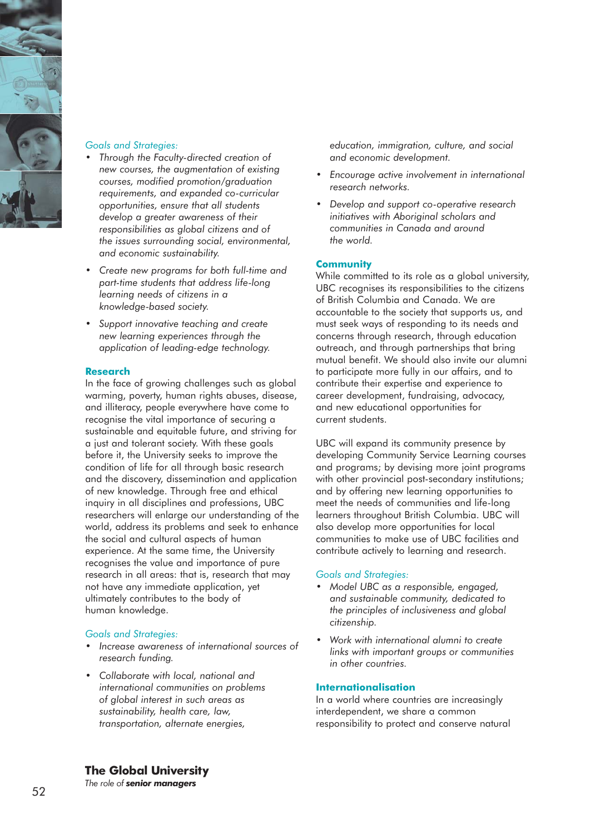

#### *Goals and Strategies:*

- *Through the Faculty-directed creation of new courses, the augmentation of existing courses, modified promotion/graduation requirements, and expanded co-curricular opportunities, ensure that all students develop a greater awareness of their responsibilities as global citizens and of the issues surrounding social, environmental, and economic sustainability.*
- *Create new programs for both full-time and part-time students that address life-long learning needs of citizens in a knowledge-based society.*
- *Support innovative teaching and create new learning experiences through the application of leading-edge technology.*

#### **Research**

In the face of growing challenges such as global warming, poverty, human rights abuses, disease, and illiteracy, people everywhere have come to recognise the vital importance of securing a sustainable and equitable future, and striving for a just and tolerant society. With these goals before it, the University seeks to improve the condition of life for all through basic research and the discovery, dissemination and application of new knowledge. Through free and ethical inquiry in all disciplines and professions, UBC researchers will enlarge our understanding of the world, address its problems and seek to enhance the social and cultural aspects of human experience. At the same time, the University recognises the value and importance of pure research in all areas: that is, research that may not have any immediate application, yet ultimately contributes to the body of human knowledge.

#### *Goals and Strategies:*

- *Increase awareness of international sources of research funding.*
- *Collaborate with local, national and international communities on problems of global interest in such areas as sustainability, health care, law, transportation, alternate energies,*

*education, immigration, culture, and social and economic development.*

- *Encourage active involvement in international research networks.*
- *Develop and support co-operative research initiatives with Aboriginal scholars and communities in Canada and around the world.*

#### **Community**

While committed to its role as a global university, UBC recognises its responsibilities to the citizens of British Columbia and Canada. We are accountable to the society that supports us, and must seek ways of responding to its needs and concerns through research, through education outreach, and through partnerships that bring mutual benefit. We should also invite our alumni to participate more fully in our affairs, and to contribute their expertise and experience to career development, fundraising, advocacy, and new educational opportunities for current students.

UBC will expand its community presence by developing Community Service Learning courses and programs; by devising more joint programs with other provincial post-secondary institutions; and by offering new learning opportunities to meet the needs of communities and life-long learners throughout British Columbia. UBC will also develop more opportunities for local communities to make use of UBC facilities and contribute actively to learning and research.

#### *Goals and Strategies:*

- *Model UBC as a responsible, engaged, and sustainable community, dedicated to the principles of inclusiveness and global citizenship.*
- *Work with international alumni to create links with important groups or communities in other countries.*

#### **Internationalisation**

In a world where countries are increasingly interdependent, we share a common responsibility to protect and conserve natural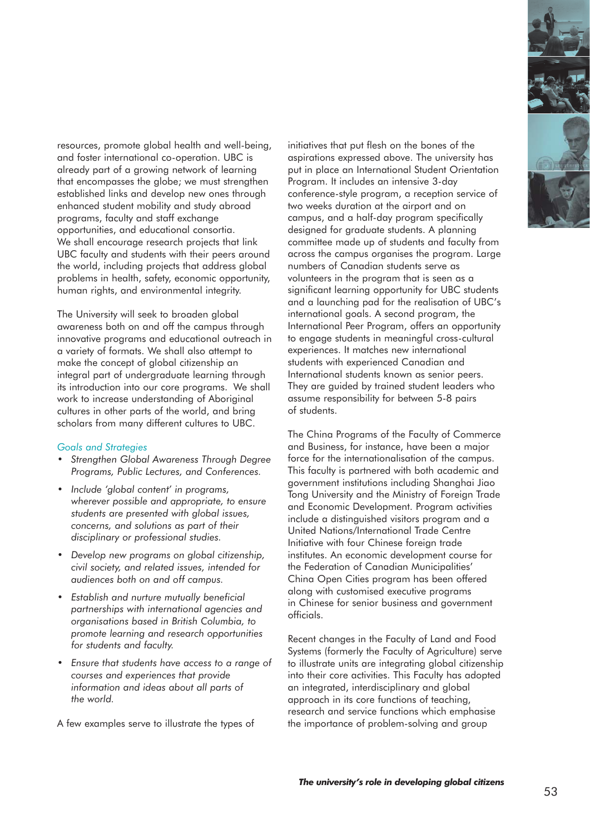

resources, promote global health and well-being, and foster international co-operation. UBC is already part of a growing network of learning that encompasses the globe; we must strengthen established links and develop new ones through enhanced student mobility and study abroad programs, faculty and staff exchange opportunities, and educational consortia. We shall encourage research projects that link UBC faculty and students with their peers around the world, including projects that address global problems in health, safety, economic opportunity, human rights, and environmental integrity.

The University will seek to broaden global awareness both on and off the campus through innovative programs and educational outreach in a variety of formats. We shall also attempt to make the concept of global citizenship an integral part of undergraduate learning through its introduction into our core programs. We shall work to increase understanding of Aboriginal cultures in other parts of the world, and bring scholars from many different cultures to UBC.

#### *Goals and Strategies*

- *Strengthen Global Awareness Through Degree Programs, Public Lectures, and Conferences.*
- *Include 'global content' in programs, wherever possible and appropriate, to ensure students are presented with global issues, concerns, and solutions as part of their disciplinary or professional studies.*
- *Develop new programs on global citizenship, civil society, and related issues, intended for audiences both on and off campus.*
- *Establish and nurture mutually beneficial partnerships with international agencies and organisations based in British Columbia, to promote learning and research opportunities for students and faculty.*
- *Ensure that students have access to a range of courses and experiences that provide information and ideas about all parts of the world.*

A few examples serve to illustrate the types of

initiatives that put flesh on the bones of the aspirations expressed above. The university has put in place an International Student Orientation Program. It includes an intensive 3-day conference-style program, a reception service of two weeks duration at the airport and on campus, and a half-day program specifically designed for graduate students. A planning committee made up of students and faculty from across the campus organises the program. Large numbers of Canadian students serve as volunteers in the program that is seen as a significant learning opportunity for UBC students and a launching pad for the realisation of UBC's international goals. A second program, the International Peer Program, offers an opportunity to engage students in meaningful cross-cultural experiences. It matches new international students with experienced Canadian and International students known as senior peers. They are guided by trained student leaders who assume responsibility for between 5-8 pairs of students.

The China Programs of the Faculty of Commerce and Business, for instance, have been a major force for the internationalisation of the campus. This faculty is partnered with both academic and government institutions including Shanghai Jiao Tong University and the Ministry of Foreign Trade and Economic Development. Program activities include a distinguished visitors program and a United Nations/International Trade Centre Initiative with four Chinese foreign trade institutes. An economic development course for the Federation of Canadian Municipalities' China Open Cities program has been offered along with customised executive programs in Chinese for senior business and government officials.

Recent changes in the Faculty of Land and Food Systems (formerly the Faculty of Agriculture) serve to illustrate units are integrating global citizenship into their core activities. This Faculty has adopted an integrated, interdisciplinary and global approach in its core functions of teaching, research and service functions which emphasise the importance of problem-solving and group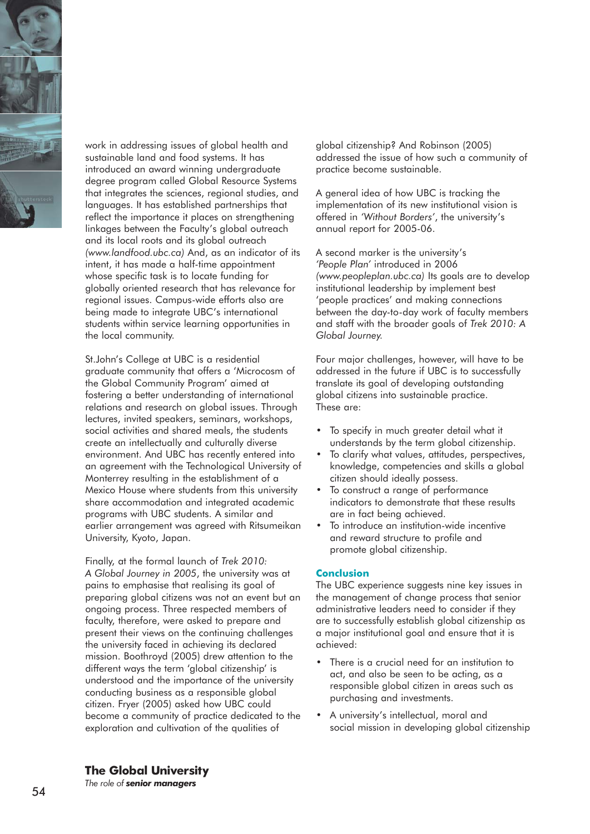

work in addressing issues of global health and sustainable land and food systems. It has introduced an award winning undergraduate degree program called Global Resource Systems that integrates the sciences, regional studies, and languages. It has established partnerships that reflect the importance it places on strengthening linkages between the Faculty's global outreach and its local roots and its global outreach *(www.landfood.ubc.ca)* And, as an indicator of its intent, it has made a half-time appointment whose specific task is to locate funding for globally oriented research that has relevance for regional issues. Campus-wide efforts also are being made to integrate UBC's international students within service learning opportunities in the local community.

St.John's College at UBC is a residential graduate community that offers a 'Microcosm of the Global Community Program' aimed at fostering a better understanding of international relations and research on global issues. Through lectures, invited speakers, seminars, workshops, social activities and shared meals, the students create an intellectually and culturally diverse environment. And UBC has recently entered into an agreement with the Technological University of Monterrey resulting in the establishment of a Mexico House where students from this university share accommodation and integrated academic programs with UBC students. A similar and earlier arrangement was agreed with Ritsumeikan University, Kyoto, Japan.

Finally, at the formal launch of *Trek 2010: A Global Journey in 2005*, the university was at pains to emphasise that realising its goal of preparing global citizens was not an event but an ongoing process. Three respected members of faculty, therefore, were asked to prepare and present their views on the continuing challenges the university faced in achieving its declared mission. Boothroyd (2005) drew attention to the different ways the term 'global citizenship' is understood and the importance of the university conducting business as a responsible global citizen. Fryer (2005) asked how UBC could become a community of practice dedicated to the exploration and cultivation of the qualities of

global citizenship? And Robinson (2005) addressed the issue of how such a community of practice become sustainable.

A general idea of how UBC is tracking the implementation of its new institutional vision is offered in *'Without Borders'*, the university's annual report for 2005-06.

A second marker is the university's *'People Plan'* introduced in 2006 *(www.peopleplan.ubc.ca)* Its goals are to develop institutional leadership by implement best 'people practices' and making connections between the day-to-day work of faculty members and staff with the broader goals of *Trek 2010: A Global Journey.*

Four major challenges, however, will have to be addressed in the future if UBC is to successfully translate its goal of developing outstanding global citizens into sustainable practice. These are:

- To specify in much greater detail what it understands by the term global citizenship.
- To clarify what values, attitudes, perspectives, knowledge, competencies and skills a global citizen should ideally possess.
- To construct a range of performance indicators to demonstrate that these results are in fact being achieved.
- To introduce an institution-wide incentive and reward structure to profile and promote global citizenship.

#### **Conclusion**

The UBC experience suggests nine key issues in the management of change process that senior administrative leaders need to consider if they are to successfully establish global citizenship as a major institutional goal and ensure that it is achieved:

- There is a crucial need for an institution to act, and also be seen to be acting, as a responsible global citizen in areas such as purchasing and investments.
- A university's intellectual, moral and social mission in developing global citizenship

**The Global University**

*The role of senior managers*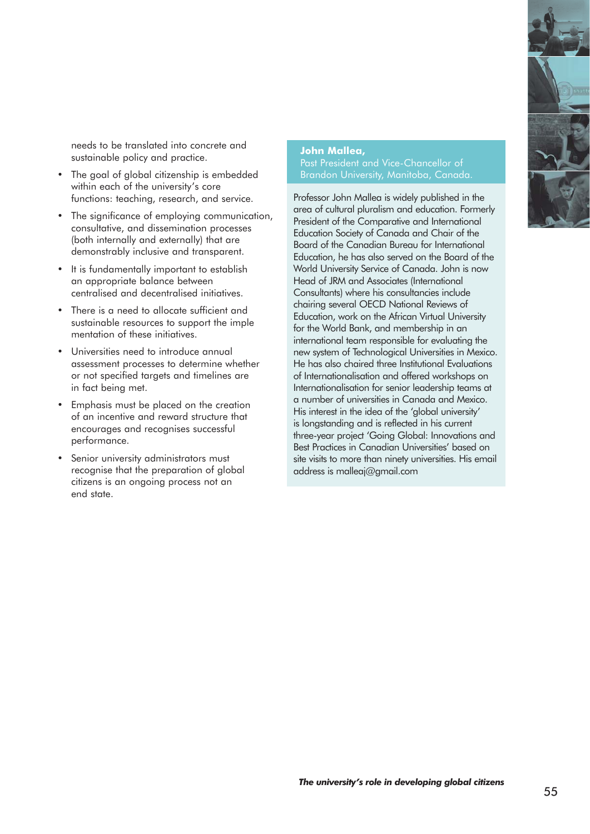needs to be translated into concrete and sustainable policy and practice.

- The goal of global citizenship is embedded within each of the university's core functions: teaching, research, and service.
- The significance of employing communication, consultative, and dissemination processes (both internally and externally) that are demonstrably inclusive and transparent.
- It is fundamentally important to establish an appropriate balance between centralised and decentralised initiatives.
- There is a need to allocate sufficient and sustainable resources to support the imple mentation of these initiatives.
- Universities need to introduce annual assessment processes to determine whether or not specified targets and timelines are in fact being met.
- Emphasis must be placed on the creation of an incentive and reward structure that encourages and recognises successful performance.
- Senior university administrators must recognise that the preparation of global citizens is an ongoing process not an end state.

#### **John Mallea,**

Past President and Vice-Chancellor of

Professor John Mallea is widely published in the area of cultural pluralism and education. Formerly President of the Comparative and International Education Society of Canada and Chair of the Board of the Canadian Bureau for International Education, he has also served on the Board of the World University Service of Canada. John is now Head of JRM and Associates (International Consultants) where his consultancies include chairing several OECD National Reviews of Education, work on the African Virtual University for the World Bank, and membership in an international team responsible for evaluating the new system of Technological Universities in Mexico. He has also chaired three Institutional Evaluations of Internationalisation and offered workshops on Internationalisation for senior leadership teams at a number of universities in Canada and Mexico. His interest in the idea of the 'global university' is longstanding and is reflected in his current three-year project 'Going Global: Innovations and Best Practices in Canadian Universities' based on site visits to more than ninety universities. His email address is malleaj@gmail.com

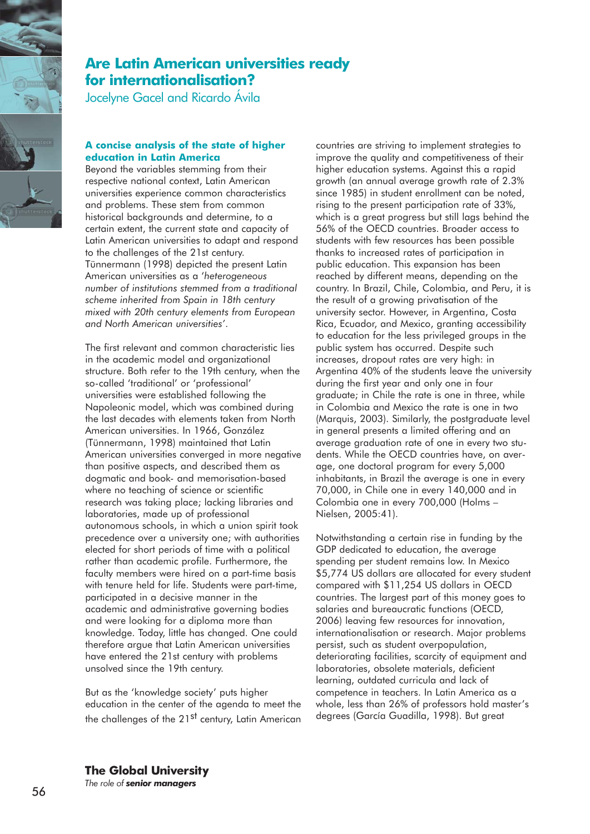

## **Are Latin American universities ready for internationalisation?**

Jocelyne Gacel and Ricardo Ávila

#### **A concise analysis of the state of higher education in Latin America**

Beyond the variables stemming from their respective national context, Latin American universities experience common characteristics and problems. These stem from common historical backgrounds and determine, to a certain extent, the current state and capacity of Latin American universities to adapt and respond to the challenges of the 21st century. Tünnermann (1998) depicted the present Latin American universities as a '*heterogeneous number of institutions stemmed from a traditional scheme inherited from Spain in 18th century mixed with 20th century elements from European and North American universities'*.

The first relevant and common characteristic lies in the academic model and organizational structure. Both refer to the 19th century, when the so-called 'traditional' or 'professional' universities were established following the Napoleonic model, which was combined during the last decades with elements taken from North American universities. In 1966, González (Tünnermann, 1998) maintained that Latin American universities converged in more negative than positive aspects, and described them as dogmatic and book- and memorisation-based where no teaching of science or scientific research was taking place; lacking libraries and laboratories, made up of professional autonomous schools, in which a union spirit took precedence over a university one; with authorities elected for short periods of time with a political rather than academic profile. Furthermore, the faculty members were hired on a part-time basis with tenure held for life. Students were part-time, participated in a decisive manner in the academic and administrative governing bodies and were looking for a diploma more than knowledge. Today, little has changed. One could therefore argue that Latin American universities have entered the 21st century with problems unsolved since the 19th century.

But as the 'knowledge society' puts higher education in the center of the agenda to meet the the challenges of the 21<sup>st</sup> century, Latin American

countries are striving to implement strategies to improve the quality and competitiveness of their higher education systems. Against this a rapid growth (an annual average growth rate of 2.3% since 1985) in student enrollment can be noted, rising to the present participation rate of 33%, which is a great progress but still lags behind the 56% of the OECD countries. Broader access to students with few resources has been possible thanks to increased rates of participation in public education. This expansion has been reached by different means, depending on the country. In Brazil, Chile, Colombia, and Peru, it is the result of a growing privatisation of the university sector. However, in Argentina, Costa Rica, Ecuador, and Mexico, granting accessibility to education for the less privileged groups in the public system has occurred. Despite such increases, dropout rates are very high: in Argentina 40% of the students leave the university during the first year and only one in four graduate; in Chile the rate is one in three, while in Colombia and Mexico the rate is one in two (Marquis, 2003). Similarly, the postgraduate level in general presents a limited offering and an average graduation rate of one in every two students. While the OECD countries have, on average, one doctoral program for every 5,000 inhabitants, in Brazil the average is one in every 70,000, in Chile one in every 140,000 and in Colombia one in every 700,000 (Holms – Nielsen, 2005:41).

Notwithstanding a certain rise in funding by the GDP dedicated to education, the average spending per student remains low. In Mexico \$5,774 US dollars are allocated for every student compared with \$11,254 US dollars in OECD countries. The largest part of this money goes to salaries and bureaucratic functions (OECD, 2006) leaving few resources for innovation, internationalisation or research. Major problems persist, such as student overpopulation, deteriorating facilities, scarcity of equipment and laboratories, obsolete materials, deficient learning, outdated curricula and lack of competence in teachers. In Latin America as a whole, less than 26% of professors hold master's degrees (García Guadilla, 1998). But great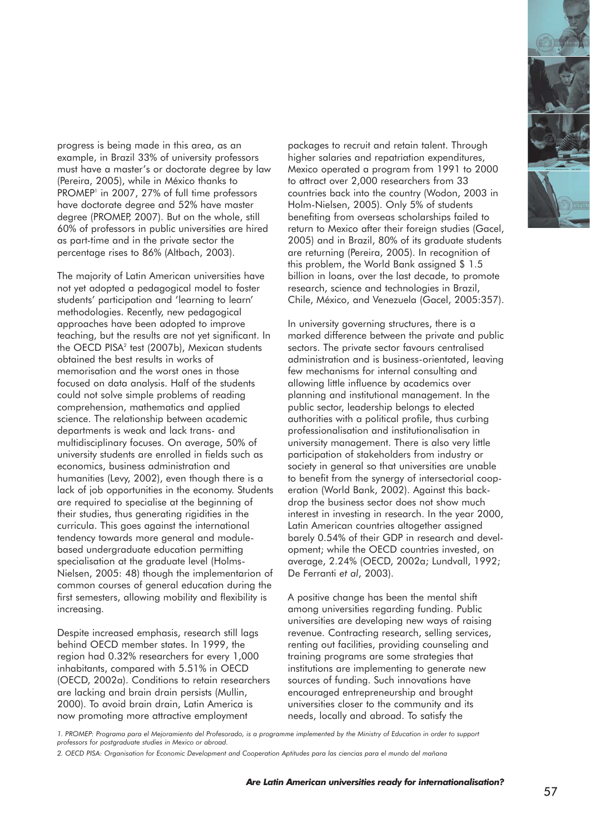

progress is being made in this area, as an example, in Brazil 33% of university professors must have a master's or doctorate degree by law (Pereira, 2005), while in México thanks to PROMEP<sup>1</sup> in 2007, 27% of full time professors have doctorate degree and 52% have master degree (PROMEP, 2007). But on the whole, still 60% of professors in public universities are hired as part-time and in the private sector the percentage rises to 86% (Altbach, 2003).

The majority of Latin American universities have not yet adopted a pedagogical model to foster students' participation and 'learning to learn' methodologies. Recently, new pedagogical approaches have been adopted to improve teaching, but the results are not yet significant. In the OECD PISA<sup>2</sup> test (2007b), Mexican students obtained the best results in works of memorisation and the worst ones in those focused on data analysis. Half of the students could not solve simple problems of reading comprehension, mathematics and applied science. The relationship between academic departments is weak and lack trans- and multidisciplinary focuses. On average, 50% of university students are enrolled in fields such as economics, business administration and humanities (Levy, 2002), even though there is a lack of job opportunities in the economy. Students are required to specialise at the beginning of their studies, thus generating rigidities in the curricula. This goes against the international tendency towards more general and modulebased undergraduate education permitting specialisation at the graduate level (Holms-Nielsen, 2005: 48) though the implementarion of common courses of general education during the first semesters, allowing mobility and flexibility is increasing.

Despite increased emphasis, research still lags behind OECD member states. In 1999, the region had 0.32% researchers for every 1,000 inhabitants, compared with 5.51% in OECD (OECD, 2002a). Conditions to retain researchers are lacking and brain drain persists (Mullin, 2000). To avoid brain drain, Latin America is now promoting more attractive employment

packages to recruit and retain talent. Through higher salaries and repatriation expenditures, Mexico operated a program from 1991 to 2000 to attract over 2,000 researchers from 33 countries back into the country (Wodon, 2003 in Holm-Nielsen, 2005). Only 5% of students benefiting from overseas scholarships failed to return to Mexico after their foreign studies (Gacel, 2005) and in Brazil, 80% of its graduate students are returning (Pereira, 2005). In recognition of this problem, the World Bank assigned \$ 1.5 billion in loans, over the last decade, to promote research, science and technologies in Brazil, Chile, México, and Venezuela (Gacel, 2005:357).

In university governing structures, there is a marked difference between the private and public sectors. The private sector favours centralised administration and is business-orientated, leaving few mechanisms for internal consulting and allowing little influence by academics over planning and institutional management. In the public sector, leadership belongs to elected authorities with a political profile, thus curbing professionalisation and institutionalisation in university management. There is also very little participation of stakeholders from industry or society in general so that universities are unable to benefit from the synergy of intersectorial cooperation (World Bank, 2002). Against this backdrop the business sector does not show much interest in investing in research. In the year 2000, Latin American countries altogether assigned barely 0.54% of their GDP in research and development; while the OECD countries invested, on average, 2.24% (OECD, 2002a; Lundvall, 1992; De Ferranti *et al*, 2003).

A positive change has been the mental shift among universities regarding funding. Public universities are developing new ways of raising revenue. Contracting research, selling services, renting out facilities, providing counseling and training programs are some strategies that institutions are implementing to generate new sources of funding. Such innovations have encouraged entrepreneurship and brought universities closer to the community and its needs, locally and abroad. To satisfy the

*1. PROMEP: Programa para el Mejoramiento del Profesorado, is a programme implemented by the Ministry of Education in order to support professors for postgraduate studies in Mexico or abroad.* 

*<sup>2.</sup> OECD PISA: Organisation for Economic Development and Cooperation Aptitudes para las ciencias para el mundo del mañana*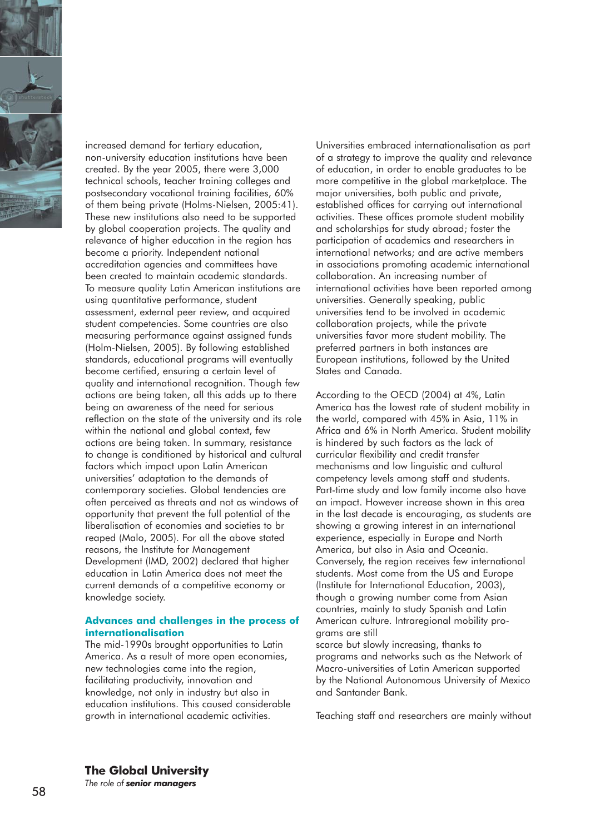

increased demand for tertiary education, non-university education institutions have been created. By the year 2005, there were 3,000 technical schools, teacher training colleges and postsecondary vocational training facilities, 60% of them being private (Holms-Nielsen, 2005:41). These new institutions also need to be supported by global cooperation projects. The quality and relevance of higher education in the region has become a priority. Independent national accreditation agencies and committees have been created to maintain academic standards. To measure quality Latin American institutions are using quantitative performance, student assessment, external peer review, and acquired student competencies. Some countries are also measuring performance against assigned funds (Holm-Nielsen, 2005). By following established standards, educational programs will eventually become certified, ensuring a certain level of quality and international recognition. Though few actions are being taken, all this adds up to there being an awareness of the need for serious reflection on the state of the university and its role within the national and global context, few actions are being taken. In summary, resistance to change is conditioned by historical and cultural factors which impact upon Latin American universities' adaptation to the demands of contemporary societies. Global tendencies are often perceived as threats and not as windows of opportunity that prevent the full potential of the liberalisation of economies and societies to br reaped (Malo, 2005). For all the above stated reasons, the Institute for Management Development (IMD, 2002) declared that higher education in Latin America does not meet the current demands of a competitive economy or knowledge society.

#### **Advances and challenges in the process of internationalisation**

The mid-1990s brought opportunities to Latin America. As a result of more open economies, new technologies came into the region, facilitating productivity, innovation and knowledge, not only in industry but also in education institutions. This caused considerable growth in international academic activities.

Universities embraced internationalisation as part of a strategy to improve the quality and relevance of education, in order to enable graduates to be more competitive in the global marketplace. The major universities, both public and private, established offices for carrying out international activities. These offices promote student mobility and scholarships for study abroad; foster the participation of academics and researchers in international networks; and are active members in associations promoting academic international collaboration. An increasing number of international activities have been reported among universities. Generally speaking, public universities tend to be involved in academic collaboration projects, while the private universities favor more student mobility. The preferred partners in both instances are European institutions, followed by the United States and Canada.

According to the OECD (2004) at 4%, Latin America has the lowest rate of student mobility in the world, compared with 45% in Asia, 11% in Africa and 6% in North America. Student mobility is hindered by such factors as the lack of curricular flexibility and credit transfer mechanisms and low linguistic and cultural competency levels among staff and students. Part-time study and low family income also have an impact. However increase shown in this area in the last decade is encouraging, as students are showing a growing interest in an international experience, especially in Europe and North America, but also in Asia and Oceania. Conversely, the region receives few international students. Most come from the US and Europe (Institute for International Education, 2003), though a growing number come from Asian countries, mainly to study Spanish and Latin American culture. Intraregional mobility programs are still

scarce but slowly increasing, thanks to programs and networks such as the Network of Macro-universities of Latin American supported by the National Autonomous University of Mexico and Santander Bank.

Teaching staff and researchers are mainly without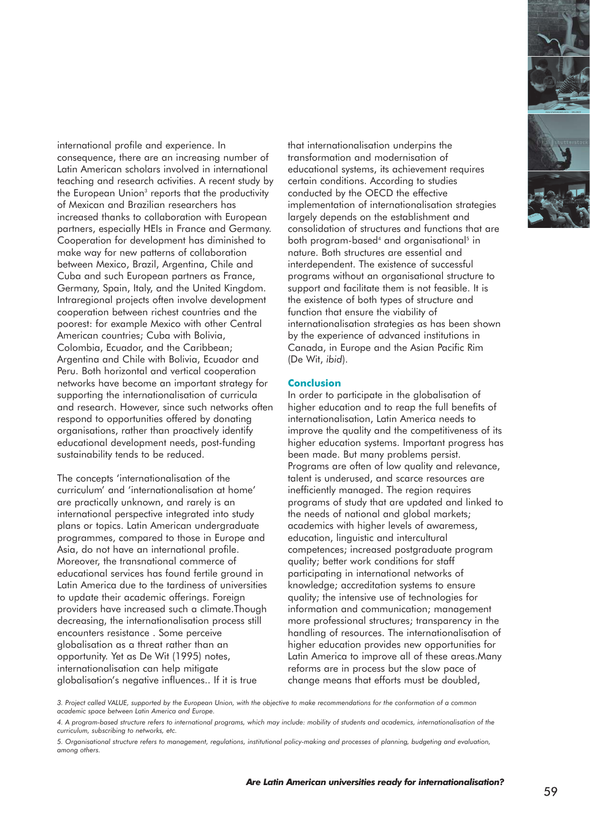international profile and experience. In consequence, there are an increasing number of Latin American scholars involved in international teaching and research activities. A recent study by the European Union<sup>3</sup> reports that the productivity of Mexican and Brazilian researchers has increased thanks to collaboration with European partners, especially HEIs in France and Germany. Cooperation for development has diminished to make way for new patterns of collaboration between Mexico, Brazil, Argentina, Chile and Cuba and such European partners as France, Germany, Spain, Italy, and the United Kingdom. Intraregional projects often involve development cooperation between richest countries and the poorest: for example Mexico with other Central American countries; Cuba with Bolivia, Colombia, Ecuador, and the Caribbean; Argentina and Chile with Bolivia, Ecuador and Peru. Both horizontal and vertical cooperation networks have become an important strategy for supporting the internationalisation of curricula and research. However, since such networks often respond to opportunities offered by donating organisations, rather than proactively identify educational development needs, post-funding sustainability tends to be reduced.

The concepts 'internationalisation of the curriculum' and 'internationalisation at home' are practically unknown, and rarely is an international perspective integrated into study plans or topics. Latin American undergraduate programmes, compared to those in Europe and Asia, do not have an international profile. Moreover, the transnational commerce of educational services has found fertile ground in Latin America due to the tardiness of universities to update their academic offerings. Foreign providers have increased such a climate.Though decreasing, the internationalisation process still encounters resistance . Some perceive globalisation as a threat rather than an opportunity. Yet as De Wit (1995) notes, internationalisation can help mitigate globalisation's negative influences.. If it is true

that internationalisation underpins the transformation and modernisation of educational systems, its achievement requires certain conditions. According to studies conducted by the OECD the effective implementation of internationalisation strategies largely depends on the establishment and consolidation of structures and functions that are both program-based<sup>4</sup> and organisational<sup>5</sup> in nature. Both structures are essential and interdependent. The existence of successful programs without an organisational structure to support and facilitate them is not feasible. It is the existence of both types of structure and function that ensure the viability of internationalisation strategies as has been shown by the experience of advanced institutions in Canada, in Europe and the Asian Pacific Rim (De Wit, *ibid*).

#### **Conclusion**

In order to participate in the globalisation of higher education and to reap the full benefits of internationalisation, Latin America needs to improve the quality and the competitiveness of its higher education systems. Important progress has been made. But many problems persist. Programs are often of low quality and relevance, talent is underused, and scarce resources are inefficiently managed. The region requires programs of study that are updated and linked to the needs of national and global markets; academics with higher levels of awaremess, education, linguistic and intercultural competences; increased postgraduate program quality; better work conditions for staff participating in international networks of knowledge; accreditation systems to ensure quality; the intensive use of technologies for information and communication; management more professional structures; transparency in the handling of resources. The internationalisation of higher education provides new opportunities for Latin America to improve all of these areas.Many reforms are in process but the slow pace of change means that efforts must be doubled,



*<sup>3.</sup> Project called VALUE, supported by the European Union, with the objective to make recommendations for the conformation of a common academic space between Latin America and Europe.* 

*<sup>4.</sup> A program-based structure refers to international programs, which may include: mobility of students and academics, internationalisation of the curriculum, subscribing to networks, etc.* 

*<sup>5.</sup> Organisational structure refers to management, regulations, institutional policy-making and processes of planning, budgeting and evaluation, among others.*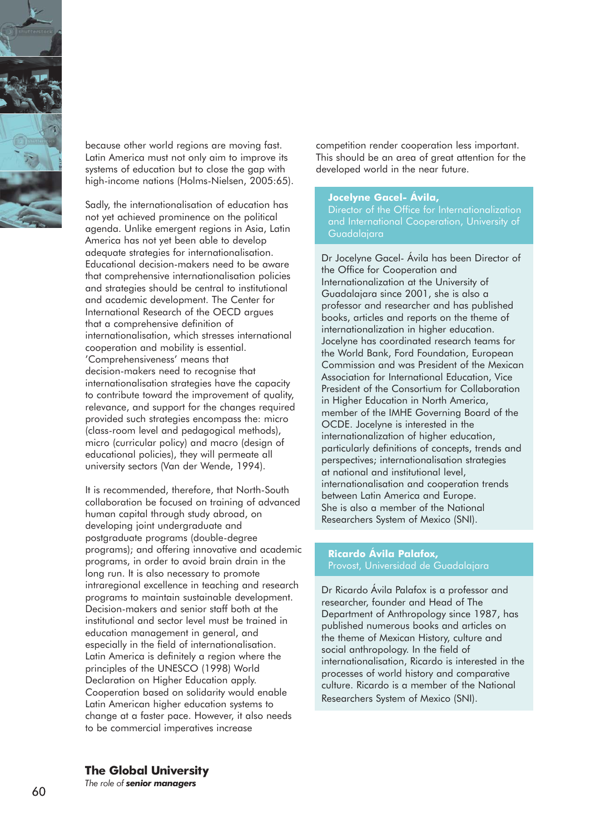

because other world regions are moving fast. Latin America must not only aim to improve its systems of education but to close the gap with high-income nations (Holms-Nielsen, 2005:65).

Sadly, the internationalisation of education has not yet achieved prominence on the political agenda. Unlike emergent regions in Asia, Latin America has not yet been able to develop adequate strategies for internationalisation. Educational decision-makers need to be aware that comprehensive internationalisation policies and strategies should be central to institutional and academic development. The Center for International Research of the OECD argues that a comprehensive definition of internationalisation, which stresses international cooperation and mobility is essential. 'Comprehensiveness' means that decision-makers need to recognise that internationalisation strategies have the capacity to contribute toward the improvement of quality, relevance, and support for the changes required provided such strategies encompass the: micro (class-room level and pedagogical methods), micro (curricular policy) and macro (design of educational policies), they will permeate all university sectors (Van der Wende, 1994).

It is recommended, therefore, that North-South collaboration be focused on training of advanced human capital through study abroad, on developing joint undergraduate and postgraduate programs (double-degree programs); and offering innovative and academic programs, in order to avoid brain drain in the long run. It is also necessary to promote intraregional excellence in teaching and research programs to maintain sustainable development. Decision-makers and senior staff both at the institutional and sector level must be trained in education management in general, and especially in the field of internationalisation. Latin America is definitely a region where the principles of the UNESCO (1998) World Declaration on Higher Education apply. Cooperation based on solidarity would enable Latin American higher education systems to change at a faster pace. However, it also needs to be commercial imperatives increase

competition render cooperation less important. This should be an area of great attention for the developed world in the near future.

#### **Jocelyne Gacel- Ávila,**

Director of the Office for Internationalization and International Cooperation, University of Guadalajara

Dr Jocelyne Gacel- Ávila has been Director of the Office for Cooperation and Internationalization at the University of Guadalajara since 2001, she is also a professor and researcher and has published books, articles and reports on the theme of internationalization in higher education. Jocelyne has coordinated research teams for the World Bank, Ford Foundation, European Commission and was President of the Mexican Association for International Education, Vice President of the Consortium for Collaboration in Higher Education in North America, member of the IMHE Governing Board of the OCDE. Jocelyne is interested in the internationalization of higher education, particularly definitions of concepts, trends and perspectives; internationalisation strategies at national and institutional level, internationalisation and cooperation trends between Latin America and Europe. She is also a member of the National Researchers System of Mexico (SNI).

#### **Ricardo Ávila Palafox,** Provost, Universidad de Guadalajara

Dr Ricardo Ávila Palafox is a professor and researcher, founder and Head of The Department of Anthropology since 1987, has published numerous books and articles on the theme of Mexican History, culture and social anthropology. In the field of internationalisation, Ricardo is interested in the processes of world history and comparative culture. Ricardo is a member of the National Researchers System of Mexico (SNI).

#### **The Global University**

*The role of senior managers*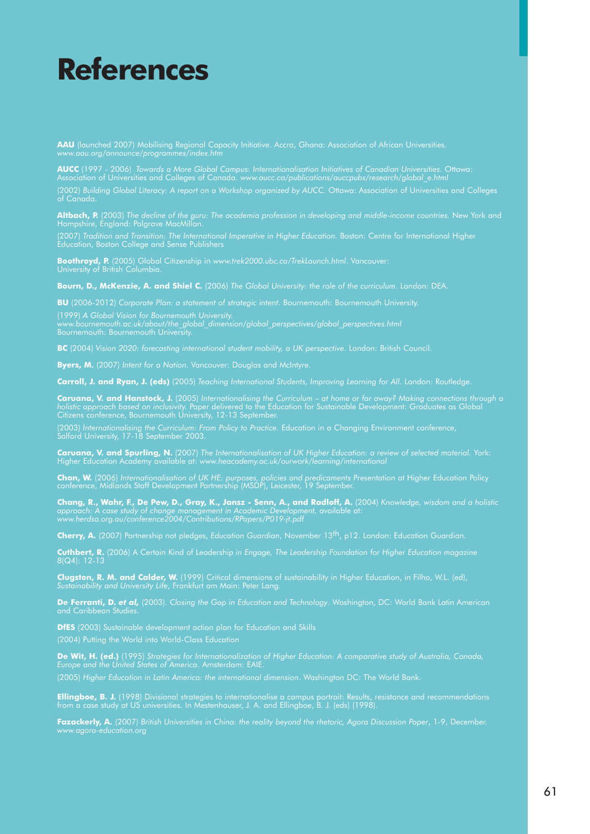# **References**

**AAU** (launched 2007) Mobilising Regional Capacity Initiative. Accra, Ghana: Association of African Universities. *www.aau.org/announce/programmes/index.htm*

**AUCC** (1997 - 2006) *Towards a More Global Campus: Internationalisation Initiatives of Canadian Universities*. Ottawa: Association of Universities and Colleges of Canada. *www.aucc.ca/publications/auccpubs/research/global\_e.html* (2002) *Building Global Literacy: A report on a Workshop organized by AUCC.* Ottawa: Association of Universities and Colleges of Canada.

**Altbach, P.** (2003) *The decline of the guru: The academia profession in developing and middle-income countries.* New York and Hampshire, England: Palgrave MacMillan.

(2007) Tradition and Transition: The International Imperative in Higher Education. Boston: Centre for International Higher Education, Boston College and Sense Publishers

**Boothroyd, P.** (2005) Global Citizenship in *www.trek2000.ubc.ca/TrekLaunch.html*. Vancouver: University of British Columbia.

**Bourn, D., McKenzie, A. and Shiel C.** (2006) *The Global University: the role of the curriculum*. London: DEA.

**BU** (2006-2012) *Corporate Plan: a statement of strategic intent*. Bournemouth: Bournemouth University.

*www.bournemouth.ac.uk/about/the\_global\_dimension/global\_perspectives/global\_perspectives.html* 

**BC** (2004) *Vision 2020: forecasting international student mobility, a UK perspective*. London: British Council.

**Byers, M.** (2007) *Intent for a Nation.* Vancouver: Douglas and McIntyre.

**Carroll, J. and Ryan, J. (eds)** (2005) *Teaching International Students, Improving Learning for All*. London: Routledge.

**Caruana, V. and Hanstock, J.** (2005) *Internationalising the Curriculum – at home or far away? Making connections through a* Citizens conference, Bournemouth University, 12-13 September.

(2003) *Internationalising the Curriculum: From Policy to Practice.* Education in a Changing Environment conference, Salford University, 17-18 September 2003.

**Caruana, V. and Spurling, N.** (2007) *The Internationalisation of UK Higher Education: a review of selected material.* York: Higher Education Academy available at: *www.heacademy.ac.uk/ourwork/learning/international*

**Chan, W.** (2006) *Internationalisation of UK HE: purposes, policies and predicaments* Presentation at Higher Education Policy conference, Midlands Staff Development Partnership (MSDP), Leicester, 19 September.

**Chang, R., Wahr, F., De Pew, D., Gray, K., Jansz - Senn, A., and Radloff, A.** (2004) *Knowledge, wisdom and a holistic approach: A case study of change management in Academic Development,* available at: *www.herdsa.org.au/conference2004/Contributions/RPapers/P019-jt.pdf*

**Cherry, A.** (2007) Partnership not pledges, *Education Guardian*, November 13th, p12. London: Education Guardian.

**Cuthbert, R.** (2006) A Certain Kind of Leadership *in Engage, The Leadership Foundation for Higher Education magazine*  8(Q4): 12-13

**Clugston, R. M. and Calder, W.** (1999) Critical dimensions of sustainability in Higher Education, in Filho, W.L. (ed), *Sustainability and University Life*, Frankfurt am Main: Peter Lang.

**De Ferranti, D.** *et al,* (2003). *Closing the Gap in Education and Technology*. Washington, DC: World Bank Latin American and Caribbean Studies.

**DfES** (2003) Sustainable development action plan for Education and Skills (2004) Putting the World into World-Class Education

**De Wit, H. (ed.)** (1995) *Strategies for Internationalization of Higher Education: A comparative study of Australia, Canada, Europe and the United States of America*. Amsterdam: EAIE.

(2005) *Higher Education in Latin America: the international dimension*. Washington DC: The World Bank.

**Ellingboe, B. J.** (1998) Divisional strategies to internationalise a campus portrait: Results, resistance and recommendations from a case study at US universities. In Mestenhauser, J. A. and Ellingboe, B. J. (eds) (1998).

**Fazackerly, A.** (2007) *British Universities in China: the reality beyond the rhetoric, Agora Discussion Paper*, 1-9, December. *www.agora-education.org*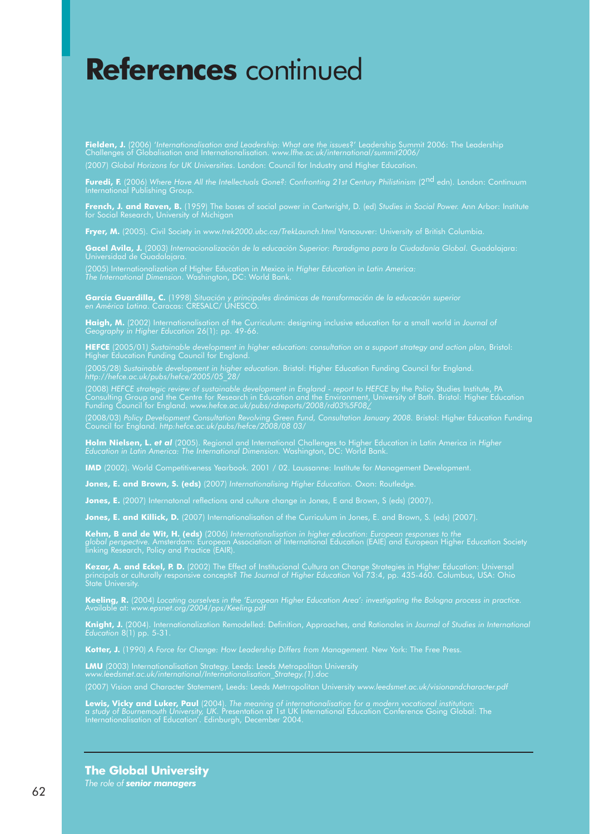## **References** continued

**Fielden, J.** (2006) '*Internationalisation and Leadership: What are the issues*?' Leadership Summit 2006: The Leadership Challenges of Globalisation and Internationalisation. *www.lfhe.ac.uk/international/summit2006/* (2007) *Global Horizons for UK Universities*. London: Council for Industry and Higher Education.

**Furedi, F.** (2006) *Where Have All the Intellectuals Gone?: Confronting 21st Century Philistinism* (2nd edn). London: Continuum International Publishing Group.

**French, J. and Raven, B.** (1959) The bases of social power in Cartwright, D. (ed) *Studies in Social Power.* Ann Arbor: Institute for Social Research, University of Michigan

**Fryer, M.** (2005). Civil Society in *www.trek2000.ubc.ca/TrekLaunch.html* Vancouver: University of British Columbia.

**Gacel Avila, J.** (2003) *Internacionalización de la educación Superior: Paradigma para la Ciudadanía Global*. Guadalajara: Universidad de Guadalajara.

(2005) Internationalization of Higher Education in Mexico in *Higher Education* in *Latin America: The International Dimension*. Washington, DC: World Bank.

**García Guardilla, C.** (1998) *Situación y principales dinámicas de transformación de la educación superior en América Latina*. Caracas: CRESALC/ UNESCO.

**Haigh, M.** (2002) Internationalisation of the Curriculum: designing inclusive education for a small world in *Journal of Geography in Higher Education* 26(1): pp. 49-66.

**HEFCE** (2005/01*) Sustainable development in higher education: consultation on a support strategy and action plan,* Bristol: Higher Education Funding Council for England.

(2005/28) *Sustainable development in higher education*. Bristol: Higher Education Funding Council for England. *http://hefce.ac.uk/pubs/hefce/2005/05\_28/* 

(2008) HEFCE strategic review of sustainable development in England - report to HEFCE by the Policy Studies Institute, PA Consulting Group and the Centre for Research in Education and the Environment, University of Bath. Bristol: Higher Education Funding Council for England. *www.hefce.ac.uk/pubs/rdreports/2008/rd03%5F08/*

(2008/03) *Policy Development Consultation Revolving Green Fund, Consultation January 2008. Bristol: Higher Education Funding* Council for England. *http:hefce.ac.uk/pubs/hefce/2008/08 03/*

**Holm Nielsen, L.** *et al* (2005). Regional and International Challenges to Higher Education in Latin America in *Higher Education in Latin America: The International Dimension*. Washington, DC: World Bank.

**IMD** (2002). World Competitiveness Yearbook. 2001 / 02. Laussanne: Institute for Management Development.

**Jones, E. and Brown, S. (eds)** (2007) Internationalising Higher Education. Oxon: Routledge.

**Jones, E.** (2007) Internatonal reflections and culture change in Jones, E and Brown, S (eds) (2007).

**Jones, E. and Killick, D.** (2007) Internationalisation of the Curriculum in Jones, E. and Brown, S. (eds) (2007).

**Kehm, B and de Wit, H. (eds)** (2006) *Internationalisation in higher education: European responses to the global perspective.* Amsterdam: European Association of International Education (EAIE) and European Higher Education Society linking Research, Policy and Practice (EAIR).

**Kezar, A. and Eckel, P. D.** (2002) The Effect of Institucional Cultura on Change Strategies in Higher Education: Universal principals or culturally responsive concepts? *The Journal of Higher Education* Vol 73:4, pp. 435-460. Columbus, USA: Ohio State University.

**Keeling, R.** (2004) *Locating ourselves in the 'European Higher Education Area': investigating the Bologna process in practice.* Available at: *www.epsnet.org/2004/pps/Keeling.pdf*

**Knight, J.** (2004). Internationalization Remodelled: Definition, Approaches, and Rationales in *Journal of Studies in International Education* 8(1) pp. 5-31.

Kotter, J. (1990) *A Force for Change: How Leadership Differs from Management. New York: The Free Press.* 

**LMU** (2003) Internationalisation Strategy. Leeds: Leeds Metropolitan University *www.leedsmet.ac.uk/international/Internationalisation\_Strategy.(1).doc*

(2007) Vision and Character Statement, Leeds: Leeds Metrropolitan University *www.leedsmet.ac.uk/visionandcharacter.pdf*

**Lewis, Vicky and Luker, Paul** (2004). *The meaning of internationalisation for a modern vocational institution: a study of Bournemouth University, UK.* Presentation at 1st UK International Education Conference Going Global: The Internationalisation of Education'. Edinburgh, December 2004.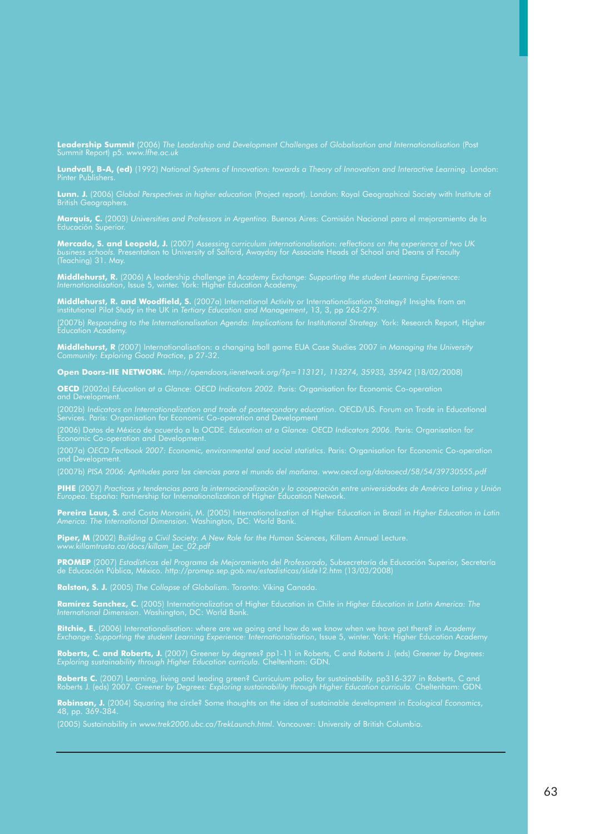**Leadership Summit** (2006) *The Leadership and Development Challenges of Globalisation and Internationalisation* (Post Summit Report) p5. *www.lfhe.ac.uk*

**Lundvall, B-A, (ed)** (1992) *National Systems of Innovation: towards a Theory of Innovation and Interactive Learning*. London: Pinter Publishers.

**Lunn. J.** (2006) *Global Perspectives in higher education* (Project report). London: Royal Geographical Society with Institute of British Geographers.

**Marquis, C.** (2003) *Universities and Professors in Argentina*. Buenos Aires: Comisión Nacional para el mejoramiento de la Educación Superior.

**Mercado, S. and Leopold, J.** (2007) *Assessing curriculum internationalisation: reflections on the experience of two UK business schools.* Presentation to University of Salford, Awayday for Associate Heads of School and Deans of Faculty (Teaching) 31. May.

**Middlehurst, R.** (2006) A leadership challenge in *Academy Exchange: Supporting the student Learning Experience: Internationalisation*, Issue 5, winter. York: Higher Education Academy.

**Middlehurst, R. and Woodfield, S.** (2007a) International Activity or Internationalisation Strategy? Insights from an institutional Pilot Study in the UK in *Tertiary Education and Management*, 13, 3, pp 263-279.

(2007b) *Responding to the Internationalisation Agenda: Implications for Institutional Strategy.* York: Research Report, Higher Education Academy.

**Middlehurst, R** (2007) Internationalisation: a changing ball game EUA Case Studies 2007 in *Managing the University Community: Exploring Good Practice*, p 27-32.

**Open Doors-IIE NETWORK.** *http://opendoors,iienetwork.org/?p=113121, 113274, 35933, 35942* (18/02/2008)

**OECD** (2002a) *Education at a Glance: OECD Indicators 2002*. Paris: Organisation for Economic Co-operation and Development.

(2002b) *Indicators on Internationalization and trade of postsecondary education*. OECD/US. Forum on Trade in Educational Services. Paris: Organisation for Economic Co-operation and Development

(2006) Datos de México de acuerdo a la OCDE. *Education at a Glance: OECD Indicators 2006*. Paris: Organisation for Economic Co-operation and Development.

(2007a) *OECD Factbook 2007: Economic, environmental and social statistics*. Paris: Organisation for Economic Co-operation and Development.

**PIHE** (2007) *Practicas y tendencias para la internacionalización y la cooperación entre universidades de América Latina y Unión Europea*. España: Partnership for Internationalization of Higher Education Network.

**Pereira Laus, S.** and Costa Morosini, M. (2005) Internationalization of Higher Education in Brazil in *Higher Education in Latin America: The International Dimension*. Washington, DC: World Bank.

**Piper, M** (2002) *Building a Civil Society: A New Role for the Human Sciences*, Killam Annual Lecture. *www.killamtrusta.ca/docs/killam\_Lec\_02.pdf*

**PROMEP** (2007) *Estadísticas del Programa de Mejoramiento del Profesorado*, Subsecretaría de Educación Superior, Secretaría de Educación Pública, México. *http://promep.sep.gob.mx/estadisticas/slide12.htm* (13/03/2008)

**Ralston, S. J.** (2005) *The Collapse of Globalism*. Toronto: Viking Canada.

**Ramírez Sanchez, C.** (2005) Internationalization of Higher Education in Chile in *Higher Education in Latin America: The International Dimension*. Washington, DC: World Bank.

**Ritchie, E.** (2006) Internationalisation: where are we going and how do we know when we have got there? in *Academy Exchange: Supporting the student Learning Experience: Internationalisation*, Issue 5, winter. York: Higher Education Academy

**Roberts, C. and Roberts, J.** (2007) Greener by degrees? pp1-11 in Roberts, C and Roberts J. (eds) *Greener by Degrees: Exploring sustainability through Higher Education curricula.* Cheltenham: GDN.

**Roberts C.** (2007) Learning, living and leading green? Curriculum policy for sustainability. pp316-327 in Roberts, C and Roberts J. (eds) 2007. *Greener by Degrees: Exploring sustainability through Higher Education curricula.* Cheltenham: GDN.

**Robinson, J.** (2004) Squaring the circle? Some thoughts on the idea of sustainable development in *Ecological Economics*, 48, pp. 369-384.